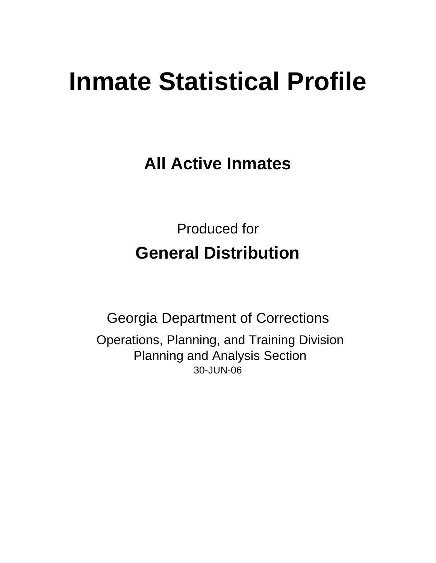# **Inmate Statistical Profile**

**All Active Inmates**

Produced for **General Distribution**

30-JUN-06 Georgia Department of Corrections Operations, Planning, and Training Division Planning and Analysis Section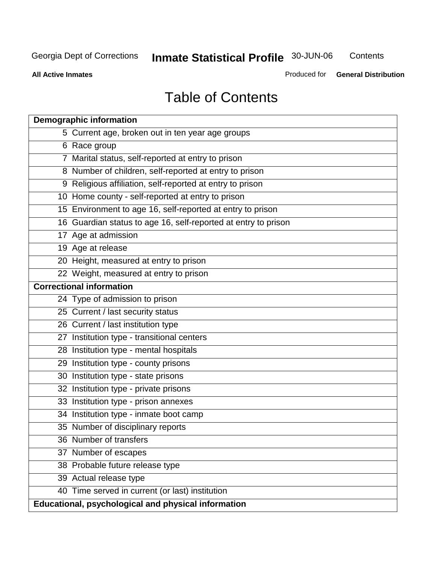**Contents** 

**All Active Inmates**

Produced for **General Distribution**

# Table of Contents

| <b>Demographic information</b>  |                                                                |
|---------------------------------|----------------------------------------------------------------|
|                                 | 5 Current age, broken out in ten year age groups               |
| 6 Race group                    |                                                                |
|                                 | 7 Marital status, self-reported at entry to prison             |
|                                 | 8 Number of children, self-reported at entry to prison         |
|                                 | 9 Religious affiliation, self-reported at entry to prison      |
|                                 | 10 Home county - self-reported at entry to prison              |
|                                 | 15 Environment to age 16, self-reported at entry to prison     |
|                                 | 16 Guardian status to age 16, self-reported at entry to prison |
| 17 Age at admission             |                                                                |
| 19 Age at release               |                                                                |
|                                 | 20 Height, measured at entry to prison                         |
|                                 | 22 Weight, measured at entry to prison                         |
| <b>Correctional information</b> |                                                                |
|                                 | 24 Type of admission to prison                                 |
|                                 | 25 Current / last security status                              |
|                                 | 26 Current / last institution type                             |
|                                 | 27 Institution type - transitional centers                     |
|                                 | 28 Institution type - mental hospitals                         |
|                                 | 29 Institution type - county prisons                           |
|                                 | 30 Institution type - state prisons                            |
|                                 | 32 Institution type - private prisons                          |
|                                 | 33 Institution type - prison annexes                           |
|                                 | 34 Institution type - inmate boot camp                         |
|                                 | 35 Number of disciplinary reports                              |
|                                 | 36 Number of transfers                                         |
|                                 | 37 Number of escapes                                           |
|                                 | 38 Probable future release type                                |
|                                 | 39 Actual release type                                         |
|                                 | 40 Time served in current (or last) institution                |
|                                 | Educational, psychological and physical information            |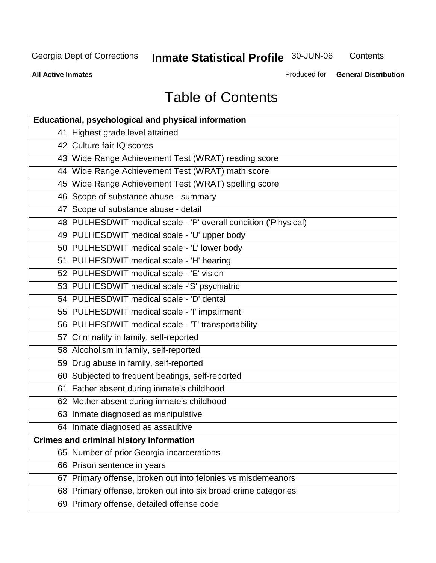**Contents** 

**All Active Inmates**

Produced for **General Distribution**

# Table of Contents

| <b>Educational, psychological and physical information</b>       |
|------------------------------------------------------------------|
| 41 Highest grade level attained                                  |
| 42 Culture fair IQ scores                                        |
| 43 Wide Range Achievement Test (WRAT) reading score              |
| 44 Wide Range Achievement Test (WRAT) math score                 |
| 45 Wide Range Achievement Test (WRAT) spelling score             |
| 46 Scope of substance abuse - summary                            |
| 47 Scope of substance abuse - detail                             |
| 48 PULHESDWIT medical scale - 'P' overall condition ('P'hysical) |
| 49 PULHESDWIT medical scale - 'U' upper body                     |
| 50 PULHESDWIT medical scale - 'L' lower body                     |
| 51 PULHESDWIT medical scale - 'H' hearing                        |
| 52 PULHESDWIT medical scale - 'E' vision                         |
| 53 PULHESDWIT medical scale -'S' psychiatric                     |
| 54 PULHESDWIT medical scale - 'D' dental                         |
| 55 PULHESDWIT medical scale - 'I' impairment                     |
| 56 PULHESDWIT medical scale - 'T' transportability               |
| 57 Criminality in family, self-reported                          |
| 58 Alcoholism in family, self-reported                           |
| 59 Drug abuse in family, self-reported                           |
| 60 Subjected to frequent beatings, self-reported                 |
| 61 Father absent during inmate's childhood                       |
| 62 Mother absent during inmate's childhood                       |
| 63 Inmate diagnosed as manipulative                              |
| 64 Inmate diagnosed as assaultive                                |
| <b>Crimes and criminal history information</b>                   |
| 65 Number of prior Georgia incarcerations                        |
| 66 Prison sentence in years                                      |
| 67 Primary offense, broken out into felonies vs misdemeanors     |
| 68 Primary offense, broken out into six broad crime categories   |
| 69 Primary offense, detailed offense code                        |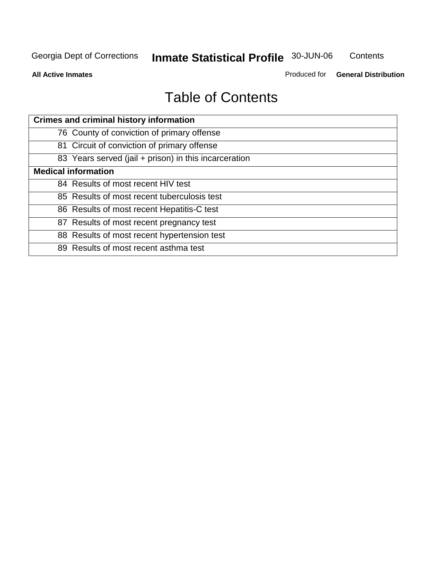**Contents** 

**All Active Inmates**

Produced for **General Distribution**

# Table of Contents

| <b>Crimes and criminal history information</b>        |
|-------------------------------------------------------|
| 76 County of conviction of primary offense            |
| 81 Circuit of conviction of primary offense           |
| 83 Years served (jail + prison) in this incarceration |
| <b>Medical information</b>                            |
| 84 Results of most recent HIV test                    |
| 85 Results of most recent tuberculosis test           |
| 86 Results of most recent Hepatitis-C test            |
| 87 Results of most recent pregnancy test              |
| 88 Results of most recent hypertension test           |
| 89 Results of most recent asthma test                 |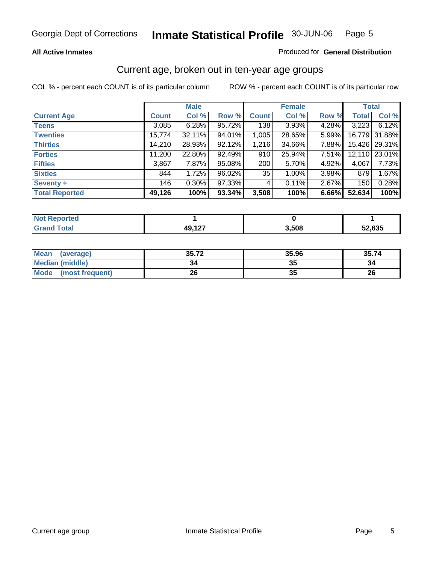#### **All Active Inmates**

#### Produced for **General Distribution**

### Current age, broken out in ten-year age groups

|                       |              | <b>Male</b> |        |              | <b>Female</b> |       |              | <b>Total</b> |
|-----------------------|--------------|-------------|--------|--------------|---------------|-------|--------------|--------------|
| <b>Current Age</b>    | <b>Count</b> | Col %       | Row %  | <b>Count</b> | Col %         | Row % | <b>Total</b> | Col %        |
| <b>Teens</b>          | 3,085        | 6.28%       | 95.72% | 138          | 3.93%         | 4.28% | 3,223        | 6.12%        |
| <b>Twenties</b>       | 15,774       | 32.11%      | 94.01% | 1,005        | 28.65%        | 5.99% | 16,779       | 31.88%       |
| <b>Thirties</b>       | 14,210       | 28.93%      | 92.12% | 1,216        | 34.66%        | 7.88% | 15,426       | 29.31%       |
| <b>Forties</b>        | 11,200       | 22.80%      | 92.49% | 910          | 25.94%        | 7.51% | 12,110       | 23.01%       |
| <b>Fifties</b>        | 3,867        | 7.87%       | 95.08% | 200          | 5.70%         | 4.92% | 4,067        | 7.73%        |
| <b>Sixties</b>        | 844          | 1.72%       | 96.02% | 35           | 1.00%         | 3.98% | 879          | 1.67%        |
| Seventy +             | 146          | $0.30\%$    | 97.33% | 4            | 0.11%         | 2.67% | 150          | 0.28%        |
| <b>Total Reported</b> | 49,126       | 100%        | 93.34% | 3,508        | 100%          | 6.66% | 52,634       | 100%         |

| Not R<br><b>innorted</b><br>$\mathcal{L} = \mathcal{L} \mathcal{L}$ |                    |       |                                       |
|---------------------------------------------------------------------|--------------------|-------|---------------------------------------|
| <b>Fotal</b>                                                        | 49 1 27<br>.<br>TV | 3,508 | $\sim$ $\sim$ $\sim$ $\sim$<br>JZ,635 |

| <b>Mean</b><br>(average) | 35.72 | 35.96 | 35.74 |
|--------------------------|-------|-------|-------|
| Median (middle)          | 34    | w     |       |
| Mode<br>(most frequent)  | 26    | w     | 26    |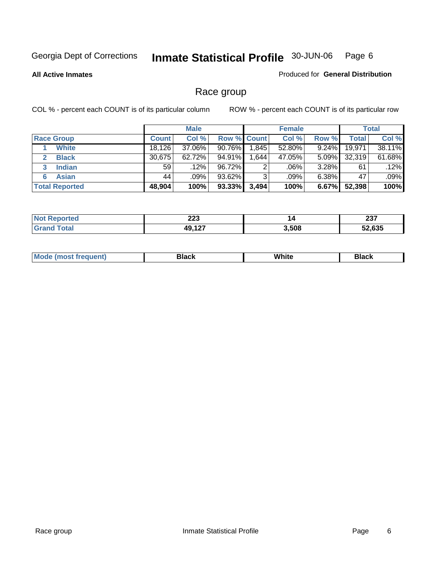#### **All Active Inmates**

#### Produced for **General Distribution**

# Race group

|                       |              | <b>Male</b> |                    |       | <b>Female</b> |          |              | <b>Total</b> |
|-----------------------|--------------|-------------|--------------------|-------|---------------|----------|--------------|--------------|
| <b>Race Group</b>     | <b>Count</b> | Col %       | <b>Row % Count</b> |       | Col %         | Row %    | <b>Total</b> | Col %        |
| <b>White</b>          | 18,126       | 37.06%      | $90.76\%$          | 1,845 | 52.80%        | 9.24%    | 19,971       | 38.11%       |
| <b>Black</b>          | 30,675       | $62.72\%$   | 94.91%             | .644  | 47.05%        | $5.09\%$ | 32,319       | 61.68%       |
| <b>Indian</b><br>3    | 59           | $.12\%$     | 96.72%             | 2     | .06%          | 3.28%    | 61           | .12%         |
| <b>Asian</b>          | 44           | $.09\%$     | 93.62%             | 3     | .09%          | $6.38\%$ | 47           | .09%         |
| <b>Total Reported</b> | 48,904       | 100%        | 93.33%             | 3,494 | 100%          | 6.67%    | 52,398       | 100%         |

| ົາລາ             | 14    | ິ    |
|------------------|-------|------|
| ZZJ              |       | 20 I |
| $\sqrt{2}$<br>AC | 3,508 |      |

|  | $Mc$ | Black | White<br>$ -$ | 21904<br>DIACK |
|--|------|-------|---------------|----------------|
|--|------|-------|---------------|----------------|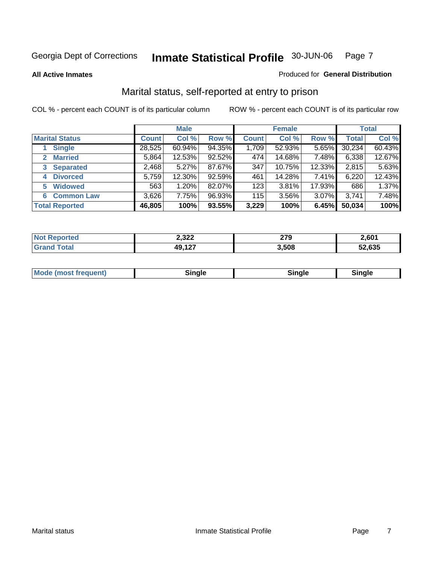**All Active Inmates**

#### Produced for **General Distribution**

# Marital status, self-reported at entry to prison

|                                        |              | <b>Male</b> |        |              | <b>Female</b> |          |              | <b>Total</b> |
|----------------------------------------|--------------|-------------|--------|--------------|---------------|----------|--------------|--------------|
| <b>Marital Status</b>                  | <b>Count</b> | Col %       | Row %  | <b>Count</b> | Col %         | Row %    | <b>Total</b> | Col %        |
| <b>Single</b>                          | 28,525       | 60.94%      | 94.35% | 1,709        | 52.93%        | $5.65\%$ | 30,234       | 60.43%       |
| <b>Married</b><br>$\mathbf{2}^{\circ}$ | 5,864        | 12.53%      | 92.52% | 474          | 14.68%        | 7.48%    | 6,338        | 12.67%       |
| <b>Separated</b><br>3                  | 2,468        | 5.27%       | 87.67% | 347          | 10.75%        | 12.33%   | 2,815        | 5.63%        |
| <b>Divorced</b><br>4                   | 5,759        | 12.30%      | 92.59% | 461          | 14.28%        | 7.41%    | 6,220        | 12.43%       |
| <b>Widowed</b><br>5                    | 563          | 1.20%       | 82.07% | 1231         | 3.81%         | 17.93%   | 686          | 1.37%        |
| <b>Common Law</b><br>6                 | 3,626        | 7.75%       | 96.93% | 115          | 3.56%         | 3.07%    | 3,741        | 7.48%        |
| <b>Total Reported</b>                  | 46,805       | 100%        | 93.55% | 3,229        | 100%          | 6.45%    | 50,034       | 100%         |

| 2,322               | 279<br>$\sim$ | 2,601  |
|---------------------|---------------|--------|
| 10 197<br>71 L<br>. | 3.508         | 52.635 |

|  | Mode (most f<br>freauent) | `ınale |  | `inale |
|--|---------------------------|--------|--|--------|
|--|---------------------------|--------|--|--------|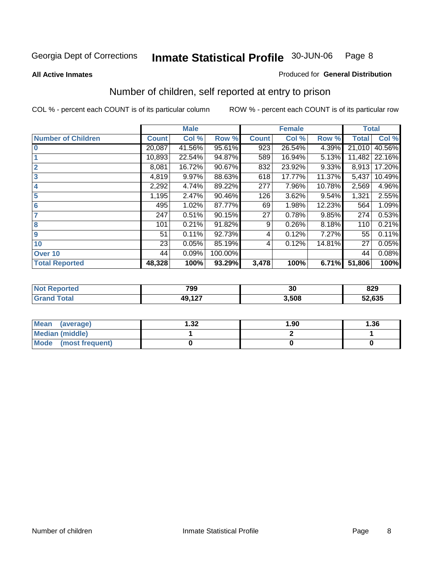**All Active Inmates**

#### Produced for **General Distribution**

# Number of children, self reported at entry to prison

|                           |              | <b>Male</b> |         |              | <b>Female</b> |        | <b>Total</b> |        |
|---------------------------|--------------|-------------|---------|--------------|---------------|--------|--------------|--------|
| <b>Number of Children</b> | <b>Count</b> | Col %       | Row %   | <b>Count</b> | Col %         | Row %  | <b>Total</b> | Col %  |
| $\bf{0}$                  | 20,087       | 41.56%      | 95.61%  | 923          | 26.54%        | 4.39%  | 21,010       | 40.56% |
|                           | 10,893       | 22.54%      | 94.87%  | 589          | 16.94%        | 5.13%  | 11,482       | 22.16% |
| $\overline{2}$            | 8,081        | 16.72%      | 90.67%  | 832          | 23.92%        | 9.33%  | 8,913        | 17.20% |
| 3                         | 4,819        | 9.97%       | 88.63%  | 618          | 17.77%        | 11.37% | 5,437        | 10.49% |
| 4                         | 2,292        | 4.74%       | 89.22%  | 277          | 7.96%         | 10.78% | 2,569        | 4.96%  |
| 5                         | 1,195        | 2.47%       | 90.46%  | 126          | 3.62%         | 9.54%  | 1,321        | 2.55%  |
| $6\phantom{a}$            | 495          | 1.02%       | 87.77%  | 69           | 1.98%         | 12.23% | 564          | 1.09%  |
| 7                         | 247          | 0.51%       | 90.15%  | 27           | 0.78%         | 9.85%  | 274          | 0.53%  |
| 8                         | 101          | 0.21%       | 91.82%  | 9            | 0.26%         | 8.18%  | 110          | 0.21%  |
| 9                         | 51           | 0.11%       | 92.73%  | 4            | 0.12%         | 7.27%  | 55           | 0.11%  |
| 10                        | 23           | 0.05%       | 85.19%  | 4            | 0.12%         | 14.81% | 27           | 0.05%  |
| Over 10                   | 44           | 0.09%       | 100.00% |              |               |        | 44           | 0.08%  |
| <b>Total Reported</b>     | 48,328       | 100%        | 93.29%  | 3,478        | 100%          | 6.71%  | 51,806       | 100%   |

| 799              | nr.<br>υc | 829<br>- - |
|------------------|-----------|------------|
| $\sqrt{2}$<br>т. | 3.508     | 52,635     |

| <b>Mean</b><br>(average) | 1.32 | 1.90 | 1.36 |
|--------------------------|------|------|------|
| <b>Median (middle)</b>   |      |      |      |
| Mode<br>(most frequent)  |      |      |      |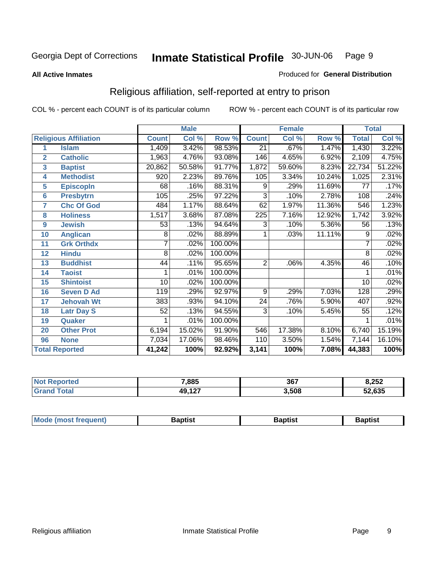#### **All Active Inmates**

#### Produced for **General Distribution**

# Religious affiliation, self-reported at entry to prison

|                  |                              |                | <b>Male</b> |         |                 | <b>Female</b>             |        |              | <b>Total</b> |
|------------------|------------------------------|----------------|-------------|---------|-----------------|---------------------------|--------|--------------|--------------|
|                  | <b>Religious Affiliation</b> | <b>Count</b>   | Col %       | Row %   | <b>Count</b>    | $\overline{\text{Col}}$ % | Row %  | <b>Total</b> | Col %        |
| 1                | <b>Islam</b>                 | 1,409          | 3.42%       | 98.53%  | $\overline{21}$ | .67%                      | 1.47%  | 1,430        | 3.22%        |
| $\overline{2}$   | <b>Catholic</b>              | 1,963          | 4.76%       | 93.08%  | 146             | 4.65%                     | 6.92%  | 2,109        | 4.75%        |
| 3                | <b>Baptist</b>               | 20,862         | 50.58%      | 91.77%  | 1,872           | 59.60%                    | 8.23%  | 22,734       | 51.22%       |
| 4                | <b>Methodist</b>             | 920            | 2.23%       | 89.76%  | 105             | 3.34%                     | 10.24% | 1,025        | 2.31%        |
| 5                | <b>EpiscopIn</b>             | 68             | .16%        | 88.31%  | 9               | .29%                      | 11.69% | 77           | .17%         |
| 6                | <b>Presbytrn</b>             | 105            | .25%        | 97.22%  | 3               | .10%                      | 2.78%  | 108          | .24%         |
| 7                | <b>Chc Of God</b>            | 484            | 1.17%       | 88.64%  | 62              | 1.97%                     | 11.36% | 546          | 1.23%        |
| 8                | <b>Holiness</b>              | 1,517          | 3.68%       | 87.08%  | 225             | 7.16%                     | 12.92% | 1,742        | 3.92%        |
| $\boldsymbol{9}$ | <b>Jewish</b>                | 53             | .13%        | 94.64%  | 3               | .10%                      | 5.36%  | 56           | .13%         |
| 10               | <b>Anglican</b>              | 8              | .02%        | 88.89%  | 1               | .03%                      | 11.11% | 9            | .02%         |
| 11               | <b>Grk Orthdx</b>            | 7              | .02%        | 100.00% |                 |                           |        | 7            | .02%         |
| 12               | <b>Hindu</b>                 | $\overline{8}$ | .02%        | 100.00% |                 |                           |        | 8            | .02%         |
| 13               | <b>Buddhist</b>              | 44             | .11%        | 95.65%  | $\overline{2}$  | .06%                      | 4.35%  | 46           | .10%         |
| 14               | <b>Taoist</b>                |                | .01%        | 100.00% |                 |                           |        |              | .01%         |
| 15               | <b>Shintoist</b>             | 10             | .02%        | 100.00% |                 |                           |        | 10           | .02%         |
| 16               | <b>Seven D Ad</b>            | 119            | .29%        | 92.97%  | 9               | .29%                      | 7.03%  | 128          | .29%         |
| 17               | <b>Jehovah Wt</b>            | 383            | .93%        | 94.10%  | 24              | .76%                      | 5.90%  | 407          | .92%         |
| 18               | <b>Latr Day S</b>            | 52             | .13%        | 94.55%  | 3               | .10%                      | 5.45%  | 55           | .12%         |
| 19               | Quaker                       |                | .01%        | 100.00% |                 |                           |        |              | .01%         |
| 20               | <b>Other Prot</b>            | 6,194          | 15.02%      | 91.90%  | 546             | 17.38%                    | 8.10%  | 6,740        | 15.19%       |
| 96               | <b>None</b>                  | 7,034          | 17.06%      | 98.46%  | 110             | 3.50%                     | 1.54%  | 7,144        | 16.10%       |
|                  | <b>Total Reported</b>        | 41,242         | 100%        | 92.92%  | 3,141           | 100%                      | 7.08%  | 44,383       | 100%         |

| <b>Not Reported</b> | 7,885         | 367   | 8,252  |
|---------------------|---------------|-------|--------|
| <b>Total</b><br>Gra | 127<br>49,127 | 3,508 | 52,635 |

|  | <b>Mode</b><br>frequent)<br><b>IMOST</b> 1 | 3aptist<br>____ | 3aptist<br>__ | Baptist |
|--|--------------------------------------------|-----------------|---------------|---------|
|--|--------------------------------------------|-----------------|---------------|---------|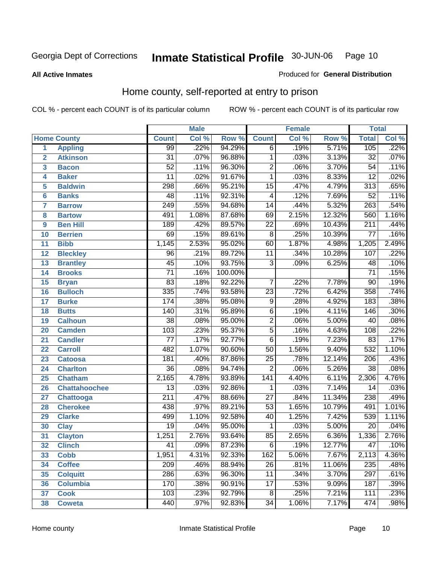**All Active Inmates**

#### Produced for **General Distribution**

# Home county, self-reported at entry to prison

|                 |                      |                  | <b>Male</b> |         |                  | <b>Female</b> |        |                  | <b>Total</b> |  |
|-----------------|----------------------|------------------|-------------|---------|------------------|---------------|--------|------------------|--------------|--|
|                 | <b>Home County</b>   | <b>Count</b>     | Col %       | Row %   | <b>Count</b>     | Col %         | Row %  | <b>Total</b>     | Col %        |  |
| 1               | <b>Appling</b>       | 99               | .22%        | 94.29%  | $\overline{6}$   | .19%          | 5.71%  | 105              | .22%         |  |
| $\overline{2}$  | <b>Atkinson</b>      | $\overline{31}$  | .07%        | 96.88%  | 1                | .03%          | 3.13%  | $\overline{32}$  | .07%         |  |
| 3               | <b>Bacon</b>         | $\overline{52}$  | .11%        | 96.30%  | $\overline{2}$   | .06%          | 3.70%  | $\overline{54}$  | .11%         |  |
| 4               | <b>Baker</b>         | $\overline{11}$  | .02%        | 91.67%  | 1                | .03%          | 8.33%  | $\overline{12}$  | .02%         |  |
| 5               | <b>Baldwin</b>       | 298              | .66%        | 95.21%  | $\overline{15}$  | .47%          | 4.79%  | $\overline{313}$ | .65%         |  |
| 6               | <b>Banks</b>         | 48               | .11%        | 92.31%  | 4                | .12%          | 7.69%  | $\overline{52}$  | .11%         |  |
| $\overline{7}$  | <b>Barrow</b>        | 249              | .55%        | 94.68%  | $\overline{14}$  | .44%          | 5.32%  | $\overline{263}$ | .54%         |  |
| 8               | <b>Bartow</b>        | 491              | 1.08%       | 87.68%  | 69               | 2.15%         | 12.32% | 560              | 1.16%        |  |
| 9               | <b>Ben Hill</b>      | 189              | .42%        | 89.57%  | $\overline{22}$  | .69%          | 10.43% | $\overline{211}$ | .44%         |  |
| 10              | <b>Berrien</b>       | 69               | .15%        | 89.61%  | $\overline{8}$   | .25%          | 10.39% | $\overline{77}$  | .16%         |  |
| 11              | <b>Bibb</b>          | 1,145            | 2.53%       | 95.02%  | 60               | 1.87%         | 4.98%  | 1,205            | 2.49%        |  |
| 12              | <b>Bleckley</b>      | $\overline{96}$  | .21%        | 89.72%  | 11               | .34%          | 10.28% | 107              | .22%         |  |
| 13              | <b>Brantley</b>      | $\overline{45}$  | .10%        | 93.75%  | $\overline{3}$   | .09%          | 6.25%  | 48               | .10%         |  |
| 14              | <b>Brooks</b>        | $\overline{71}$  | .16%        | 100.00% |                  |               |        | $\overline{71}$  | .15%         |  |
| 15              | <b>Bryan</b>         | $\overline{83}$  | .18%        | 92.22%  | $\overline{7}$   | .22%          | 7.78%  | $\overline{90}$  | .19%         |  |
| 16              | <b>Bulloch</b>       | 335              | .74%        | 93.58%  | $\overline{23}$  | .72%          | 6.42%  | 358              | .74%         |  |
| $\overline{17}$ | <b>Burke</b>         | 174              | .38%        | 95.08%  | $\overline{9}$   | .28%          | 4.92%  | 183              | .38%         |  |
| 18              | <b>Butts</b>         | 140              | .31%        | 95.89%  | $\overline{6}$   | .19%          | 4.11%  | 146              | .30%         |  |
| 19              | <b>Calhoun</b>       | $\overline{38}$  | .08%        | 95.00%  | $\overline{2}$   | .06%          | 5.00%  | $\overline{40}$  | .08%         |  |
| 20              | <b>Camden</b>        | 103              | .23%        | 95.37%  | $\overline{5}$   | .16%          | 4.63%  | 108              | .22%         |  |
| 21              | <b>Candler</b>       | $\overline{77}$  | .17%        | 92.77%  | $\overline{6}$   | .19%          | 7.23%  | $\overline{83}$  | .17%         |  |
| 22              | <b>Carroll</b>       | 482              | 1.07%       | 90.60%  | $\overline{50}$  | 1.56%         | 9.40%  | $\overline{532}$ | 1.10%        |  |
| 23              | <b>Catoosa</b>       | 181              | .40%        | 87.86%  | $\overline{25}$  | .78%          | 12.14% | $\overline{206}$ | .43%         |  |
| 24              | <b>Charlton</b>      | $\overline{36}$  | .08%        | 94.74%  | $\overline{2}$   | .06%          | 5.26%  | $\overline{38}$  | .08%         |  |
| 25              | <b>Chatham</b>       | 2,165            | 4.78%       | 93.89%  | $\overline{141}$ | 4.40%         | 6.11%  | 2,306            | 4.76%        |  |
| 26              | <b>Chattahoochee</b> | $\overline{13}$  | .03%        | 92.86%  | 1                | .03%          | 7.14%  | $\overline{14}$  | .03%         |  |
| 27              | Chattooga            | $\overline{211}$ | .47%        | 88.66%  | $\overline{27}$  | .84%          | 11.34% | 238              | .49%         |  |
| 28              | <b>Cherokee</b>      | 438              | .97%        | 89.21%  | $\overline{53}$  | 1.65%         | 10.79% | 491              | 1.01%        |  |
| 29              | <b>Clarke</b>        | 499              | 1.10%       | 92.58%  | $\overline{40}$  | 1.25%         | 7.42%  | 539              | 1.11%        |  |
| 30              | <b>Clay</b>          | $\overline{19}$  | .04%        | 95.00%  | 1                | .03%          | 5.00%  | $\overline{20}$  | .04%         |  |
| 31              | <b>Clayton</b>       | 1,251            | 2.76%       | 93.64%  | 85               | 2.65%         | 6.36%  | 1,336            | 2.76%        |  |
| 32              | <b>Clinch</b>        | 41               | .09%        | 87.23%  | 6                | .19%          | 12.77% | 47               | .10%         |  |
| 33              | <b>Cobb</b>          | 1,951            | 4.31%       | 92.33%  | 162              | 5.06%         | 7.67%  | 2,113            | 4.36%        |  |
| 34              | <b>Coffee</b>        | 209              | .46%        | 88.94%  | 26               | .81%          | 11.06% | 235              | .48%         |  |
| 35              | <b>Colquitt</b>      | 286              | .63%        | 96.30%  | 11               | .34%          | 3.70%  | $\overline{297}$ | .61%         |  |
| 36              | <b>Columbia</b>      | 170              | .38%        | 90.91%  | 17               | .53%          | 9.09%  | 187              | .39%         |  |
| 37              | <b>Cook</b>          | 103              | .23%        | 92.79%  | 8                | .25%          | 7.21%  | 111              | .23%         |  |
| 38              | <b>Coweta</b>        | 440              | .97%        | 92.83%  | $\overline{34}$  | 1.06%         | 7.17%  | 474              | .98%         |  |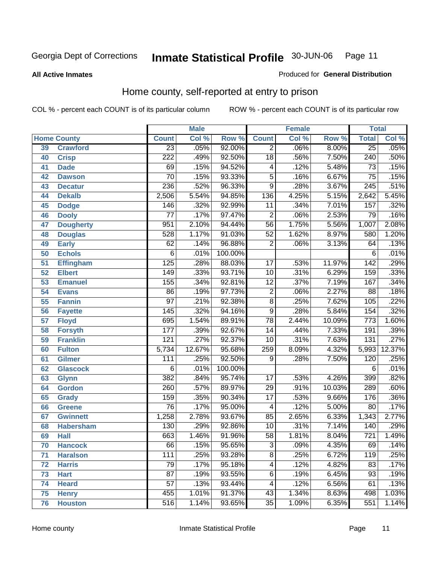#### **All Active Inmates**

#### Produced for **General Distribution**

# Home county, self-reported at entry to prison

|                 |                    | <b>Male</b>      |        | <b>Female</b> |                  |       | <b>Total</b> |                  |        |
|-----------------|--------------------|------------------|--------|---------------|------------------|-------|--------------|------------------|--------|
|                 | <b>Home County</b> | <b>Count</b>     | Col %  | Row %         | <b>Count</b>     | Col % | Row %        | <b>Total</b>     | Col %  |
| 39              | <b>Crawford</b>    | $\overline{23}$  | .05%   | 92.00%        | $\overline{2}$   | .06%  | 8.00%        | $\overline{25}$  | .05%   |
| 40              | <b>Crisp</b>       | $\overline{222}$ | .49%   | 92.50%        | $\overline{18}$  | .56%  | 7.50%        | $\overline{240}$ | .50%   |
| 41              | <b>Dade</b>        | 69               | .15%   | 94.52%        | 4                | .12%  | 5.48%        | $\overline{73}$  | .15%   |
| 42              | <b>Dawson</b>      | $\overline{70}$  | .15%   | 93.33%        | $\overline{5}$   | .16%  | 6.67%        | $\overline{75}$  | .15%   |
| 43              | <b>Decatur</b>     | 236              | .52%   | 96.33%        | $\overline{9}$   | .28%  | 3.67%        | $\overline{245}$ | .51%   |
| 44              | <b>Dekalb</b>      | 2,506            | 5.54%  | 94.85%        | $\overline{136}$ | 4.25% | 5.15%        | 2,642            | 5.45%  |
| 45              | <b>Dodge</b>       | 146              | .32%   | 92.99%        | $\overline{11}$  | .34%  | 7.01%        | 157              | .32%   |
| 46              | <b>Dooly</b>       | $\overline{77}$  | .17%   | 97.47%        | $\overline{2}$   | .06%  | 2.53%        | 79               | .16%   |
| 47              | <b>Dougherty</b>   | 951              | 2.10%  | 94.44%        | $\overline{56}$  | 1.75% | 5.56%        | 1,007            | 2.08%  |
| 48              | <b>Douglas</b>     | 528              | 1.17%  | 91.03%        | $\overline{52}$  | 1.62% | 8.97%        | 580              | 1.20%  |
| 49              | <b>Early</b>       | $\overline{62}$  | .14%   | 96.88%        | $\overline{2}$   | .06%  | 3.13%        | 64               | .13%   |
| 50              | <b>Echols</b>      | 6                | .01%   | 100.00%       |                  |       |              | 6                | .01%   |
| $\overline{51}$ | <b>Effingham</b>   | 125              | .28%   | 88.03%        | $\overline{17}$  | .53%  | 11.97%       | 142              | .29%   |
| 52              | <b>Elbert</b>      | $\overline{149}$ | .33%   | 93.71%        | $\overline{10}$  | .31%  | 6.29%        | 159              | .33%   |
| 53              | <b>Emanuel</b>     | 155              | .34%   | 92.81%        | $\overline{12}$  | .37%  | 7.19%        | 167              | .34%   |
| 54              | <b>Evans</b>       | $\overline{86}$  | .19%   | 97.73%        | $\overline{2}$   | .06%  | 2.27%        | $\overline{88}$  | .18%   |
| 55              | <b>Fannin</b>      | $\overline{97}$  | .21%   | 92.38%        | $\overline{8}$   | .25%  | 7.62%        | 105              | .22%   |
| 56              | <b>Fayette</b>     | 145              | .32%   | 94.16%        | $\overline{9}$   | .28%  | 5.84%        | 154              | .32%   |
| 57              | <b>Floyd</b>       | 695              | 1.54%  | 89.91%        | $\overline{78}$  | 2.44% | 10.09%       | $\overline{773}$ | 1.60%  |
| 58              | <b>Forsyth</b>     | 177              | .39%   | 92.67%        | 14               | .44%  | 7.33%        | 191              | .39%   |
| 59              | <b>Franklin</b>    | $\overline{121}$ | .27%   | 92.37%        | 10               | .31%  | 7.63%        | 131              | .27%   |
| 60              | <b>Fulton</b>      | 5,734            | 12.67% | 95.68%        | 259              | 8.09% | 4.32%        | 5,993            | 12.37% |
| 61              | Gilmer             | 111              | .25%   | 92.50%        | $\overline{9}$   | .28%  | 7.50%        | 120              | .25%   |
| 62              | <b>Glascock</b>    | $\overline{6}$   | .01%   | 100.00%       |                  |       |              | $\overline{6}$   | .01%   |
| 63              | <b>Glynn</b>       | 382              | .84%   | 95.74%        | $\overline{17}$  | .53%  | 4.26%        | 399              | .82%   |
| 64              | <b>Gordon</b>      | $\overline{260}$ | .57%   | 89.97%        | $\overline{29}$  | .91%  | 10.03%       | 289              | .60%   |
| 65              | <b>Grady</b>       | 159              | .35%   | 90.34%        | $\overline{17}$  | .53%  | 9.66%        | 176              | .36%   |
| 66              | <b>Greene</b>      | $\overline{76}$  | .17%   | 95.00%        | 4                | .12%  | 5.00%        | $\overline{80}$  | .17%   |
| 67              | <b>Gwinnett</b>    | 1,258            | 2.78%  | 93.67%        | 85               | 2.65% | 6.33%        | 1,343            | 2.77%  |
| 68              | <b>Habersham</b>   | 130              | .29%   | 92.86%        | 10               | .31%  | 7.14%        | 140              | .29%   |
| 69              | <b>Hall</b>        | 663              | 1.46%  | 91.96%        | $\overline{58}$  | 1.81% | 8.04%        | $\overline{721}$ | 1.49%  |
| 70              | <b>Hancock</b>     | 66               | .15%   | 95.65%        | 3                | .09%  | 4.35%        | 69               | .14%   |
| 71              | <b>Haralson</b>    | 111              | .25%   | 93.28%        | $\overline{8}$   | .25%  | 6.72%        | 119              | .25%   |
| 72              | <b>Harris</b>      | $\overline{79}$  | .17%   | 95.18%        | 4                | .12%  | 4.82%        | 83               | .17%   |
| 73              | <b>Hart</b>        | $\overline{87}$  | .19%   | 93.55%        | 6                | .19%  | 6.45%        | $\overline{93}$  | .19%   |
| 74              | <b>Heard</b>       | $\overline{57}$  | .13%   | 93.44%        | 4                | .12%  | 6.56%        | 61               | .13%   |
| 75              | <b>Henry</b>       | 455              | 1.01%  | 91.37%        | 43               | 1.34% | 8.63%        | 498              | 1.03%  |
| 76              | <b>Houston</b>     | 516              | 1.14%  | 93.65%        | $\overline{35}$  | 1.09% | 6.35%        | 551              | 1.14%  |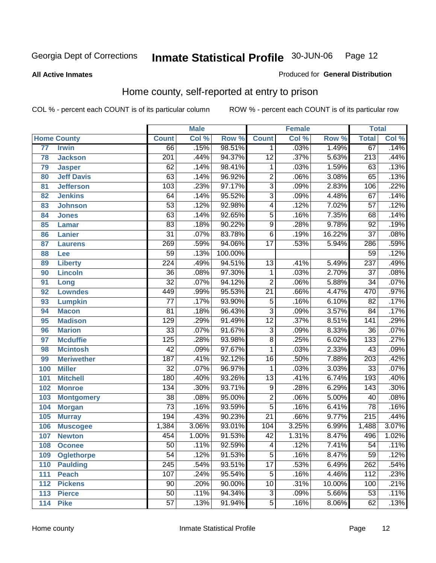#### **All Active Inmates**

#### Produced for **General Distribution**

# Home county, self-reported at entry to prison

|     |                    |                  | <b>Male</b> |         |                 | <b>Female</b> |        | <b>Total</b>     |       |
|-----|--------------------|------------------|-------------|---------|-----------------|---------------|--------|------------------|-------|
|     | <b>Home County</b> | <b>Count</b>     | Col %       | Row %   | <b>Count</b>    | Col %         | Row %  | <b>Total</b>     | Col % |
| 77  | <b>Irwin</b>       | 66               | .15%        | 98.51%  | 1               | .03%          | 1.49%  | 67               | .14%  |
| 78  | <b>Jackson</b>     | $\overline{201}$ | .44%        | 94.37%  | $\overline{12}$ | .37%          | 5.63%  | $\overline{213}$ | .44%  |
| 79  | <b>Jasper</b>      | 62               | .14%        | 98.41%  | 1               | .03%          | 1.59%  | 63               | .13%  |
| 80  | <b>Jeff Davis</b>  | 63               | .14%        | 96.92%  | $\overline{2}$  | .06%          | 3.08%  | 65               | .13%  |
| 81  | <b>Jefferson</b>   | $\overline{103}$ | .23%        | 97.17%  | $\overline{3}$  | .09%          | 2.83%  | 106              | .22%  |
| 82  | <b>Jenkins</b>     | 64               | .14%        | 95.52%  | $\overline{3}$  | .09%          | 4.48%  | 67               | .14%  |
| 83  | <b>Johnson</b>     | $\overline{53}$  | .12%        | 92.98%  | 4               | .12%          | 7.02%  | $\overline{57}$  | .12%  |
| 84  | <b>Jones</b>       | 63               | .14%        | 92.65%  | 5               | .16%          | 7.35%  | 68               | .14%  |
| 85  | <b>Lamar</b>       | $\overline{83}$  | .18%        | 90.22%  | $\overline{9}$  | .28%          | 9.78%  | $\overline{92}$  | .19%  |
| 86  | <b>Lanier</b>      | $\overline{31}$  | .07%        | 83.78%  | $\overline{6}$  | .19%          | 16.22% | $\overline{37}$  | .08%  |
| 87  | <b>Laurens</b>     | 269              | .59%        | 94.06%  | $\overline{17}$ | .53%          | 5.94%  | 286              | .59%  |
| 88  | Lee                | $\overline{59}$  | .13%        | 100.00% |                 |               |        | $\overline{59}$  | .12%  |
| 89  | <b>Liberty</b>     | 224              | .49%        | 94.51%  | $\overline{13}$ | .41%          | 5.49%  | $\overline{237}$ | .49%  |
| 90  | <b>Lincoln</b>     | $\overline{36}$  | .08%        | 97.30%  | 1               | .03%          | 2.70%  | $\overline{37}$  | .08%  |
| 91  | Long               | $\overline{32}$  | .07%        | 94.12%  | $\overline{2}$  | .06%          | 5.88%  | $\overline{34}$  | .07%  |
| 92  | <b>Lowndes</b>     | 449              | .99%        | 95.53%  | $\overline{21}$ | .66%          | 4.47%  | 470              | .97%  |
| 93  | <b>Lumpkin</b>     | $\overline{77}$  | .17%        | 93.90%  | $\overline{5}$  | .16%          | 6.10%  | $\overline{82}$  | .17%  |
| 94  | <b>Macon</b>       | $\overline{81}$  | .18%        | 96.43%  | $\overline{3}$  | .09%          | 3.57%  | $\overline{84}$  | .17%  |
| 95  | <b>Madison</b>     | 129              | .29%        | 91.49%  | $\overline{12}$ | .37%          | 8.51%  | $\overline{141}$ | .29%  |
| 96  | <b>Marion</b>      | $\overline{33}$  | .07%        | 91.67%  | $\overline{3}$  | .09%          | 8.33%  | $\overline{36}$  | .07%  |
| 97  | <b>Mcduffie</b>    | $\overline{125}$ | .28%        | 93.98%  | $\overline{8}$  | .25%          | 6.02%  | 133              | .27%  |
| 98  | <b>Mcintosh</b>    | $\overline{42}$  | .09%        | 97.67%  | 1               | .03%          | 2.33%  | $\overline{43}$  | .09%  |
| 99  | <b>Meriwether</b>  | 187              | .41%        | 92.12%  | 16              | .50%          | 7.88%  | $\overline{203}$ | .42%  |
| 100 | <b>Miller</b>      | $\overline{32}$  | .07%        | 96.97%  | 1               | .03%          | 3.03%  | $\overline{33}$  | .07%  |
| 101 | <b>Mitchell</b>    | 180              | .40%        | 93.26%  | $\overline{13}$ | .41%          | 6.74%  | 193              | .40%  |
| 102 | <b>Monroe</b>      | 134              | .30%        | 93.71%  | $\overline{9}$  | .28%          | 6.29%  | 143              | .30%  |
| 103 | <b>Montgomery</b>  | $\overline{38}$  | .08%        | 95.00%  | $\overline{2}$  | .06%          | 5.00%  | $\overline{40}$  | .08%  |
| 104 | <b>Morgan</b>      | $\overline{73}$  | .16%        | 93.59%  | $\overline{5}$  | .16%          | 6.41%  | $\overline{78}$  | .16%  |
| 105 | <b>Murray</b>      | 194              | .43%        | 90.23%  | $\overline{21}$ | .66%          | 9.77%  | $\overline{215}$ | .44%  |
| 106 | <b>Muscogee</b>    | 1,384            | 3.06%       | 93.01%  | 104             | 3.25%         | 6.99%  | 1,488            | 3.07% |
| 107 | <b>Newton</b>      | 454              | 1.00%       | 91.53%  | $\overline{42}$ | 1.31%         | 8.47%  | 496              | 1.02% |
| 108 | <b>Oconee</b>      | 50               | .11%        | 92.59%  | 4               | .12%          | 7.41%  | 54               | .11%  |
| 109 | <b>Oglethorpe</b>  | $\overline{54}$  | .12%        | 91.53%  | $\overline{5}$  | .16%          | 8.47%  | $\overline{59}$  | .12%  |
| 110 | <b>Paulding</b>    | $\overline{245}$ | .54%        | 93.51%  | $\overline{17}$ | .53%          | 6.49%  | 262              | .54%  |
| 111 | <b>Peach</b>       | 107              | .24%        | 95.54%  | 5               | .16%          | 4.46%  | 112              | .23%  |
| 112 | <b>Pickens</b>     | 90               | .20%        | 90.00%  | 10              | .31%          | 10.00% | 100              | .21%  |
| 113 | <b>Pierce</b>      | $\overline{50}$  | .11%        | 94.34%  | $\overline{3}$  | .09%          | 5.66%  | $\overline{53}$  | .11%  |
| 114 | <b>Pike</b>        | $\overline{57}$  | .13%        | 91.94%  | $\overline{5}$  | .16%          | 8.06%  | 62               | .13%  |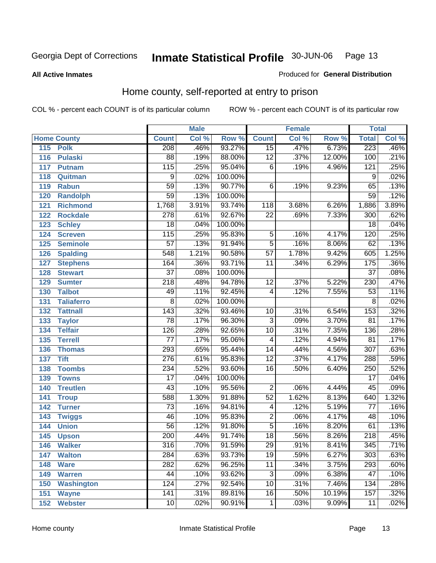#### **All Active Inmates**

#### Produced for **General Distribution**

# Home county, self-reported at entry to prison

|     |                    |                  | <b>Male</b> |         |                 | <b>Female</b> |        | <b>Total</b>     |       |
|-----|--------------------|------------------|-------------|---------|-----------------|---------------|--------|------------------|-------|
|     | <b>Home County</b> | <b>Count</b>     | Col %       | Row %   | <b>Count</b>    | Col %         | Row %  | <b>Total</b>     | Col % |
| 115 | <b>Polk</b>        | 208              | .46%        | 93.27%  | 15              | .47%          | 6.73%  | 223              | .46%  |
| 116 | <b>Pulaski</b>     | $\overline{88}$  | .19%        | 88.00%  | $\overline{12}$ | .37%          | 12.00% | 100              | .21%  |
| 117 | <b>Putnam</b>      | $\overline{115}$ | .25%        | 95.04%  | $\overline{6}$  | .19%          | 4.96%  | 121              | .25%  |
| 118 | Quitman            | $\overline{9}$   | .02%        | 100.00% |                 |               |        | $\overline{9}$   | .02%  |
| 119 | <b>Rabun</b>       | $\overline{59}$  | .13%        | 90.77%  | 6               | .19%          | 9.23%  | 65               | .13%  |
| 120 | <b>Randolph</b>    | $\overline{59}$  | .13%        | 100.00% |                 |               |        | $\overline{59}$  | .12%  |
| 121 | <b>Richmond</b>    | 1,768            | 3.91%       | 93.74%  | 118             | 3.68%         | 6.26%  | 1,886            | 3.89% |
| 122 | <b>Rockdale</b>    | $\overline{278}$ | .61%        | 92.67%  | 22              | .69%          | 7.33%  | 300              | .62%  |
| 123 | <b>Schley</b>      | $\overline{18}$  | .04%        | 100.00% |                 |               |        | $\overline{18}$  | .04%  |
| 124 | <b>Screven</b>     | $\overline{115}$ | .25%        | 95.83%  | 5               | .16%          | 4.17%  | 120              | .25%  |
| 125 | <b>Seminole</b>    | $\overline{57}$  | .13%        | 91.94%  | $\overline{5}$  | .16%          | 8.06%  | 62               | .13%  |
| 126 | <b>Spalding</b>    | 548              | 1.21%       | 90.58%  | $\overline{57}$ | 1.78%         | 9.42%  | 605              | 1.25% |
| 127 | <b>Stephens</b>    | 164              | .36%        | 93.71%  | $\overline{11}$ | .34%          | 6.29%  | 175              | .36%  |
| 128 | <b>Stewart</b>     | $\overline{37}$  | .08%        | 100.00% |                 |               |        | $\overline{37}$  | .08%  |
| 129 | <b>Sumter</b>      | $\overline{218}$ | .48%        | 94.78%  | $\overline{12}$ | .37%          | 5.22%  | 230              | .47%  |
| 130 | <b>Talbot</b>      | 49               | .11%        | 92.45%  | 4               | .12%          | 7.55%  | $\overline{53}$  | .11%  |
| 131 | <b>Taliaferro</b>  | $\overline{8}$   | .02%        | 100.00% |                 |               |        | $\overline{8}$   | .02%  |
| 132 | <b>Tattnall</b>    | $\overline{143}$ | .32%        | 93.46%  | 10              | .31%          | 6.54%  | 153              | .32%  |
| 133 | <b>Taylor</b>      | $\overline{78}$  | .17%        | 96.30%  | $\overline{3}$  | .09%          | 3.70%  | $\overline{81}$  | .17%  |
| 134 | <b>Telfair</b>     | 126              | .28%        | 92.65%  | $\overline{10}$ | .31%          | 7.35%  | 136              | .28%  |
| 135 | <b>Terrell</b>     | $\overline{77}$  | .17%        | 95.06%  | $\overline{4}$  | .12%          | 4.94%  | $\overline{81}$  | .17%  |
| 136 | <b>Thomas</b>      | 293              | .65%        | 95.44%  | $\overline{14}$ | .44%          | 4.56%  | $\overline{307}$ | .63%  |
| 137 | <b>Tift</b>        | 276              | .61%        | 95.83%  | $\overline{12}$ | .37%          | 4.17%  | 288              | .59%  |
| 138 | <b>Toombs</b>      | 234              | .52%        | 93.60%  | $\overline{16}$ | .50%          | 6.40%  | 250              | .52%  |
| 139 | <b>Towns</b>       | $\overline{17}$  | .04%        | 100.00% |                 |               |        | $\overline{17}$  | .04%  |
| 140 | <b>Treutlen</b>    | 43               | .10%        | 95.56%  | $\overline{2}$  | .06%          | 4.44%  | 45               | .09%  |
| 141 | <b>Troup</b>       | 588              | 1.30%       | 91.88%  | $\overline{52}$ | 1.62%         | 8.13%  | 640              | 1.32% |
| 142 | <b>Turner</b>      | $\overline{73}$  | .16%        | 94.81%  | 4               | .12%          | 5.19%  | 77               | .16%  |
| 143 | <b>Twiggs</b>      | $\overline{46}$  | .10%        | 95.83%  | $\overline{2}$  | .06%          | 4.17%  | $\overline{48}$  | .10%  |
| 144 | <b>Union</b>       | $\overline{56}$  | .12%        | 91.80%  | $\overline{5}$  | .16%          | 8.20%  | 61               | .13%  |
| 145 | <b>Upson</b>       | $\overline{200}$ | .44%        | 91.74%  | $\overline{18}$ | .56%          | 8.26%  | $\overline{218}$ | .45%  |
| 146 | <b>Walker</b>      | 316              | .70%        | 91.59%  | 29              | .91%          | 8.41%  | 345              | .71%  |
| 147 | <b>Walton</b>      | 284              | .63%        | 93.73%  | $\overline{19}$ | .59%          | 6.27%  | 303              | .63%  |
| 148 | <b>Ware</b>        | 282              | .62%        | 96.25%  | 11              | .34%          | 3.75%  | 293              | .60%  |
| 149 | <b>Warren</b>      | 44               | .10%        | 93.62%  | 3               | .09%          | 6.38%  | $\overline{47}$  | .10%  |
| 150 | <b>Washington</b>  | 124              | .27%        | 92.54%  | 10              | .31%          | 7.46%  | 134              | .28%  |
| 151 | <b>Wayne</b>       | 141              | .31%        | 89.81%  | $\overline{16}$ | .50%          | 10.19% | 157              | .32%  |
| 152 | <b>Webster</b>     | 10               | .02%        | 90.91%  | $\mathbf{1}$    | .03%          | 9.09%  | 11               | .02%  |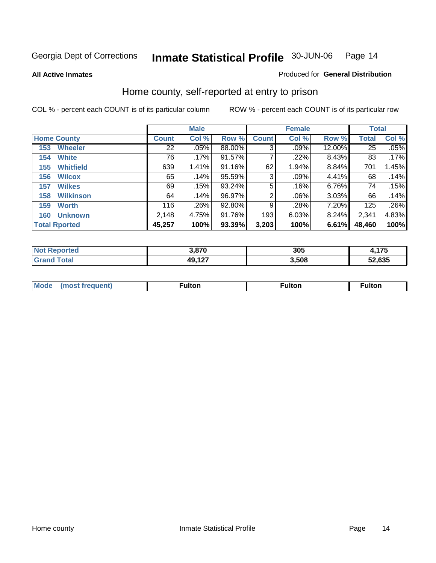**All Active Inmates**

#### Produced for **General Distribution**

# Home county, self-reported at entry to prison

|     |                      |              | <b>Male</b> |           |              | <b>Female</b> |        | <b>Total</b> |       |
|-----|----------------------|--------------|-------------|-----------|--------------|---------------|--------|--------------|-------|
|     | <b>Home County</b>   | <b>Count</b> | Col %       | Row %     | <b>Count</b> | Col %         | Row %  | <b>Total</b> | Col % |
| 153 | <b>Wheeler</b>       | 22           | $.05\%$     | 88.00%    | 3            | $.09\%$       | 12.00% | 25           | .05%  |
| 154 | <b>White</b>         | 76           | .17%        | 91.57%    |              | .22%          | 8.43%  | 83           | .17%  |
| 155 | <b>Whitfield</b>     | 639          | 1.41%       | $91.16\%$ | 62           | 1.94%         | 8.84%  | 701          | 1.45% |
| 156 | <b>Wilcox</b>        | 65           | .14%        | 95.59%    | 3            | .09%          | 4.41%  | 68           | .14%  |
| 157 | <b>Wilkes</b>        | 69           | .15%        | 93.24%    | 5            | .16%          | 6.76%  | 74           | .15%  |
| 158 | <b>Wilkinson</b>     | 64           | .14%        | 96.97%    | 2            | $.06\%$       | 3.03%  | 66           | .14%  |
| 159 | <b>Worth</b>         | 116          | .26%        | 92.80%    | 9            | .28%          | 7.20%  | 125          | .26%  |
| 160 | <b>Unknown</b>       | 2,148        | 4.75%       | 91.76%    | 193          | 6.03%         | 8.24%  | 2,341        | 4.83% |
|     | <b>Total Rported</b> | 45,257       | 100%        | 93.39%    | 3,203        | 100%          | 6.61%  | 48,460       | 100%  |

| <b>rted</b><br>NO1 | 3.870                  | 305   | $\rightarrow$ $\rightarrow$ $\rightarrow$<br>1 I J |
|--------------------|------------------------|-------|----------------------------------------------------|
| `otal              | ,,,,,<br>лч<br>.<br>т. | 3,508 | 52,635                                             |

| <b>Mode</b> | <b>ulton</b> | ⊺ulton | ultor |
|-------------|--------------|--------|-------|
|             |              |        |       |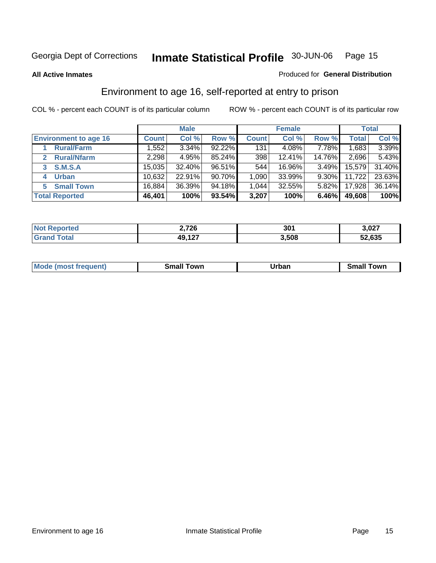#### **All Active Inmates**

#### Produced for **General Distribution**

# Environment to age 16, self-reported at entry to prison

|                              | <b>Male</b>  |        |           | <b>Female</b> |        |          | <b>Total</b> |        |
|------------------------------|--------------|--------|-----------|---------------|--------|----------|--------------|--------|
| <b>Environment to age 16</b> | <b>Count</b> | Col %  | Row %     | <b>Count</b>  | Col %  | Row %    | Total        | Col %  |
| <b>Rural/Farm</b>            | 552. ا       | 3.34%  | $92.22\%$ | 131           | 4.08%  | $7.78\%$ | .683         | 3.39%  |
| <b>Rural/Nfarm</b><br>2      | 2,298        | 4.95%  | 85.24%    | 398           | 12.41% | 14.76%   | 2,696        | 5.43%  |
| S.M.S.A                      | 15,035       | 32.40% | 96.51%    | 544           | 16.96% | 3.49%    | 15,579       | 31.40% |
| <b>Urban</b><br>4            | 10,632       | 22.91% | 90.70%    | 1,090         | 33.99% | 9.30%    | 11,722       | 23.63% |
| <b>Small Town</b><br>5.      | 16,884       | 36.39% | 94.18%    | 1,044         | 32.55% | 5.82%    | 17,928       | 36.14% |
| <b>Total Reported</b>        | 46,401       | 100%   | 93.54%    | 3,207         | 100%   | 6.46%    | 49,608       | 100%   |

| 2,726<br>Reported<br><b>NOT</b> |        | 301   | 3,027  |
|---------------------------------|--------|-------|--------|
| ™otai                           | 49,127 | 3,508 | 52,635 |

| Mo<br>. . | . owr | <u>'''' ''</u><br>roa<br>_____ | .0W <sub>r</sub> |
|-----------|-------|--------------------------------|------------------|
|           |       |                                |                  |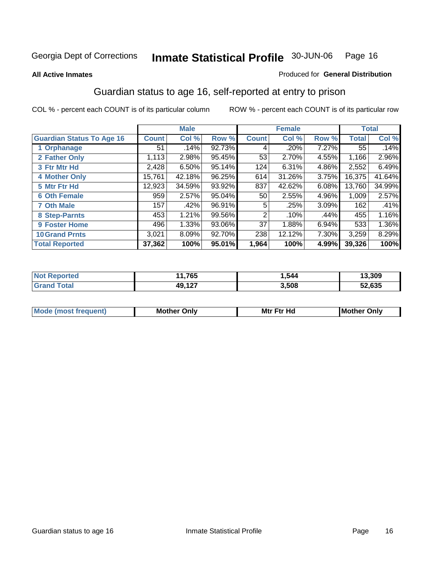#### **All Active Inmates**

#### Produced for **General Distribution**

# Guardian status to age 16, self-reported at entry to prison

|                                  | <b>Male</b>  |        | <b>Female</b> |              |        | <b>Total</b> |              |        |
|----------------------------------|--------------|--------|---------------|--------------|--------|--------------|--------------|--------|
| <b>Guardian Status To Age 16</b> | <b>Count</b> | Col %  | Row %         | <b>Count</b> | Col %  | Row %        | <b>Total</b> | Col %  |
| 1 Orphanage                      | 51           | .14%   | 92.73%        | 4            | .20%   | 7.27%        | 55           | .14%   |
| 2 Father Only                    | 1,113        | 2.98%  | 95.45%        | 53           | 2.70%  | 4.55%        | 1,166        | 2.96%  |
| 3 Ftr Mtr Hd                     | 2,428        | 6.50%  | 95.14%        | 124          | 6.31%  | 4.86%        | 2,552        | 6.49%  |
| <b>4 Mother Only</b>             | 15,761       | 42.18% | 96.25%        | 614          | 31.26% | 3.75%        | 16,375       | 41.64% |
| 5 Mtr Ftr Hd                     | 12,923       | 34.59% | 93.92%        | 837          | 42.62% | 6.08%        | 13,760       | 34.99% |
| <b>6 Oth Female</b>              | 959          | 2.57%  | 95.04%        | 50           | 2.55%  | 4.96%        | 1,009        | 2.57%  |
| <b>7 Oth Male</b>                | 157          | .42%   | 96.91%        | 5            | .25%   | 3.09%        | 162          | .41%   |
| 8 Step-Parnts                    | 453          | 1.21%  | 99.56%        | 2            | .10%   | .44%         | 455          | 1.16%  |
| 9 Foster Home                    | 496          | 1.33%  | 93.06%        | 37           | 1.88%  | 6.94%        | 533          | 1.36%  |
| <b>10 Grand Prnts</b>            | 3,021        | 8.09%  | 92.70%        | 238          | 12.12% | 7.30%        | 3,259        | 8.29%  |
| <b>Total Reported</b>            | 37,362       | 100%   | 95.01%        | 1,964        | 100%   | 4.99%        | 39,326       | 100%   |

| <b>765</b><br>ึง๛ | .544  | 13.309         |
|-------------------|-------|----------------|
| דה גם<br>$-1$     | 3.508 | -0.00F<br>.033 |

| <b>Mou</b> | <b>Mother</b><br>Onlv | Hд<br>Mtr Ftr | Only<br>lMoth |
|------------|-----------------------|---------------|---------------|
|            |                       |               |               |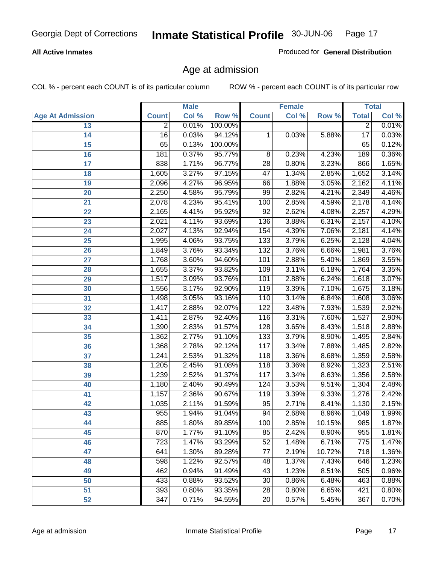#### **All Active Inmates**

Produced for **General Distribution**

# Age at admission

|                         | <b>Male</b>     |       | <b>Female</b> |                 |       | <b>Total</b> |                 |       |
|-------------------------|-----------------|-------|---------------|-----------------|-------|--------------|-----------------|-------|
| <b>Age At Admission</b> | <b>Count</b>    | Col % | Row %         | <b>Count</b>    | Col % | Row %        | <b>Total</b>    | Col % |
| 13                      | $\overline{2}$  | 0.01% | 100.00%       |                 |       |              | $\overline{2}$  | 0.01% |
| 14                      | $\overline{16}$ | 0.03% | 94.12%        | 1               | 0.03% | 5.88%        | $\overline{17}$ | 0.03% |
| 15                      | 65              | 0.13% | 100.00%       |                 |       |              | 65              | 0.12% |
| 16                      | 181             | 0.37% | 95.77%        | 8               | 0.23% | 4.23%        | 189             | 0.36% |
| $\overline{17}$         | 838             | 1.71% | 96.77%        | $\overline{28}$ | 0.80% | 3.23%        | 866             | 1.65% |
| 18                      | 1,605           | 3.27% | 97.15%        | $\overline{47}$ | 1.34% | 2.85%        | 1,652           | 3.14% |
| 19                      | 2,096           | 4.27% | 96.95%        | 66              | 1.88% | 3.05%        | 2,162           | 4.11% |
| 20                      | 2,250           | 4.58% | 95.79%        | 99              | 2.82% | 4.21%        | 2,349           | 4.46% |
| 21                      | 2,078           | 4.23% | 95.41%        | 100             | 2.85% | 4.59%        | 2,178           | 4.14% |
| 22                      | 2,165           | 4.41% | 95.92%        | $\overline{92}$ | 2.62% | 4.08%        | 2,257           | 4.29% |
| 23                      | 2,021           | 4.11% | 93.69%        | 136             | 3.88% | 6.31%        | 2,157           | 4.10% |
| 24                      | 2,027           | 4.13% | 92.94%        | 154             | 4.39% | 7.06%        | 2,181           | 4.14% |
| $\overline{25}$         | 1,995           | 4.06% | 93.75%        | 133             | 3.79% | 6.25%        | 2,128           | 4.04% |
| 26                      | 1,849           | 3.76% | 93.34%        | 132             | 3.76% | 6.66%        | 1,981           | 3.76% |
| 27                      | 1,768           | 3.60% | 94.60%        | 101             | 2.88% | 5.40%        | 1,869           | 3.55% |
| 28                      | 1,655           | 3.37% | 93.82%        | 109             | 3.11% | 6.18%        | 1,764           | 3.35% |
| 29                      | 1,517           | 3.09% | 93.76%        | 101             | 2.88% | 6.24%        | 1,618           | 3.07% |
| 30                      | 1,556           | 3.17% | 92.90%        | 119             | 3.39% | 7.10%        | 1,675           | 3.18% |
| 31                      | 1,498           | 3.05% | 93.16%        | 110             | 3.14% | 6.84%        | 1,608           | 3.06% |
| 32                      | 1,417           | 2.88% | 92.07%        | 122             | 3.48% | 7.93%        | 1,539           | 2.92% |
| 33                      | 1,411           | 2.87% | 92.40%        | 116             | 3.31% | 7.60%        | 1,527           | 2.90% |
| 34                      | 1,390           | 2.83% | 91.57%        | 128             | 3.65% | 8.43%        | 1,518           | 2.88% |
| 35                      | 1,362           | 2.77% | 91.10%        | 133             | 3.79% | 8.90%        | 1,495           | 2.84% |
| 36                      | 1,368           | 2.78% | 92.12%        | 117             | 3.34% | 7.88%        | 1,485           | 2.82% |
| 37                      | 1,241           | 2.53% | 91.32%        | 118             | 3.36% | 8.68%        | 1,359           | 2.58% |
| 38                      | 1,205           | 2.45% | 91.08%        | 118             | 3.36% | 8.92%        | 1,323           | 2.51% |
| 39                      | 1,239           | 2.52% | 91.37%        | 117             | 3.34% | 8.63%        | 1,356           | 2.58% |
| 40                      | 1,180           | 2.40% | 90.49%        | 124             | 3.53% | 9.51%        | 1,304           | 2.48% |
| 41                      | 1,157           | 2.36% | 90.67%        | 119             | 3.39% | 9.33%        | 1,276           | 2.42% |
| 42                      | 1,035           | 2.11% | 91.59%        | 95              | 2.71% | 8.41%        | 1,130           | 2.15% |
| 43                      | 955             | 1.94% | 91.04%        | 94              | 2.68% | 8.96%        | 1,049           | 1.99% |
| 44                      | 885             | 1.80% | 89.85%        | 100             | 2.85% | 10.15%       | 985             | 1.87% |
| 45                      | 870             | 1.77% | 91.10%        | 85              | 2.42% | 8.90%        | 955             | 1.81% |
| 46                      | 723             | 1.47% | 93.29%        | $\overline{52}$ | 1.48% | 6.71%        | 775             | 1.47% |
| 47                      | 641             | 1.30% | 89.28%        | 77              | 2.19% | 10.72%       | 718             | 1.36% |
| 48                      | 598             | 1.22% | 92.57%        | 48              | 1.37% | 7.43%        | 646             | 1.23% |
| 49                      | 462             | 0.94% | 91.49%        | 43              | 1.23% | 8.51%        | 505             | 0.96% |
| 50                      | 433             | 0.88% | 93.52%        | 30              | 0.86% | 6.48%        | 463             | 0.88% |
| 51                      | 393             | 0.80% | 93.35%        | $\overline{28}$ | 0.80% | 6.65%        | 421             | 0.80% |
| 52                      | 347             | 0.71% | 94.55%        | 20              | 0.57% | 5.45%        | 367             | 0.70% |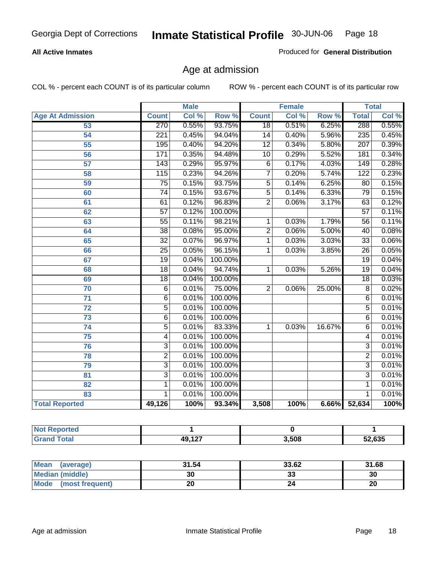#### **All Active Inmates**

Produced for **General Distribution**

# Age at admission

|                         | <b>Male</b>      |       |                  | <b>Female</b>   |       |        | <b>Total</b>     |       |
|-------------------------|------------------|-------|------------------|-----------------|-------|--------|------------------|-------|
| <b>Age At Admission</b> | <b>Count</b>     | Col % | Row <sup>%</sup> | <b>Count</b>    | Col % | Row %  | <b>Total</b>     | Col % |
| 53                      | 270              | 0.55% | 93.75%           | $\overline{18}$ | 0.51% | 6.25%  | 288              | 0.55% |
| 54                      | 221              | 0.45% | 94.04%           | 14              | 0.40% | 5.96%  | 235              | 0.45% |
| $\overline{55}$         | 195              | 0.40% | 94.20%           | $\overline{12}$ | 0.34% | 5.80%  | 207              | 0.39% |
| 56                      | 171              | 0.35% | 94.48%           | $\overline{10}$ | 0.29% | 5.52%  | 181              | 0.34% |
| 57                      | 143              | 0.29% | 95.97%           | $\overline{6}$  | 0.17% | 4.03%  | $\overline{149}$ | 0.28% |
| 58                      | $\overline{115}$ | 0.23% | 94.26%           | 7               | 0.20% | 5.74%  | $\overline{122}$ | 0.23% |
| 59                      | 75               | 0.15% | 93.75%           | $\overline{5}$  | 0.14% | 6.25%  | 80               | 0.15% |
| 60                      | $\overline{74}$  | 0.15% | 93.67%           | $\overline{5}$  | 0.14% | 6.33%  | $\overline{79}$  | 0.15% |
| 61                      | 61               | 0.12% | 96.83%           | $\overline{2}$  | 0.06% | 3.17%  | 63               | 0.12% |
| 62                      | $\overline{57}$  | 0.12% | 100.00%          |                 |       |        | $\overline{57}$  | 0.11% |
| 63                      | $\overline{55}$  | 0.11% | 98.21%           | 1               | 0.03% | 1.79%  | $\overline{56}$  | 0.11% |
| 64                      | $\overline{38}$  | 0.08% | 95.00%           | $\overline{2}$  | 0.06% | 5.00%  | 40               | 0.08% |
| 65                      | $\overline{32}$  | 0.07% | 96.97%           | 1               | 0.03% | 3.03%  | $\overline{33}$  | 0.06% |
| 66                      | $\overline{25}$  | 0.05% | 96.15%           | 1               | 0.03% | 3.85%  | $\overline{26}$  | 0.05% |
| 67                      | $\overline{19}$  | 0.04% | 100.00%          |                 |       |        | $\overline{19}$  | 0.04% |
| 68                      | $\overline{18}$  | 0.04% | 94.74%           | 1               | 0.03% | 5.26%  | $\overline{19}$  | 0.04% |
| 69                      | 18               | 0.04% | 100.00%          |                 |       |        | $\overline{18}$  | 0.03% |
| 70                      | $\overline{6}$   | 0.01% | 75.00%           | $\overline{2}$  | 0.06% | 25.00% | $\overline{8}$   | 0.02% |
| $\overline{71}$         | $\overline{6}$   | 0.01% | 100.00%          |                 |       |        | $\overline{6}$   | 0.01% |
| 72                      | $\overline{5}$   | 0.01% | 100.00%          |                 |       |        | $\overline{5}$   | 0.01% |
| $\overline{73}$         | $\overline{6}$   | 0.01% | 100.00%          |                 |       |        | 6                | 0.01% |
| $\overline{74}$         | $\overline{5}$   | 0.01% | 83.33%           | 1               | 0.03% | 16.67% | 6                | 0.01% |
| 75                      | $\overline{4}$   | 0.01% | 100.00%          |                 |       |        | $\overline{4}$   | 0.01% |
| 76                      | $\overline{3}$   | 0.01% | 100.00%          |                 |       |        | $\overline{3}$   | 0.01% |
| 78                      | $\overline{2}$   | 0.01% | 100.00%          |                 |       |        | $\overline{2}$   | 0.01% |
| 79                      | $\overline{3}$   | 0.01% | 100.00%          |                 |       |        | $\overline{3}$   | 0.01% |
| $\overline{81}$         | $\overline{3}$   | 0.01% | 100.00%          |                 |       |        | $\overline{3}$   | 0.01% |
| $\overline{82}$         | $\overline{1}$   | 0.01% | 100.00%          |                 |       |        | $\overline{1}$   | 0.01% |
| 83                      | 1                | 0.01% | 100.00%          |                 |       |        | 1                | 0.01% |
| <b>Total Reported</b>   | 49,126           | 100%  | 93.34%           | 3,508           | 100%  | 6.66%  | 52,634           | 100%  |

| N.<br>тео |                     |       |               |
|-----------|---------------------|-------|---------------|
|           | <b>49 127</b><br>≖₩ | 3,508 | $\sim$<br>ხან |

| Mean (average)       | 31.54 | 33.62    | 31.68 |
|----------------------|-------|----------|-------|
| Median (middle)      | 30    | n.<br>33 | 30    |
| Mode (most frequent) | 20    |          | 20    |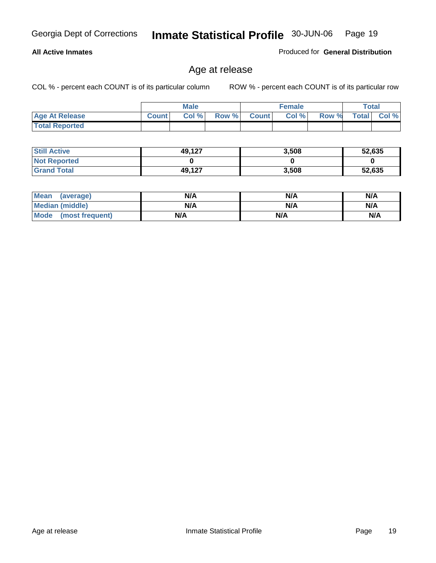#### **All Active Inmates**

Produced for **General Distribution**

# Age at release

|                       | <b>Male</b>  |      | <b>Female</b> |              |       | <b>Total</b> |              |       |
|-----------------------|--------------|------|---------------|--------------|-------|--------------|--------------|-------|
| <b>Age At Release</b> | <b>Count</b> | Col% | Row %         | <b>Count</b> | Col % | Row %        | <b>Total</b> | Col % |
| <b>Total Reported</b> |              |      |               |              |       |              |              |       |

| <b>Still Active</b> | 49,127 | 3,508 | 52,635 |
|---------------------|--------|-------|--------|
| <b>Not Reported</b> |        |       |        |
| <b>Grand Total</b>  | 49,127 | 3,508 | 52,635 |

| Mean (average)       | N/A | N/A | N/A |
|----------------------|-----|-----|-----|
| Median (middle)      | N/A | N/A | N/A |
| Mode (most frequent) | N/A | N/A | N/A |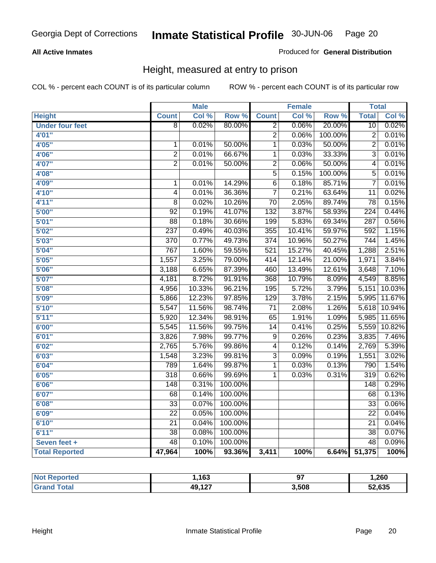#### **All Active Inmates**

Produced for **General Distribution**

# Height, measured at entry to prison

|                        |                  | <b>Male</b> |                  |                         | <b>Female</b> |         | <b>Total</b>     |        |
|------------------------|------------------|-------------|------------------|-------------------------|---------------|---------|------------------|--------|
| <b>Height</b>          | <b>Count</b>     | Col %       | Row <sup>%</sup> | <b>Count</b>            | Col %         | Row %   | <b>Total</b>     | Col %  |
| <b>Under four feet</b> | $\overline{8}$   | 0.02%       | 80.00%           | $\overline{2}$          | 0.06%         | 20.00%  | 10               | 0.02%  |
| 4'01"                  |                  |             |                  | $\overline{2}$          | 0.06%         | 100.00% | $\overline{2}$   | 0.01%  |
| 4'05"                  | $\mathbf{1}$     | 0.01%       | 50.00%           | $\overline{1}$          | 0.03%         | 50.00%  | $\overline{2}$   | 0.01%  |
| 4'06"                  | $\overline{2}$   | 0.01%       | 66.67%           | $\overline{1}$          | 0.03%         | 33.33%  | $\overline{3}$   | 0.01%  |
| 4'07"                  | $\overline{2}$   | 0.01%       | 50.00%           | $\overline{2}$          | 0.06%         | 50.00%  | $\overline{4}$   | 0.01%  |
| 4'08"                  |                  |             |                  | $\overline{5}$          | 0.15%         | 100.00% | 5                | 0.01%  |
| 4'09"                  | $\mathbf{1}$     | 0.01%       | 14.29%           | $\overline{6}$          | 0.18%         | 85.71%  | $\overline{7}$   | 0.01%  |
| 4'10"                  | 4                | 0.01%       | 36.36%           | $\overline{7}$          | 0.21%         | 63.64%  | 11               | 0.02%  |
| 4'11''                 | 8                | 0.02%       | 10.26%           | $\overline{70}$         | 2.05%         | 89.74%  | $\overline{78}$  | 0.15%  |
| 5'00"                  | $\overline{92}$  | 0.19%       | 41.07%           | $\overline{132}$        | 3.87%         | 58.93%  | $\overline{224}$ | 0.44%  |
| 5'01''                 | $\overline{88}$  | 0.18%       | 30.66%           | 199                     | 5.83%         | 69.34%  | 287              | 0.56%  |
| 5'02''                 | 237              | 0.49%       | 40.03%           | 355                     | 10.41%        | 59.97%  | 592              | 1.15%  |
| 5'03''                 | 370              | 0.77%       | 49.73%           | $\overline{374}$        | 10.96%        | 50.27%  | $\overline{744}$ | 1.45%  |
| 5'04"                  | 767              | 1.60%       | 59.55%           | 521                     | 15.27%        | 40.45%  | 1,288            | 2.51%  |
| 5'05''                 | 1,557            | 3.25%       | 79.00%           | 414                     | 12.14%        | 21.00%  | 1,971            | 3.84%  |
| 5'06''                 | 3,188            | 6.65%       | 87.39%           | 460                     | 13.49%        | 12.61%  | 3,648            | 7.10%  |
| 5'07''                 | 4,181            | 8.72%       | 91.91%           | 368                     | 10.79%        | 8.09%   | 4,549            | 8.85%  |
| 5'08''                 | 4,956            | 10.33%      | 96.21%           | 195                     | 5.72%         | 3.79%   | 5,151            | 10.03% |
| 5'09''                 | 5,866            | 12.23%      | 97.85%           | 129                     | 3.78%         | 2.15%   | 5,995            | 11.67% |
| 5'10''                 | 5,547            | 11.56%      | 98.74%           | $\overline{71}$         | 2.08%         | 1.26%   | 5,618            | 10.94% |
| 5'11''                 | 5,920            | 12.34%      | 98.91%           | 65                      | 1.91%         | 1.09%   | 5,985            | 11.65% |
| 6'00''                 | 5,545            | 11.56%      | 99.75%           | 14                      | 0.41%         | 0.25%   | 5,559            | 10.82% |
| 6'01''                 | 3,826            | 7.98%       | 99.77%           | $\overline{9}$          | 0.26%         | 0.23%   | 3,835            | 7.46%  |
| 6'02''                 | 2,765            | 5.76%       | 99.86%           | $\overline{\mathbf{4}}$ | 0.12%         | 0.14%   | 2,769            | 5.39%  |
| 6'03''                 | 1,548            | 3.23%       | 99.81%           | $\overline{3}$          | 0.09%         | 0.19%   | 1,551            | 3.02%  |
| 6'04''                 | 789              | 1.64%       | 99.87%           | $\mathbf 1$             | 0.03%         | 0.13%   | 790              | 1.54%  |
| 6'05''                 | $\overline{318}$ | 0.66%       | 99.69%           | 1                       | 0.03%         | 0.31%   | $\overline{319}$ | 0.62%  |
| 6'06''                 | $\overline{148}$ | 0.31%       | 100.00%          |                         |               |         | 148              | 0.29%  |
| 6'07''                 | 68               | 0.14%       | 100.00%          |                         |               |         | 68               | 0.13%  |
| 6'08''                 | $\overline{33}$  | 0.07%       | 100.00%          |                         |               |         | $\overline{33}$  | 0.06%  |
| 6'09''                 | $\overline{22}$  | 0.05%       | 100.00%          |                         |               |         | $\overline{22}$  | 0.04%  |
| 6'10''                 | $\overline{21}$  | 0.04%       | 100.00%          |                         |               |         | $\overline{21}$  | 0.04%  |
| 6'11''                 | $\overline{38}$  | 0.08%       | 100.00%          |                         |               |         | $\overline{38}$  | 0.07%  |
| Seven feet +           | $\overline{48}$  | 0.10%       | 100.00%          |                         |               |         | $\overline{48}$  | 0.09%  |
| <b>Total Reported</b>  | 47,964           | 100%        | 93.36%           | 3,411                   | 100%          | 6.64%   | 51,375           | 100%   |

| τeα        | .163،         |       | 260, ا |
|------------|---------------|-------|--------|
| <b>ota</b> | 127<br>49,127 | 3.508 | 52,635 |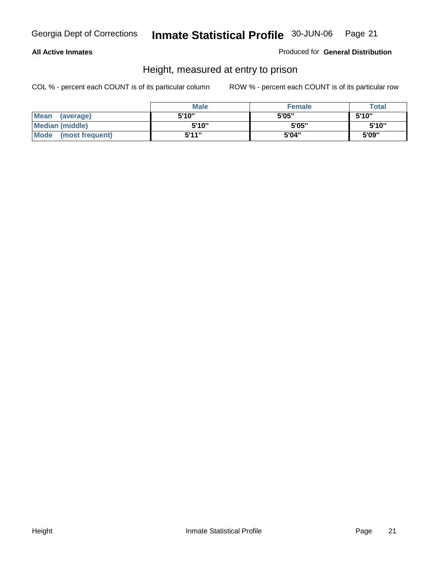#### **All Active Inmates**

Produced for **General Distribution**

# Height, measured at entry to prison

|                        | <b>Male</b> | <b>Female</b> | <b>Total</b> |
|------------------------|-------------|---------------|--------------|
| Mean (average)         | 5'10"       | 5'05"         | 5'10''       |
| <b>Median (middle)</b> | 5'10''      | 5'05"         | 5'10''       |
| Mode (most frequent)   | 5'11"       | 5'04"         | 5'09"        |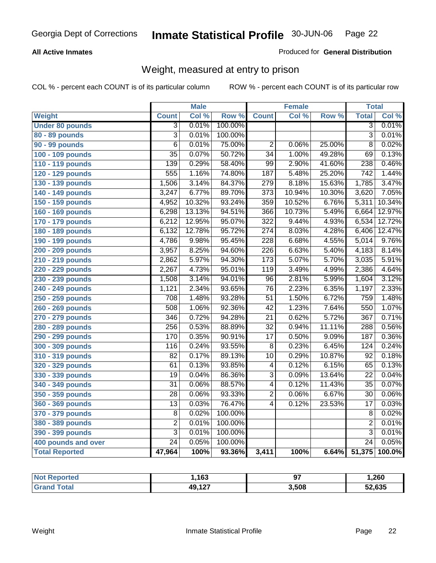#### **All Active Inmates**

#### Produced for **General Distribution**

# Weight, measured at entry to prison

|                        |                 | <b>Male</b> |                  |                  | <b>Female</b> |        | <b>Total</b>     |        |
|------------------------|-----------------|-------------|------------------|------------------|---------------|--------|------------------|--------|
| Weight                 | <b>Count</b>    | Col %       | Row <sup>%</sup> | <b>Count</b>     | Col %         | Row %  | <b>Total</b>     | Col %  |
| <b>Under 80 pounds</b> | $\overline{3}$  | 0.01%       | 100.00%          |                  |               |        | $\overline{3}$   | 0.01%  |
| 80 - 89 pounds         | $\overline{3}$  | 0.01%       | 100.00%          |                  |               |        | $\overline{3}$   | 0.01%  |
| 90 - 99 pounds         | $\overline{6}$  | 0.01%       | 75.00%           | $\overline{2}$   | 0.06%         | 25.00% | $\overline{8}$   | 0.02%  |
| 100 - 109 pounds       | $\overline{35}$ | 0.07%       | 50.72%           | $\overline{34}$  | 1.00%         | 49.28% | 69               | 0.13%  |
| 110 - 119 pounds       | 139             | 0.29%       | 58.40%           | $\overline{99}$  | 2.90%         | 41.60% | 238              | 0.46%  |
| 120 - 129 pounds       | 555             | 1.16%       | 74.80%           | 187              | 5.48%         | 25.20% | $\overline{742}$ | 1.44%  |
| 130 - 139 pounds       | 1,506           | 3.14%       | 84.37%           | $\overline{279}$ | 8.18%         | 15.63% | 1,785            | 3.47%  |
| 140 - 149 pounds       | 3,247           | 6.77%       | 89.70%           | 373              | 10.94%        | 10.30% | 3,620            | 7.05%  |
| 150 - 159 pounds       | 4,952           | 10.32%      | 93.24%           | 359              | 10.52%        | 6.76%  | 5,311            | 10.34% |
| 160 - 169 pounds       | 6,298           | 13.13%      | 94.51%           | 366              | 10.73%        | 5.49%  | 6,664            | 12.97% |
| 170 - 179 pounds       | 6,212           | 12.95%      | 95.07%           | 322              | 9.44%         | 4.93%  | 6,534            | 12.72% |
| 180 - 189 pounds       | 6,132           | 12.78%      | 95.72%           | $\overline{274}$ | 8.03%         | 4.28%  | 6,406            | 12.47% |
| 190 - 199 pounds       | 4,786           | 9.98%       | 95.45%           | $\overline{228}$ | 6.68%         | 4.55%  | 5,014            | 9.76%  |
| 200 - 209 pounds       | 3,957           | 8.25%       | 94.60%           | $\overline{226}$ | 6.63%         | 5.40%  | 4,183            | 8.14%  |
| 210 - 219 pounds       | 2,862           | 5.97%       | 94.30%           | $\overline{173}$ | 5.07%         | 5.70%  | 3,035            | 5.91%  |
| 220 - 229 pounds       | 2,267           | 4.73%       | 95.01%           | 119              | 3.49%         | 4.99%  | 2,386            | 4.64%  |
| 230 - 239 pounds       | 1,508           | 3.14%       | 94.01%           | $\overline{96}$  | 2.81%         | 5.99%  | 1,604            | 3.12%  |
| 240 - 249 pounds       | 1,121           | 2.34%       | 93.65%           | $\overline{76}$  | 2.23%         | 6.35%  | 1,197            | 2.33%  |
| 250 - 259 pounds       | 708             | 1.48%       | 93.28%           | $\overline{51}$  | 1.50%         | 6.72%  | 759              | 1.48%  |
| 260 - 269 pounds       | 508             | 1.06%       | 92.36%           | $\overline{42}$  | 1.23%         | 7.64%  | 550              | 1.07%  |
| 270 - 279 pounds       | 346             | 0.72%       | 94.28%           | $\overline{21}$  | 0.62%         | 5.72%  | 367              | 0.71%  |
| 280 - 289 pounds       | 256             | 0.53%       | 88.89%           | $\overline{32}$  | 0.94%         | 11.11% | 288              | 0.56%  |
| 290 - 299 pounds       | 170             | 0.35%       | 90.91%           | $\overline{17}$  | 0.50%         | 9.09%  | 187              | 0.36%  |
| 300 - 309 pounds       | 116             | 0.24%       | 93.55%           | $\overline{8}$   | 0.23%         | 6.45%  | 124              | 0.24%  |
| 310 - 319 pounds       | $\overline{82}$ | 0.17%       | 89.13%           | $\overline{10}$  | 0.29%         | 10.87% | $\overline{92}$  | 0.18%  |
| 320 - 329 pounds       | 61              | 0.13%       | 93.85%           | 4                | 0.12%         | 6.15%  | 65               | 0.13%  |
| 330 - 339 pounds       | $\overline{19}$ | 0.04%       | 86.36%           | $\overline{3}$   | 0.09%         | 13.64% | $\overline{22}$  | 0.04%  |
| 340 - 349 pounds       | $\overline{31}$ | 0.06%       | 88.57%           | 4                | 0.12%         | 11.43% | $\overline{35}$  | 0.07%  |
| 350 - 359 pounds       | 28              | 0.06%       | 93.33%           | $\overline{2}$   | 0.06%         | 6.67%  | 30               | 0.06%  |
| 360 - 369 pounds       | 13              | 0.03%       | 76.47%           | $\overline{4}$   | 0.12%         | 23.53% | $\overline{17}$  | 0.03%  |
| 370 - 379 pounds       | $\overline{8}$  | 0.02%       | 100.00%          |                  |               |        | 8                | 0.02%  |
| 380 - 389 pounds       | $\overline{2}$  | 0.01%       | 100.00%          |                  |               |        | $\overline{2}$   | 0.01%  |
| 390 - 399 pounds       | $\overline{3}$  | 0.01%       | 100.00%          |                  |               |        | $\overline{3}$   | 0.01%  |
| 400 pounds and over    | $\overline{24}$ | 0.05%       | 100.00%          |                  |               |        | $\overline{24}$  | 0.05%  |
| <b>Total Reported</b>  | 47,964          | 100%        | 93.36%           | 3,411            | 100%          | 6.64%  | 51,375           | 100.0% |

| Reported<br><b>NOT</b> | .163   | $\sim$<br>. | 260, ا |
|------------------------|--------|-------------|--------|
| 'ota.<br>.Gr           | 49,127 | 3,508       | 52,635 |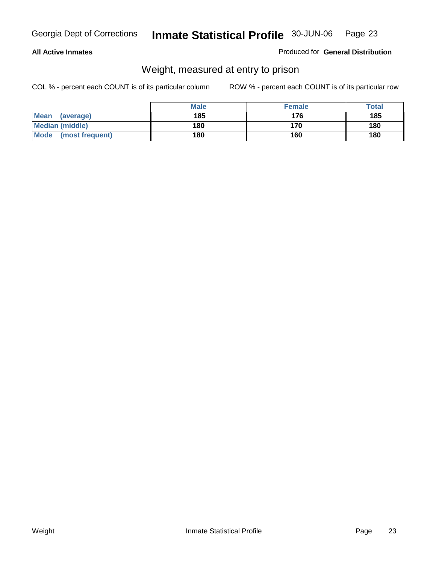#### **All Active Inmates**

#### Produced for **General Distribution**

# Weight, measured at entry to prison

|                          | <b>Male</b> | <b>Female</b> | <b>Total</b> |
|--------------------------|-------------|---------------|--------------|
| <b>Mean</b><br>(average) | 185         | 176           | 185          |
| <b>Median (middle)</b>   | 180         | 170           | 180          |
| Mode<br>(most frequent)  | 180         | 160           | 180          |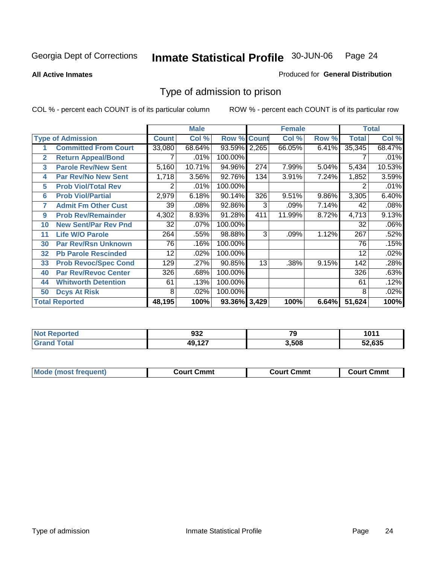#### **All Active Inmates**

#### Produced for **General Distribution**

# Type of admission to prison

|              |                             |              | <b>Male</b> |                    |     | <b>Female</b> |       | <b>Total</b> |        |
|--------------|-----------------------------|--------------|-------------|--------------------|-----|---------------|-------|--------------|--------|
|              | <b>Type of Admission</b>    | <b>Count</b> | Col %       | <b>Row % Count</b> |     | Col %         | Row % | <b>Total</b> | Col %  |
| 1            | <b>Committed From Court</b> | 33,080       | 68.64%      | 93.59% 2,265       |     | 66.05%        | 6.41% | 35,345       | 68.47% |
| $\mathbf{2}$ | <b>Return Appeal/Bond</b>   |              | .01%        | 100.00%            |     |               |       |              | .01%   |
| 3            | <b>Parole Rev/New Sent</b>  | 5,160        | 10.71%      | 94.96%             | 274 | 7.99%         | 5.04% | 5,434        | 10.53% |
| 4            | <b>Par Rev/No New Sent</b>  | 1,718        | 3.56%       | 92.76%             | 134 | 3.91%         | 7.24% | 1,852        | 3.59%  |
| 5            | <b>Prob Viol/Total Rev</b>  | 2            | .01%        | 100.00%            |     |               |       |              | .01%   |
| 6            | <b>Prob Viol/Partial</b>    | 2,979        | 6.18%       | 90.14%             | 326 | 9.51%         | 9.86% | 3,305        | 6.40%  |
| 7            | <b>Admit Fm Other Cust</b>  | 39           | .08%        | 92.86%             | 3   | .09%          | 7.14% | 42           | .08%   |
| 9            | <b>Prob Rev/Remainder</b>   | 4,302        | 8.93%       | 91.28%             | 411 | 11.99%        | 8.72% | 4,713        | 9.13%  |
| 10           | <b>New Sent/Par Rev Pnd</b> | 32           | .07%        | 100.00%            |     |               |       | 32           | .06%   |
| 11           | <b>Life W/O Parole</b>      | 264          | .55%        | 98.88%             | 3   | .09%          | 1.12% | 267          | .52%   |
| 30           | <b>Par Rev/Rsn Unknown</b>  | 76           | .16%        | 100.00%            |     |               |       | 76           | .15%   |
| 32           | <b>Pb Parole Rescinded</b>  | 12           | .02%        | 100.00%            |     |               |       | 12           | .02%   |
| 33           | <b>Prob Revoc/Spec Cond</b> | 129          | .27%        | 90.85%             | 13  | .38%          | 9.15% | 142          | .28%   |
| 40           | <b>Par Rev/Revoc Center</b> | 326          | .68%        | 100.00%            |     |               |       | 326          | .63%   |
| 44           | <b>Whitworth Detention</b>  | 61           | .13%        | 100.00%            |     |               |       | 61           | .12%   |
| 50           | <b>Dcys At Risk</b>         | 8            | .02%        | 100.00%            |     |               |       | 8            | .02%   |
|              | <b>Total Reported</b>       | 48,195       | 100%        | 93.36% 3,429       |     | 100%          | 6.64% | 51,624       | 100%   |

| Reported   | ົາລ               | --    | 1011   |
|------------|-------------------|-------|--------|
| <b>NOT</b> | ງວ∠               | 1 J   |        |
|            | $AA = 42$<br>$-1$ | 3.508 | 52.635 |

| <b>Mode</b><br><b>Cmmւ</b><br>Cmmt<br>Cmmt<br>frequent)<br>∴∩urt<br>Court (<br>:ourt<br>. |  |  |
|-------------------------------------------------------------------------------------------|--|--|
|                                                                                           |  |  |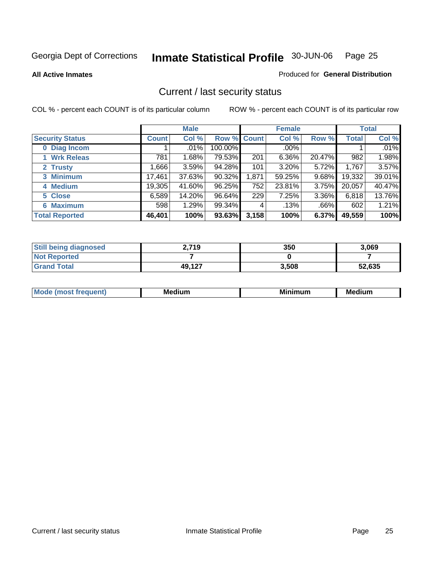**All Active Inmates**

#### Produced for **General Distribution**

# Current / last security status

|                        |              | <b>Male</b> |             |       | <b>Female</b> |          |              | <b>Total</b> |
|------------------------|--------------|-------------|-------------|-------|---------------|----------|--------------|--------------|
| <b>Security Status</b> | <b>Count</b> | Col %       | Row % Count |       | Col %         | Row %    | <b>Total</b> | Col %        |
| 0 Diag Incom           |              | .01%        | 100.00%     |       | $.00\%$       |          |              | .01%         |
| 1 Wrk Releas           | 781          | 1.68%       | 79.53%      | 201   | 6.36%         | 20.47%   | 982          | 1.98%        |
| 2 Trusty               | .666         | 3.59%       | 94.28%      | 101   | $3.20\%$      | 5.72%    | 1,767        | 3.57%        |
| 3 Minimum              | 17,461       | 37.63%      | $90.32\%$   | 1,871 | 59.25%        | $9.68\%$ | 19,332       | 39.01%       |
| 4 Medium               | 19,305       | 41.60%      | 96.25%      | 752   | 23.81%        | 3.75%    | 20,057       | 40.47%       |
| 5 Close                | 6,589        | 14.20%      | 96.64%      | 229   | 7.25%         | 3.36%    | 6,818        | 13.76%       |
| <b>6 Maximum</b>       | 598          | 1.29%       | 99.34%      | 4     | .13%          | .66%     | 602          | 1.21%        |
| <b>Total Reported</b>  | 46,401       | 100%        | 93.63%      | 3,158 | 100%          | 6.37%    | 49,559       | 100%         |

| <b>Still being diagnosed</b> | 2,719  | 350   | 3,069  |
|------------------------------|--------|-------|--------|
| <b>Not Reported</b>          |        |       |        |
| <b>Grand Total</b>           | 49,127 | 3,508 | 52,635 |

| $M_{\Omega}$<br>יחב | M۵<br>dium | <b>BAL.</b><br>num | Mer<br>dium |
|---------------------|------------|--------------------|-------------|
|                     |            |                    |             |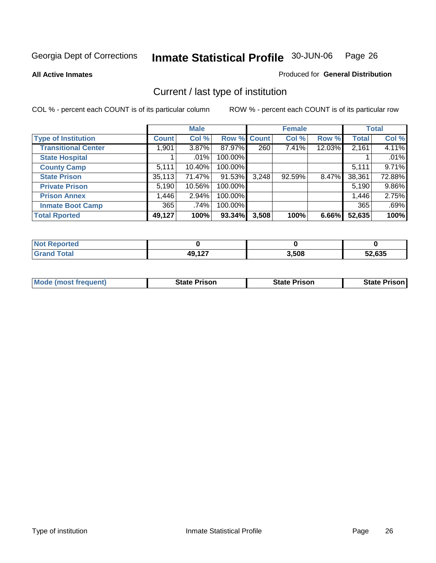**All Active Inmates**

#### Produced for **General Distribution**

# Current / last type of institution

|                            |              | <b>Male</b> |             |       | <b>Female</b> |        |              | <b>Total</b> |
|----------------------------|--------------|-------------|-------------|-------|---------------|--------|--------------|--------------|
| <b>Type of Institution</b> | <b>Count</b> | Col %       | Row % Count |       | Col %         | Row %  | <b>Total</b> | Col %        |
| <b>Transitional Center</b> | 1,901        | $3.87\%$    | 87.97%      | 260   | 7.41%         | 12.03% | 2,161        | 4.11%        |
| <b>State Hospital</b>      |              | $.01\%$     | 100.00%     |       |               |        |              | .01%         |
| <b>County Camp</b>         | 5,111        | 10.40%      | 100.00%     |       |               |        | 5,111        | 9.71%        |
| <b>State Prison</b>        | 35,113       | 71.47%      | 91.53%      | 3,248 | 92.59%        | 8.47%  | 38,361       | 72.88%       |
| <b>Private Prison</b>      | 5,190        | 10.56%      | 100.00%     |       |               |        | 5,190        | 9.86%        |
| <b>Prison Annex</b>        | 1,446        | $2.94\%$    | 100.00%     |       |               |        | 1,446        | 2.75%        |
| <b>Inmate Boot Camp</b>    | 365          | .74%        | 100.00%     |       |               |        | 365          | .69%         |
| <b>Total Rported</b>       | 49,127       | 100%        | 93.34%      | 3,508 | 100%          | 6.66%  | 52,635       | 100%         |

| τeα          |                     |       |        |
|--------------|---------------------|-------|--------|
| <b>cotal</b> | 10 1 2 7<br>┱┙, ╏┻╏ | 3,508 | 52.635 |

| <b>Mode (most frequent)</b> | <b>State Prison</b> | <b>State Prison</b> | State Prison |
|-----------------------------|---------------------|---------------------|--------------|
|                             |                     |                     |              |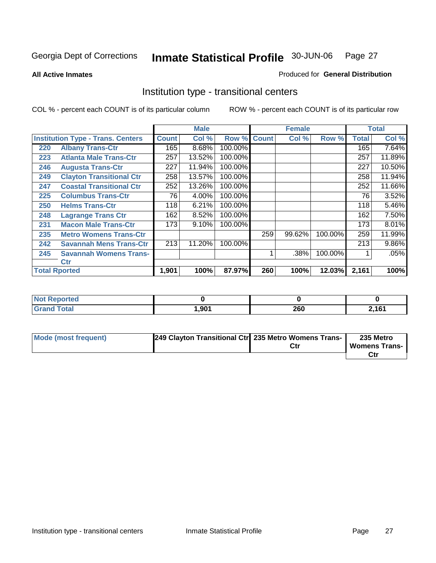**All Active Inmates**

#### Produced for **General Distribution**

# Institution type - transitional centers

|     |                                          | <b>Male</b>  |        | <b>Female</b> |              | <b>Total</b> |         |              |          |
|-----|------------------------------------------|--------------|--------|---------------|--------------|--------------|---------|--------------|----------|
|     | <b>Institution Type - Trans. Centers</b> | <b>Count</b> | Col %  | Row %         | <b>Count</b> | Col %        | Row %   | <b>Total</b> | Col %    |
| 220 | <b>Albany Trans-Ctr</b>                  | 165          | 8.68%  | 100.00%       |              |              |         | 165          | 7.64%    |
| 223 | <b>Atlanta Male Trans-Ctr</b>            | 257          | 13.52% | 100.00%       |              |              |         | 257          | 11.89%   |
| 246 | <b>Augusta Trans-Ctr</b>                 | 227          | 11.94% | 100.00%       |              |              |         | 227          | 10.50%   |
| 249 | <b>Clayton Transitional Ctr</b>          | 258          | 13.57% | 100.00%       |              |              |         | 258          | 11.94%   |
| 247 | <b>Coastal Transitional Ctr</b>          | 252          | 13.26% | 100.00%       |              |              |         | 252          | 11.66%   |
| 225 | <b>Columbus Trans-Ctr</b>                | 76           | 4.00%  | 100.00%       |              |              |         | 76           | 3.52%    |
| 250 | <b>Helms Trans-Ctr</b>                   | 118          | 6.21%  | 100.00%       |              |              |         | 118          | 5.46%    |
| 248 | <b>Lagrange Trans Ctr</b>                | 162          | 8.52%  | 100.00%       |              |              |         | 162          | 7.50%    |
| 231 | <b>Macon Male Trans-Ctr</b>              | 173          | 9.10%  | 100.00%       |              |              |         | 173          | 8.01%    |
| 235 | <b>Metro Womens Trans-Ctr</b>            |              |        |               | 259          | 99.62%       | 100.00% | 259          | 11.99%   |
| 242 | <b>Savannah Mens Trans-Ctr</b>           | 213          | 11.20% | 100.00%       |              |              |         | 213          | $9.86\%$ |
| 245 | <b>Savannah Womens Trans-</b>            |              |        |               |              | .38%         | 100.00% |              | .05%     |
|     | Ctr                                      |              |        |               |              |              |         |              |          |
|     | <b>Total Rported</b>                     | 1,901        | 100%   | 87.97%        | 260          | 100%         | 12.03%  | 2,161        | 100%     |

| N <sub>0</sub><br>keported |      |     |       |
|----------------------------|------|-----|-------|
| <b>Total</b><br>$\sim$     | ,901 | 260 | 0.404 |

| Mode (most frequent) | 249 Clayton Transitional Ctr 235 Metro Womens Trans- |     | 235 Metro            |
|----------------------|------------------------------------------------------|-----|----------------------|
|                      |                                                      | Ctr | <b>Womens Trans-</b> |
|                      |                                                      |     |                      |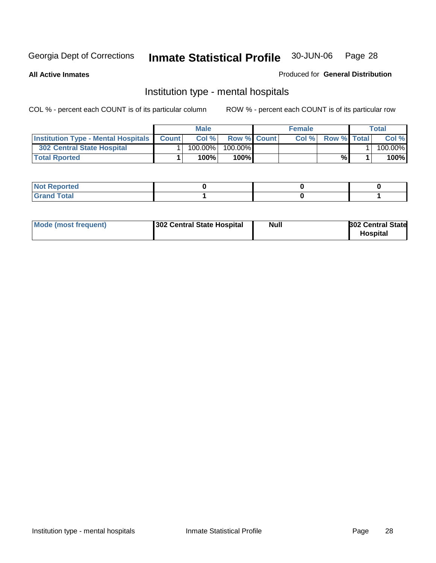**All Active Inmates**

#### Produced for **General Distribution**

# Institution type - mental hospitals

|                                                  | <b>Male</b> |            |                    | <b>Female</b> |      |                    | Total |         |
|--------------------------------------------------|-------------|------------|--------------------|---------------|------|--------------------|-------|---------|
| <b>Institution Type - Mental Hospitals Count</b> |             | Col%       | <b>Row % Count</b> |               | Col% | <b>Row % Total</b> |       | Col %   |
| 302 Central State Hospital                       |             | $100.00\%$ | 100.00%            |               |      |                    |       | 100.00% |
| <b>Total Rported</b>                             |             | 100%       | 100%I              |               |      | %                  |       | 100%    |

| <b><i>College College College College College College College College College College College College College College College College College College College College College College College College College College College Coll</i></b><br><b>NOT Reported</b> |  |  |
|-------------------------------------------------------------------------------------------------------------------------------------------------------------------------------------------------------------------------------------------------------------------|--|--|
| $int^{\bullet}$<br>.                                                                                                                                                                                                                                              |  |  |

| Mode (most frequent)<br>302 Central State Hospital | Null | <b>302 Central State</b><br><b>Hospital</b> |
|----------------------------------------------------|------|---------------------------------------------|
|----------------------------------------------------|------|---------------------------------------------|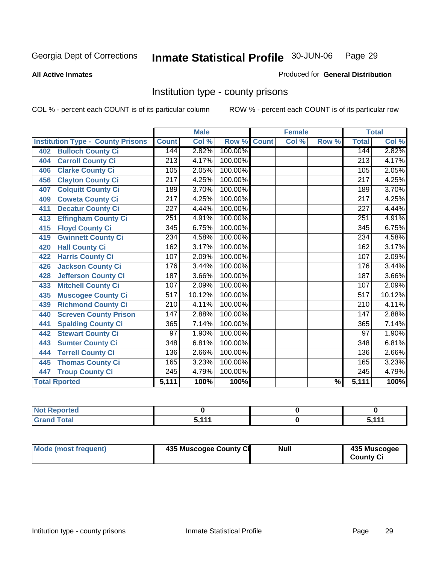#### **All Active Inmates**

#### Produced for **General Distribution**

# Institution type - county prisons

|                                          |                  | <b>Male</b> |         |              | <b>Female</b> |                          |                  | <b>Total</b>               |
|------------------------------------------|------------------|-------------|---------|--------------|---------------|--------------------------|------------------|----------------------------|
| <b>Institution Type - County Prisons</b> | <b>Count</b>     | Col %       | Row %   | <b>Count</b> | Col %         | Row %                    | <b>Total</b>     | $\overline{\text{Col }^9}$ |
| <b>Bulloch County Ci</b><br>402          | 144              | 2.82%       | 100.00% |              |               |                          | 144              | 2.82%                      |
| <b>Carroll County Ci</b><br>404          | 213              | 4.17%       | 100.00% |              |               |                          | $\overline{213}$ | 4.17%                      |
| <b>Clarke County Ci</b><br>406           | 105              | 2.05%       | 100.00% |              |               |                          | 105              | 2.05%                      |
| <b>Clayton County Ci</b><br>456          | 217              | 4.25%       | 100.00% |              |               |                          | 217              | 4.25%                      |
| <b>Colquitt County Ci</b><br>407         | 189              | 3.70%       | 100.00% |              |               |                          | 189              | 3.70%                      |
| <b>Coweta County Ci</b><br>409           | $\overline{217}$ | 4.25%       | 100.00% |              |               |                          | $\overline{217}$ | 4.25%                      |
| <b>Decatur County Ci</b><br>411          | 227              | 4.44%       | 100.00% |              |               |                          | 227              | 4.44%                      |
| <b>Effingham County Ci</b><br>413        | 251              | 4.91%       | 100.00% |              |               |                          | 251              | 4.91%                      |
| <b>Floyd County Ci</b><br>415            | $\overline{345}$ | 6.75%       | 100.00% |              |               |                          | $\overline{345}$ | 6.75%                      |
| <b>Gwinnett County Ci</b><br>419         | 234              | 4.58%       | 100.00% |              |               |                          | 234              | 4.58%                      |
| <b>Hall County Ci</b><br>420             | 162              | 3.17%       | 100.00% |              |               |                          | 162              | 3.17%                      |
| <b>Harris County Ci</b><br>422           | 107              | 2.09%       | 100.00% |              |               |                          | 107              | 2.09%                      |
| <b>Jackson County Ci</b><br>426          | 176              | 3.44%       | 100.00% |              |               |                          | 176              | 3.44%                      |
| <b>Jefferson County Ci</b><br>428        | 187              | 3.66%       | 100.00% |              |               |                          | 187              | 3.66%                      |
| <b>Mitchell County Ci</b><br>433         | 107              | 2.09%       | 100.00% |              |               |                          | 107              | 2.09%                      |
| <b>Muscogee County Ci</b><br>435         | $\overline{517}$ | 10.12%      | 100.00% |              |               |                          | $\overline{517}$ | 10.12%                     |
| <b>Richmond County Ci</b><br>439         | $\overline{210}$ | 4.11%       | 100.00% |              |               |                          | $\overline{210}$ | 4.11%                      |
| <b>Screven County Prison</b><br>440      | 147              | 2.88%       | 100.00% |              |               |                          | 147              | 2.88%                      |
| <b>Spalding County Ci</b><br>441         | 365              | 7.14%       | 100.00% |              |               |                          | 365              | 7.14%                      |
| <b>Stewart County Ci</b><br>442          | 97               | 1.90%       | 100.00% |              |               |                          | 97               | 1.90%                      |
| <b>Sumter County Ci</b><br>443           | $\overline{348}$ | 6.81%       | 100.00% |              |               |                          | 348              | 6.81%                      |
| <b>Terrell County Ci</b><br>444          | 136              | 2.66%       | 100.00% |              |               |                          | 136              | 2.66%                      |
| <b>Thomas County Ci</b><br>445           | 165              | 3.23%       | 100.00% |              |               |                          | 165              | 3.23%                      |
| <b>Troup County Ci</b><br>447            | 245              | 4.79%       | 100.00% |              |               |                          | 245              | 4.79%                      |
| <b>Total Rported</b>                     | 5,111            | 100%        | 100%    |              |               | $\overline{\frac{9}{6}}$ | 5,111            | 100%                       |

| - | 111 | . . <i>. .</i> |
|---|-----|----------------|

| Mode (most frequent) | 435 Muscogee County Ci | <b>Null</b> | 435 Muscogee     |
|----------------------|------------------------|-------------|------------------|
|                      |                        |             | <b>County Ci</b> |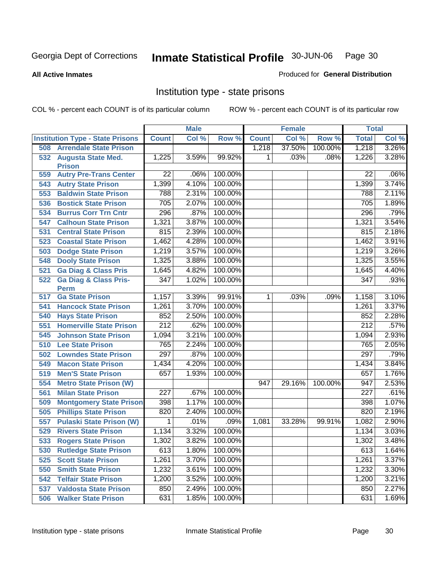#### **All Active Inmates**

#### Produced for **General Distribution**

# Institution type - state prisons

|     |                                         |                  | <b>Male</b> |         |                | <b>Female</b> |         | <b>Total</b>     |       |
|-----|-----------------------------------------|------------------|-------------|---------|----------------|---------------|---------|------------------|-------|
|     | <b>Institution Type - State Prisons</b> | <b>Count</b>     | Col %       | Row %   | <b>Count</b>   | Col %         | Row %   | <b>Total</b>     | Col % |
| 508 | <b>Arrendale State Prison</b>           |                  |             |         | 1,218          | 37.50%        | 100.00% | 1,218            | 3.26% |
|     | 532 Augusta State Med.                  | 1,225            | 3.59%       | 99.92%  | 1.             | .03%          | .08%    | 1,226            | 3.28% |
|     | <b>Prison</b>                           |                  |             |         |                |               |         |                  |       |
| 559 | <b>Autry Pre-Trans Center</b>           | 22               | .06%        | 100.00% |                |               |         | 22               | .06%  |
| 543 | <b>Autry State Prison</b>               | 1,399            | 4.10%       | 100.00% |                |               |         | 1,399            | 3.74% |
| 553 | <b>Baldwin State Prison</b>             | 788              | 2.31%       | 100.00% |                |               |         | 788              | 2.11% |
| 536 | <b>Bostick State Prison</b>             | 705              | 2.07%       | 100.00% |                |               |         | 705              | 1.89% |
| 534 | <b>Burrus Corr Trn Cntr</b>             | 296              | .87%        | 100.00% |                |               |         | 296              | .79%  |
| 547 | <b>Calhoun State Prison</b>             | 1,321            | 3.87%       | 100.00% |                |               |         | 1,321            | 3.54% |
| 531 | <b>Central State Prison</b>             | 815              | 2.39%       | 100.00% |                |               |         | 815              | 2.18% |
| 523 | <b>Coastal State Prison</b>             | 1,462            | 4.28%       | 100.00% |                |               |         | 1,462            | 3.91% |
| 503 | <b>Dodge State Prison</b>               | 1,219            | 3.57%       | 100.00% |                |               |         | 1,219            | 3.26% |
| 548 | <b>Dooly State Prison</b>               | 1,325            | 3.88%       | 100.00% |                |               |         | 1,325            | 3.55% |
| 521 | <b>Ga Diag &amp; Class Pris</b>         | 1,645            | 4.82%       | 100.00% |                |               |         | 1,645            | 4.40% |
| 522 | <b>Ga Diag &amp; Class Pris-</b>        | 347              | 1.02%       | 100.00% |                |               |         | 347              | .93%  |
|     | <b>Perm</b>                             |                  |             |         |                |               |         |                  |       |
| 517 | <b>Ga State Prison</b>                  | 1,157            | 3.39%       | 99.91%  | $\overline{1}$ | .03%          | .09%    | 1,158            | 3.10% |
| 541 | <b>Hancock State Prison</b>             | 1,261            | 3.70%       | 100.00% |                |               |         | 1,261            | 3.37% |
| 540 | <b>Hays State Prison</b>                | 852              | 2.50%       | 100.00% |                |               |         | 852              | 2.28% |
| 551 | <b>Homerville State Prison</b>          | $\overline{212}$ | .62%        | 100.00% |                |               |         | $\overline{212}$ | .57%  |
| 545 | <b>Johnson State Prison</b>             | 1,094            | 3.21%       | 100.00% |                |               |         | 1,094            | 2.93% |
| 510 | <b>Lee State Prison</b>                 | 765              | 2.24%       | 100.00% |                |               |         | 765              | 2.05% |
| 502 | <b>Lowndes State Prison</b>             | 297              | .87%        | 100.00% |                |               |         | 297              | .79%  |
| 549 | <b>Macon State Prison</b>               | 1,434            | 4.20%       | 100.00% |                |               |         | 1,434            | 3.84% |
| 519 | <b>Men'S State Prison</b>               | 657              | 1.93%       | 100.00% |                |               |         | 657              | 1.76% |
| 554 | <b>Metro State Prison (W)</b>           |                  |             |         | 947            | 29.16%        | 100.00% | 947              | 2.53% |
| 561 | <b>Milan State Prison</b>               | $\overline{227}$ | .67%        | 100.00% |                |               |         | $\overline{227}$ | .61%  |
| 509 | <b>Montgomery State Prison</b>          | 398              | 1.17%       | 100.00% |                |               |         | 398              | 1.07% |
| 505 | <b>Phillips State Prison</b>            | 820              | 2.40%       | 100.00% |                |               |         | 820              | 2.19% |
| 557 | <b>Pulaski State Prison (W)</b>         | 1                | .01%        | .09%    | 1,081          | 33.28%        | 99.91%  | 1,082            | 2.90% |
| 529 | <b>Rivers State Prison</b>              | 1,134            | 3.32%       | 100.00% |                |               |         | 1,134            | 3.03% |
| 533 | <b>Rogers State Prison</b>              | 1,302            | 3.82%       | 100.00% |                |               |         | 1,302            | 3.48% |
| 530 | <b>Rutledge State Prison</b>            | 613              | 1.80%       | 100.00% |                |               |         | 613              | 1.64% |
| 525 | <b>Scott State Prison</b>               | 1,261            | 3.70%       | 100.00% |                |               |         | 1,261            | 3.37% |
| 550 | <b>Smith State Prison</b>               | 1,232            | 3.61%       | 100.00% |                |               |         | 1,232            | 3.30% |
| 542 | <b>Telfair State Prison</b>             | 1,200            | 3.52%       | 100.00% |                |               |         | 1,200            | 3.21% |
| 537 | <b>Valdosta State Prison</b>            | 850              | 2.49%       | 100.00% |                |               |         | 850              | 2.27% |
| 506 | <b>Walker State Prison</b>              | 631              | 1.85%       | 100.00% |                |               |         | 631              | 1.69% |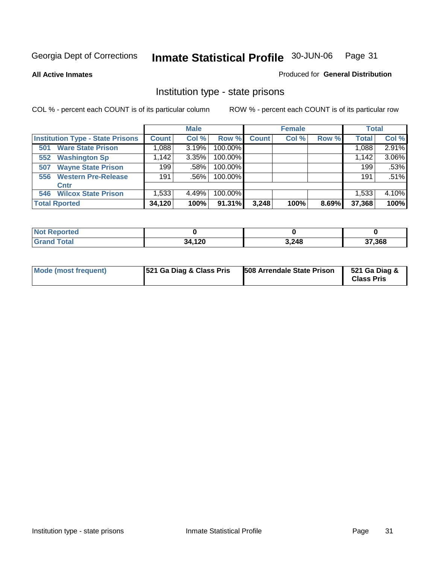**All Active Inmates**

#### Produced for **General Distribution**

# Institution type - state prisons

|                                         |              | <b>Male</b> |         |              | <b>Female</b> |       | <b>Total</b> |       |
|-----------------------------------------|--------------|-------------|---------|--------------|---------------|-------|--------------|-------|
| <b>Institution Type - State Prisons</b> | <b>Count</b> | Col %       | Row %   | <b>Count</b> | Col %         | Row % | <b>Total</b> | Col % |
| <b>Ware State Prison</b><br>501         | 1,088        | 3.19%       | 100.00% |              |               |       | 1,088        | 2.91% |
| <b>Washington Sp</b><br>552             | .142         | 3.35%       | 100.00% |              |               |       | 1,142        | 3.06% |
| <b>Wayne State Prison</b><br>507        | 199          | .58%        | 100.00% |              |               |       | 199          | .53%  |
| <b>Western Pre-Release</b><br>556       | 191          | $.56\%$     | 100.00% |              |               |       | 191          | .51%  |
| Cntr                                    |              |             |         |              |               |       |              |       |
| <b>Wilcox State Prison</b><br>546       | 1,533        | 4.49%       | 100.00% |              |               |       | 1,533,       | 4.10% |
| <b>Total Rported</b>                    | 34,120       | 100%        | 91.31%  | 3,248        | 100%          | 8.69% | 37,368       | 100%  |

| : Reported<br>' NOT |            |       |        |  |
|---------------------|------------|-------|--------|--|
| <b>otal</b>         | ,120<br>34 | 3,248 | 37,368 |  |

| <b>Mode (most frequent)</b> | 521 Ga Diag & Class Pris | 508 Arrendale State Prison | 521 Ga Diag &<br><b>Class Pris</b> |
|-----------------------------|--------------------------|----------------------------|------------------------------------|
|-----------------------------|--------------------------|----------------------------|------------------------------------|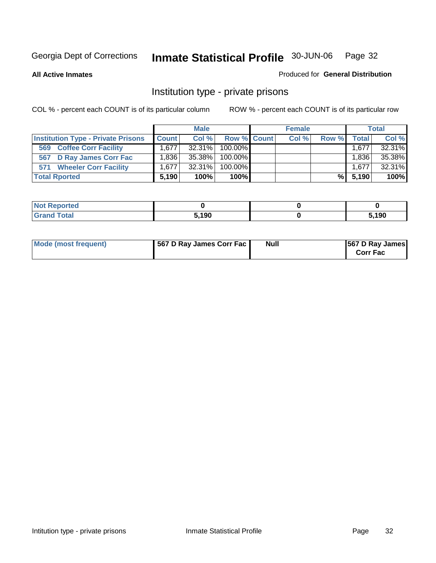**All Active Inmates**

#### Produced for **General Distribution**

# Institution type - private prisons

|                                           |              | <b>Male</b> |             | <b>Female</b> |       |              | <b>Total</b> |
|-------------------------------------------|--------------|-------------|-------------|---------------|-------|--------------|--------------|
| <b>Institution Type - Private Prisons</b> | <b>Count</b> | Col %       | Row % Count | Col %         | Row % | <b>Total</b> | Col %        |
| <b>Coffee Corr Facility</b><br>569        | 1.6771       | $32.31\%$   | 100.00%     |               |       | 1,677        | 32.31%       |
| 567 D Ray James Corr Fac                  | ∃836،،       | 35.38%      | 100.00%     |               |       | 1.836        | 35.38%       |
| <b>Wheeler Corr Facility</b><br>571       | 1.677        | 32.31%      | $100.00\%$  |               |       | 1,677        | 32.31%       |
| <b>Total Rported</b>                      | 5.190        | 100%        | $100\%$     |               | %Ⅰ    | 5.190        | 100%         |

| rted<br>NOT                              |       |      |
|------------------------------------------|-------|------|
| <b>Total</b><br>$\sim$ . $\sim$ . $\sim$ | 5,190 | ,190 |

| <b>Mode (most frequent)</b> | 567 D Ray James Corr Fac | <b>Null</b> | <b>567 D Ray James</b><br><b>Corr Fac</b> |
|-----------------------------|--------------------------|-------------|-------------------------------------------|
|-----------------------------|--------------------------|-------------|-------------------------------------------|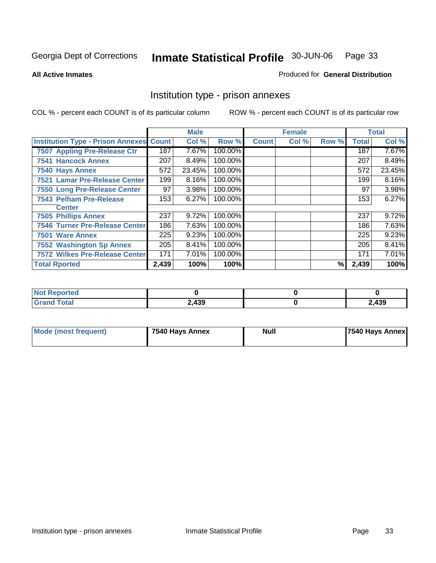#### **All Active Inmates**

#### Produced for **General Distribution**

# Institution type - prison annexes

|                                                |       | <b>Male</b> |         |              | <b>Female</b> |       |              | <b>Total</b> |
|------------------------------------------------|-------|-------------|---------|--------------|---------------|-------|--------------|--------------|
| <b>Institution Type - Prison Annexes Count</b> |       | Col %       | Row %   | <b>Count</b> | Col %         | Row % | <b>Total</b> | Col %        |
| 7507 Appling Pre-Release Ctr                   | 187   | 7.67%       | 100.00% |              |               |       | 187          | 7.67%        |
| <b>7541 Hancock Annex</b>                      | 207   | 8.49%       | 100.00% |              |               |       | 207          | 8.49%        |
| 7540 Hays Annex                                | 572   | 23.45%      | 100.00% |              |               |       | 572          | 23.45%       |
| 7521 Lamar Pre-Release Center                  | 199   | 8.16%       | 100.00% |              |               |       | 199          | 8.16%        |
| 7550 Long Pre-Release Center                   | 97    | 3.98%       | 100.00% |              |               |       | 97           | 3.98%        |
| 7543 Pelham Pre-Release                        | 153   | 6.27%       | 100.00% |              |               |       | 153          | 6.27%        |
| <b>Center</b>                                  |       |             |         |              |               |       |              |              |
| <b>7505 Phillips Annex</b>                     | 237   | 9.72%       | 100.00% |              |               |       | 237          | 9.72%        |
| <b>7546 Turner Pre-Release Center</b>          | 186   | 7.63%       | 100.00% |              |               |       | 186          | 7.63%        |
| 7501 Ware Annex                                | 225   | 9.23%       | 100.00% |              |               |       | 225          | 9.23%        |
| <b>7552 Washington Sp Annex</b>                | 205   | 8.41%       | 100.00% |              |               |       | 205          | 8.41%        |
| 7572 Wilkes Pre-Release Center                 | 171   | 7.01%       | 100.00% |              |               |       | 171          | 7.01%        |
| <b>Total Rported</b>                           | 2,439 | 100%        | 100%    |              |               | %     | 2,439        | 100%         |

| <b>Not Reported</b>   |       |       |
|-----------------------|-------|-------|
| <b>Total</b><br>Grand | 2,439 | 2,439 |

| <b>Mode (most frequent)</b> | 7540 Hays Annex | <b>Null</b> | 7540 Hays Annex |
|-----------------------------|-----------------|-------------|-----------------|
|-----------------------------|-----------------|-------------|-----------------|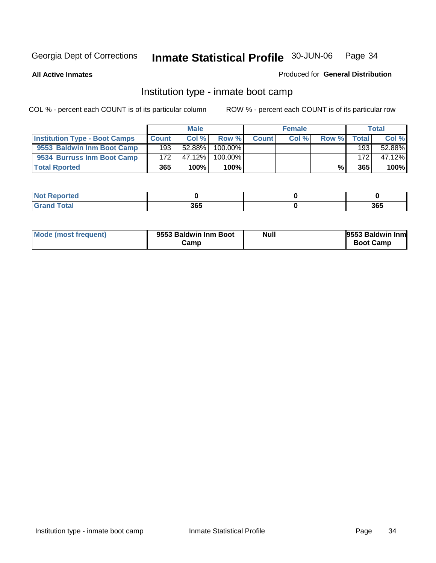**All Active Inmates**

#### Produced for **General Distribution**

# Institution type - inmate boot camp

|                                      |              | <b>Male</b> |               |              | <b>Female</b> |       |        | <b>Total</b> |
|--------------------------------------|--------------|-------------|---------------|--------------|---------------|-------|--------|--------------|
| <b>Institution Type - Boot Camps</b> | <b>Count</b> | Col %       | Row %         | <b>Count</b> | Col %         | Row % | Totall | Col %        |
| 9553 Baldwin Inm Boot Camp           | 193          | $52.88\%$   | $100.00\%$    |              |               |       | 193    | 52.88%       |
| 9534 Burruss Inm Boot Camp           | 172          | 47.12%      | 100.00%       |              |               |       | 172    | 47.12%       |
| <b>Total Rported</b>                 | 365          | 100%        | 100% <b>I</b> |              |               | %     | 365    | 100%         |

| теа |     |     |
|-----|-----|-----|
| -   | 365 | 365 |

| Mode (most frequent) | 9553 Baldwin Inm Boot<br>amp∶ | <b>Null</b> | 9553 Baldwin Inm<br><b>Boot Camp</b> |
|----------------------|-------------------------------|-------------|--------------------------------------|
|----------------------|-------------------------------|-------------|--------------------------------------|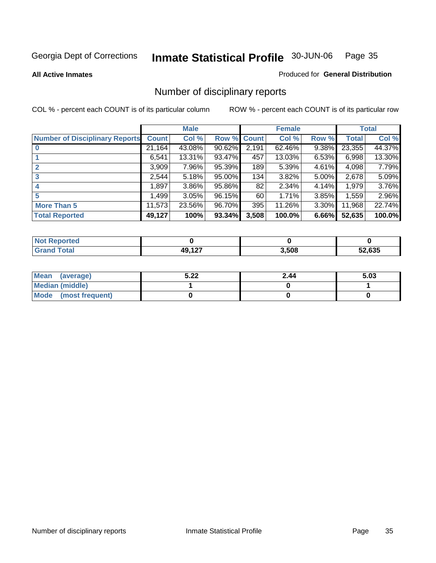**All Active Inmates**

#### Produced for **General Distribution**

# Number of disciplinary reports

|                                       |              | <b>Male</b> |        |              | <b>Female</b> |          |              | <b>Total</b> |
|---------------------------------------|--------------|-------------|--------|--------------|---------------|----------|--------------|--------------|
| <b>Number of Disciplinary Reports</b> | <b>Count</b> | Col %       | Row %  | <b>Count</b> | Col %         | Row %    | <b>Total</b> | Col %        |
|                                       | 21,164       | 43.08%      | 90.62% | 2,191        | 62.46%        | 9.38%    | 23,355       | 44.37%       |
|                                       | 6,541        | 13.31%      | 93.47% | 457          | 13.03%        | 6.53%    | 6,998        | 13.30%       |
| $\mathbf{2}$                          | 3,909        | 7.96%       | 95.39% | 189          | 5.39%         | 4.61%    | 4,098        | 7.79%        |
| 3                                     | 2,544        | 5.18%       | 95.00% | 134          | 3.82%         | $5.00\%$ | 2,678        | 5.09%        |
|                                       | .897         | $3.86\%$    | 95.86% | 82           | 2.34%         | $4.14\%$ | 1,979        | 3.76%        |
| 5                                     | .499         | 3.05%       | 96.15% | 60           | 1.71%         | 3.85%    | 1,559        | 2.96%        |
| <b>More Than 5</b>                    | 11,573       | 23.56%      | 96.70% | 395          | 11.26%        | $3.30\%$ | 11,968       | 22.74%       |
| <b>Total Reported</b>                 | 49,127       | 100%        | 93.34% | 3,508        | 100.0%        | 6.66%    | 52,635       | 100.0%       |

| N                   |           |       |             |
|---------------------|-----------|-------|-------------|
| $\sim$ 10<br>______ | 107<br>__ | 3,508 | .635<br>- - |

| Mean (average)       | 5.22 | 2.44 | 5.03 |
|----------------------|------|------|------|
| Median (middle)      |      |      |      |
| Mode (most frequent) |      |      |      |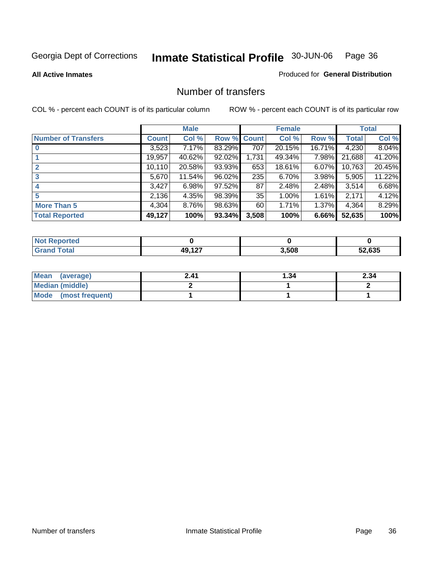#### **All Active Inmates**

# Produced for **General Distribution**

### Number of transfers

|                            |         | <b>Male</b> |        |              | <b>Female</b> |          |              | <b>Total</b> |
|----------------------------|---------|-------------|--------|--------------|---------------|----------|--------------|--------------|
| <b>Number of Transfers</b> | Count l | Col %       | Row %  | <b>Count</b> | Col %         | Row %    | <b>Total</b> | Col %        |
|                            | 3,523   | 7.17%       | 83.29% | 707          | 20.15%        | 16.71%   | 4,230        | 8.04%        |
|                            | 19,957  | 40.62%      | 92.02% | 1,731        | 49.34%        | 7.98%    | 21,688       | 41.20%       |
| $\mathbf{2}$               | 10,110  | 20.58%      | 93.93% | 653          | 18.61%        | $6.07\%$ | 10,763       | 20.45%       |
| 3                          | 5,670   | 11.54%      | 96.02% | 235          | 6.70%         | $3.98\%$ | 5,905        | 11.22%       |
|                            | 3,427   | 6.98%       | 97.52% | 87           | 2.48%         | $2.48\%$ | 3,514        | 6.68%        |
| 5                          | 2,136   | 4.35%       | 98.39% | 35           | 1.00%         | $1.61\%$ | 2,171        | 4.12%        |
| <b>More Than 5</b>         | 4,304   | $8.76\%$    | 98.63% | 60           | 1.71%         | $1.37\%$ | 4,364        | 8.29%        |
| <b>Total Reported</b>      | 49,127  | 100%        | 93.34% | 3,508        | 100%          | $6.66\%$ | 52,635       | 100%         |

| N      |                |       |      |
|--------|----------------|-------|------|
| امەما  | $\overline{A}$ | 3,508 | .635 |
| ______ |                |       | -^   |

| Mean (average)       | 2.41 | 34.، | 2.34 |
|----------------------|------|------|------|
| Median (middle)      |      |      |      |
| Mode (most frequent) |      |      |      |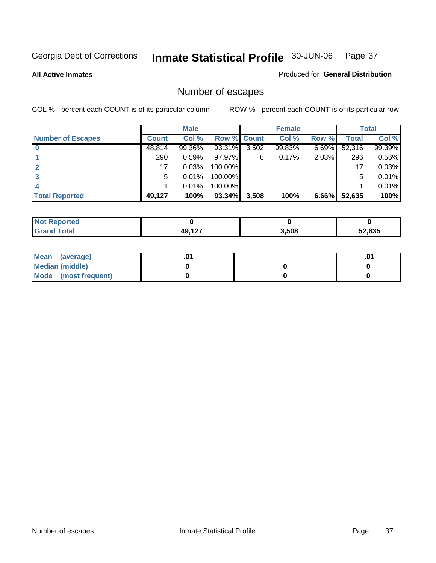**All Active Inmates**

#### Produced for **General Distribution**

# Number of escapes

|                          |              | <b>Male</b> |                    |       | <b>Female</b> |          |        | <b>Total</b> |
|--------------------------|--------------|-------------|--------------------|-------|---------------|----------|--------|--------------|
| <b>Number of Escapes</b> | <b>Count</b> | Col %       | <b>Row % Count</b> |       | Col %         | Row %    | Total  | Col %        |
|                          | 48,814       | 99.36%      | 93.31%             | 3,502 | 99.83%        | $6.69\%$ | 52,316 | 99.39%       |
|                          | 290          | 0.59%       | $97.97\%$          | 6     | 0.17%         | 2.03%    | 296    | 0.56%        |
|                          | 17           | 0.03%       | 100.00%            |       |               |          | 17     | 0.03%        |
|                          | 5            | 0.01%       | 100.00%            |       |               |          | 5      | 0.01%        |
|                          |              | 0.01%       | $100.00\%$         |       |               |          |        | 0.01%        |
| <b>Total Reported</b>    | 49,127       | 100%        | 93.34%             | 3,508 | 100%          | 6.66%    | 52,635 | 100%         |

| <b>rted</b><br>Not |          |       |        |
|--------------------|----------|-------|--------|
| $int^{\bullet}$    | 10 1 2 7 | 3,508 | 52.635 |

| Mean (average)       |  | ו ש. |
|----------------------|--|------|
| Median (middle)      |  |      |
| Mode (most frequent) |  |      |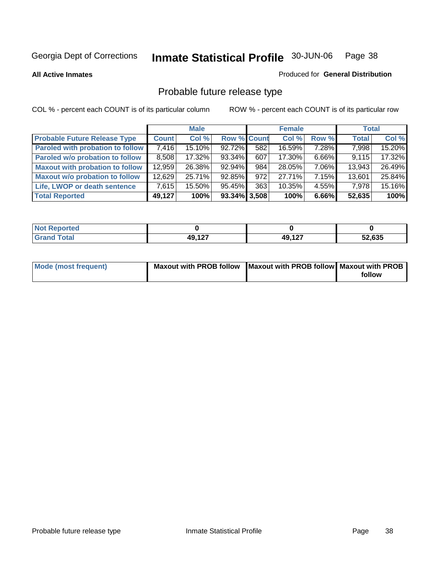**All Active Inmates**

#### Produced for **General Distribution**

# Probable future release type

|                                         |              | <b>Male</b> |                    |     | <b>Female</b> |          | <b>Total</b> |        |
|-----------------------------------------|--------------|-------------|--------------------|-----|---------------|----------|--------------|--------|
| <b>Probable Future Release Type</b>     | <b>Count</b> | Col %       | <b>Row % Count</b> |     | Col %         | Row %    | <b>Total</b> | Col %  |
| <b>Paroled with probation to follow</b> | 7,416        | 15.10%      | 92.72%             | 582 | 16.59%        | 7.28%    | 7,998        | 15.20% |
| Paroled w/o probation to follow         | 8,508        | 17.32%      | 93.34%             | 607 | 17.30%        | $6.66\%$ | 9,115        | 17.32% |
| <b>Maxout with probation to follow</b>  | 12,959       | 26.38%      | 92.94%             | 984 | 28.05%        | $7.06\%$ | 13,943       | 26.49% |
| <b>Maxout w/o probation to follow</b>   | 12,629       | 25.71%      | 92.85%             | 972 | 27.71%        | 7.15%    | 13,601       | 25.84% |
| Life, LWOP or death sentence            | 7,615        | 15.50%      | 95.45%             | 363 | 10.35%        | $4.55\%$ | 7,978        | 15.16% |
| <b>Total Reported</b>                   | 49,127       | 100%        | $93.34\%$ 3,508    |     | 100%          | 6.66%    | 52,635       | 100%   |

| <b>Not</b><br>Reported |        |        |        |
|------------------------|--------|--------|--------|
| <b>Total</b><br>Grand  | 49,127 | 49,127 | 52,635 |

| Mode (most frequent) | Maxout with PROB follow   Maxout with PROB follow   Maxout with PROB |        |
|----------------------|----------------------------------------------------------------------|--------|
|                      |                                                                      | follow |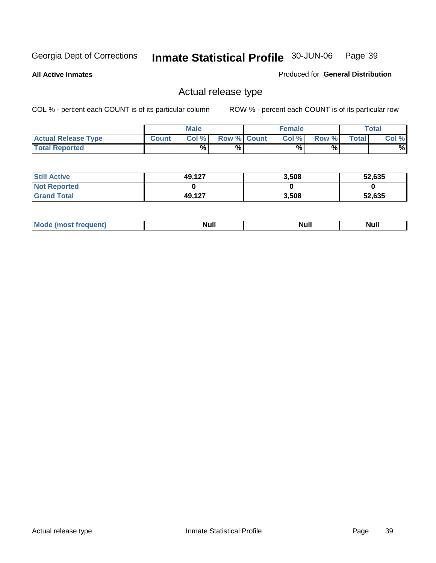**All Active Inmates**

Produced for **General Distribution**

## Actual release type

|                            |              | <b>Male</b> |                    | <b>Female</b> |       |       | Total |
|----------------------------|--------------|-------------|--------------------|---------------|-------|-------|-------|
| <b>Actual Release Type</b> | <b>Count</b> | Col %       | <b>Row % Count</b> | Col %         | Row % | Total | Col % |
| <b>Total Reported</b>      |              | %           | %                  | %             | %     |       | %     |

| <b>Still Active</b> | 49,127 | 3,508 | 52,635 |
|---------------------|--------|-------|--------|
| <b>Not Reported</b> |        |       |        |
| <b>Grand Total</b>  | 49,127 | 3,508 | 52,635 |

| M<br>____ | Ah d <sup>u</sup><br>,,,,, | <b>Null</b> | <b>IVAII</b> |
|-----------|----------------------------|-------------|--------------|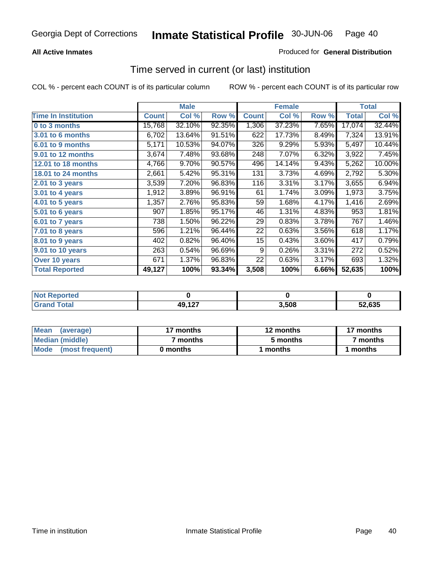#### **All Active Inmates**

#### Produced for **General Distribution**

### Time served in current (or last) institution

|                            |              | <b>Male</b> |        |              | <b>Female</b> |       |                  | <b>Total</b>        |
|----------------------------|--------------|-------------|--------|--------------|---------------|-------|------------------|---------------------|
| <b>Time In Institution</b> | <b>Count</b> | Col %       | Row %  | <b>Count</b> | Col %         | Row % | Total            | Col %               |
| 0 to 3 months              | 15,768       | 32.10%      | 92.35% | 1,306        | 37.23%        | 7.65% | 17,074           | 32.44%              |
| 3.01 to 6 months           | 6,702        | 13.64%      | 91.51% | 622          | 17.73%        | 8.49% | 7,324            | 13.91%              |
| 6.01 to 9 months           | 5,171        | 10.53%      | 94.07% | 326          | 9.29%         | 5.93% | 5,497            | 10.44%              |
| 9.01 to 12 months          | 3,674        | 7.48%       | 93.68% | 248          | 7.07%         | 6.32% | 3,922            | 7.45%               |
| 12.01 to 18 months         | 4,766        | 9.70%       | 90.57% | 496          | 14.14%        | 9.43% | 5,262            | 10.00%              |
| <b>18.01 to 24 months</b>  | 2,661        | 5.42%       | 95.31% | 131          | 3.73%         | 4.69% | 2,792            | 5.30%               |
| 2.01 to 3 years            | 3,539        | 7.20%       | 96.83% | 116          | 3.31%         | 3.17% | 3,655            | 6.94%               |
| 3.01 to 4 years            | 1,912        | 3.89%       | 96.91% | 61           | 1.74%         | 3.09% | 1,973            | 3.75%               |
| 4.01 to 5 years            | 1,357        | 2.76%       | 95.83% | 59           | 1.68%         | 4.17% | 1,416            | 2.69%               |
| 5.01 to 6 years            | 907          | 1.85%       | 95.17% | 46           | 1.31%         | 4.83% | 953              | 1.81%               |
| 6.01 to 7 years            | 738          | 1.50%       | 96.22% | 29           | 0.83%         | 3.78% | 767              | 1.46%               |
| 7.01 to 8 years            | 596          | 1.21%       | 96.44% | 22           | 0.63%         | 3.56% | 618              | 1.17%               |
| 8.01 to 9 years            | 402          | 0.82%       | 96.40% | 15           | 0.43%         | 3.60% | 417              | 0.79%               |
| 9.01 to 10 years           | 263          | 0.54%       | 96.69% | 9            | 0.26%         | 3.31% | $\overline{272}$ | 0.52%               |
| Over 10 years              | 671          | 1.37%       | 96.83% | 22           | 0.63%         | 3.17% | 693              | $\overline{1.32\%}$ |
| <b>Total Reported</b>      | 49,127       | 100%        | 93.34% | 3,508        | 100%          | 6.66% | 52,635           | 100%                |

| <b>nten</b><br>N |        |      |      |
|------------------|--------|------|------|
| _____            | 49,127 | .508 | .635 |

| <b>Mean</b><br>(average)       | 17 months | 12 months | 17 months |
|--------------------------------|-----------|-----------|-----------|
| Median (middle)                | ' months  | 5 months  | 7 months  |
| <b>Mode</b><br>(most frequent) | 0 months  | months    | months    |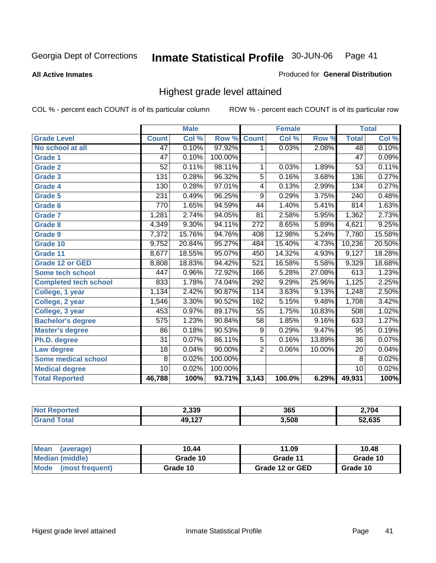**All Active Inmates**

#### Produced for **General Distribution**

## Highest grade level attained

|                              |                 | <b>Male</b> |         |                  | <b>Female</b> |        |                 | <b>Total</b> |
|------------------------------|-----------------|-------------|---------|------------------|---------------|--------|-----------------|--------------|
| <b>Grade Level</b>           | <b>Count</b>    | Col %       | Row %   | <b>Count</b>     | Col %         | Row %  | <b>Total</b>    | Col %        |
| No school at all             | 47              | 0.10%       | 97.92%  | 1                | 0.03%         | 2.08%  | 48              | 0.10%        |
| Grade 1                      | $\overline{47}$ | 0.10%       | 100.00% |                  |               |        | $\overline{47}$ | 0.09%        |
| <b>Grade 2</b>               | $\overline{52}$ | 0.11%       | 98.11%  | 1                | 0.03%         | 1.89%  | $\overline{53}$ | 0.11%        |
| <b>Grade 3</b>               | 131             | 0.28%       | 96.32%  | 5                | 0.16%         | 3.68%  | 136             | 0.27%        |
| Grade 4                      | 130             | 0.28%       | 97.01%  | 4                | 0.13%         | 2.99%  | 134             | 0.27%        |
| Grade 5                      | 231             | 0.49%       | 96.25%  | $\overline{9}$   | 0.29%         | 3.75%  | 240             | 0.48%        |
| Grade 6                      | 770             | 1.65%       | 94.59%  | 44               | 1.40%         | 5.41%  | 814             | 1.63%        |
| <b>Grade 7</b>               | 1,281           | 2.74%       | 94.05%  | 81               | 2.58%         | 5.95%  | 1,362           | 2.73%        |
| <b>Grade 8</b>               | 4,349           | 9.30%       | 94.11%  | $\overline{272}$ | 8.65%         | 5.89%  | 4,621           | 9.25%        |
| Grade 9                      | 7,372           | 15.76%      | 94.76%  | 408              | 12.98%        | 5.24%  | 7,780           | 15.58%       |
| Grade 10                     | 9,752           | 20.84%      | 95.27%  | 484              | 15.40%        | 4.73%  | 10,236          | 20.50%       |
| Grade 11                     | 8,677           | 18.55%      | 95.07%  | 450              | 14.32%        | 4.93%  | 9,127           | 18.28%       |
| <b>Grade 12 or GED</b>       | 8,808           | 18.83%      | 94.42%  | 521              | 16.58%        | 5.58%  | 9,329           | 18.68%       |
| <b>Some tech school</b>      | 447             | $0.96\%$    | 72.92%  | 166              | 5.28%         | 27.08% | 613             | 1.23%        |
| <b>Completed tech school</b> | 833             | 1.78%       | 74.04%  | 292              | 9.29%         | 25.96% | 1,125           | 2.25%        |
| College, 1 year              | 1,134           | 2.42%       | 90.87%  | 114              | 3.63%         | 9.13%  | 1,248           | 2.50%        |
| College, 2 year              | 1,546           | 3.30%       | 90.52%  | 162              | 5.15%         | 9.48%  | 1,708           | 3.42%        |
| College, 3 year              | 453             | 0.97%       | 89.17%  | $\overline{55}$  | 1.75%         | 10.83% | 508             | 1.02%        |
| <b>Bachelor's degree</b>     | 575             | 1.23%       | 90.84%  | $\overline{58}$  | 1.85%         | 9.16%  | 633             | 1.27%        |
| <b>Master's degree</b>       | 86              | 0.18%       | 90.53%  | 9                | 0.29%         | 9.47%  | 95              | 0.19%        |
| Ph.D. degree                 | $\overline{31}$ | 0.07%       | 86.11%  | $\overline{5}$   | 0.16%         | 13.89% | 36              | 0.07%        |
| Law degree                   | $\overline{18}$ | 0.04%       | 90.00%  | $\overline{2}$   | 0.06%         | 10.00% | $\overline{20}$ | 0.04%        |
| <b>Some medical school</b>   | 8               | 0.02%       | 100.00% |                  |               |        | 8               | 0.02%        |
| <b>Medical degree</b>        | $\overline{10}$ | 0.02%       | 100.00% |                  |               |        | 10              | 0.02%        |
| <b>Total Reported</b>        | 46,788          | 100%        | 93.71%  | 3,143            | 100.0%        | 6.29%  | 49,931          | 100%         |

| 2,339  | 365   | 2.704  |
|--------|-------|--------|
| 10.127 | 3,508 | 52.635 |

| <b>Mean</b><br>(average)       | 10.44    | 11.09           | 10.48    |
|--------------------------------|----------|-----------------|----------|
| Median (middle)                | Grade 10 | Grade 11        | Grade 10 |
| <b>Mode</b><br>(most frequent) | Grade 10 | Grade 12 or GED | Grade 10 |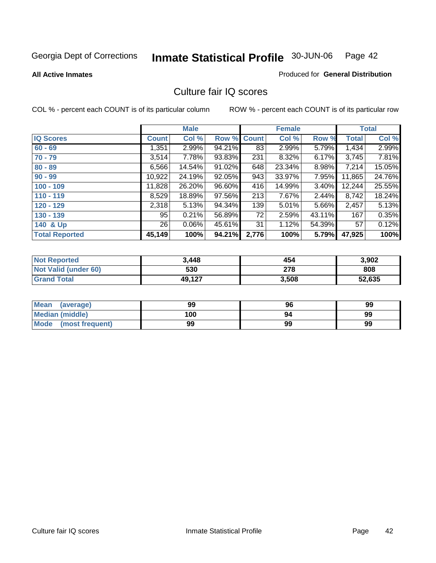#### **All Active Inmates**

#### Produced for **General Distribution**

### Culture fair IQ scores

|                       |              | <b>Male</b> |        |              | <b>Female</b> |          |              | <b>Total</b> |
|-----------------------|--------------|-------------|--------|--------------|---------------|----------|--------------|--------------|
| <b>IQ Scores</b>      | <b>Count</b> | Col %       | Row %  | <b>Count</b> | Col %         | Row %    | <b>Total</b> | Col %        |
| $60 - 69$             | 1,351        | $2.99\%$    | 94.21% | 83           | 2.99%         | 5.79%    | 1,434        | 2.99%        |
| $70 - 79$             | 3,514        | 7.78%       | 93.83% | 231          | 8.32%         | 6.17%    | 3,745        | 7.81%        |
| $80 - 89$             | 6,566        | 14.54%      | 91.02% | 648          | 23.34%        | 8.98%    | 7,214        | 15.05%       |
| $90 - 99$             | 10,922       | 24.19%      | 92.05% | 943          | 33.97%        | 7.95%    | 11,865       | 24.76%       |
| $100 - 109$           | 11,828       | 26.20%      | 96.60% | 416          | 14.99%        | $3.40\%$ | 12,244       | 25.55%       |
| $110 - 119$           | 8,529        | 18.89%      | 97.56% | 213          | 7.67%         | 2.44%    | 8,742        | 18.24%       |
| $120 - 129$           | 2,318        | 5.13%       | 94.34% | 139          | 5.01%         | 5.66%    | 2,457        | 5.13%        |
| $130 - 139$           | 95           | 0.21%       | 56.89% | 72           | 2.59%         | 43.11%   | 167          | 0.35%        |
| 140 & Up              | 26           | $0.06\%$    | 45.61% | 31           | 1.12%         | 54.39%   | 57           | 0.12%        |
| <b>Total Reported</b> | 45,149       | 100%        | 94.21% | 2,776        | 100%          | 5.79%    | 47,925       | 100%         |

| <b>Not Reported</b>  | 3,448  | 454   | 3,902  |
|----------------------|--------|-------|--------|
| Not Valid (under 60) | 530    | 278   | 808    |
| <b>Grand Total</b>   | 49,127 | 3,508 | 52,635 |

| <b>Mean</b><br>(average)       | 99  | 96 | 99 |
|--------------------------------|-----|----|----|
| <b>Median (middle)</b>         | 100 | 94 | 99 |
| <b>Mode</b><br>(most frequent) | 99  | 99 | 99 |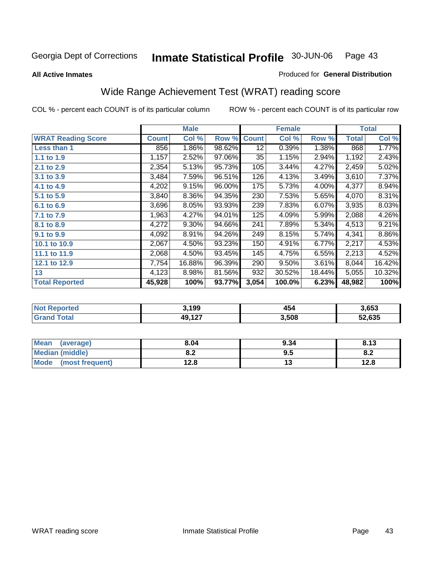#### **All Active Inmates**

#### Produced for **General Distribution**

# Wide Range Achievement Test (WRAT) reading score

|                           |              | <b>Male</b> |        |              | <b>Female</b> |        |              | <b>Total</b> |
|---------------------------|--------------|-------------|--------|--------------|---------------|--------|--------------|--------------|
| <b>WRAT Reading Score</b> | <b>Count</b> | Col %       | Row %  | <b>Count</b> | Col %         | Row %  | <b>Total</b> | Col %        |
| Less than 1               | 856          | 1.86%       | 98.62% | 12           | 0.39%         | 1.38%  | 868          | 1.77%        |
| 1.1 to 1.9                | 1,157        | 2.52%       | 97.06% | 35           | 1.15%         | 2.94%  | 1,192        | 2.43%        |
| 2.1 to 2.9                | 2,354        | 5.13%       | 95.73% | 105          | 3.44%         | 4.27%  | 2,459        | 5.02%        |
| 3.1 to 3.9                | 3,484        | 7.59%       | 96.51% | 126          | 4.13%         | 3.49%  | 3,610        | 7.37%        |
| 4.1 to 4.9                | 4,202        | 9.15%       | 96.00% | 175          | 5.73%         | 4.00%  | 4,377        | 8.94%        |
| 5.1 to 5.9                | 3,840        | 8.36%       | 94.35% | 230          | 7.53%         | 5.65%  | 4,070        | 8.31%        |
| 6.1 to 6.9                | 3,696        | 8.05%       | 93.93% | 239          | 7.83%         | 6.07%  | 3,935        | 8.03%        |
| 7.1 to 7.9                | 1,963        | 4.27%       | 94.01% | 125          | 4.09%         | 5.99%  | 2,088        | 4.26%        |
| 8.1 to 8.9                | 4,272        | 9.30%       | 94.66% | 241          | 7.89%         | 5.34%  | 4,513        | 9.21%        |
| 9.1 to 9.9                | 4,092        | 8.91%       | 94.26% | 249          | 8.15%         | 5.74%  | 4,341        | $8.86\%$     |
| 10.1 to 10.9              | 2,067        | 4.50%       | 93.23% | 150          | 4.91%         | 6.77%  | 2,217        | 4.53%        |
| 11.1 to 11.9              | 2,068        | 4.50%       | 93.45% | 145          | 4.75%         | 6.55%  | 2,213        | 4.52%        |
| 12.1 to 12.9              | 7,754        | 16.88%      | 96.39% | 290          | 9.50%         | 3.61%  | 8,044        | 16.42%       |
| 13                        | 4,123        | 8.98%       | 81.56% | 932          | 30.52%        | 18.44% | 5,055        | 10.32%       |
| <b>Total Reported</b>     | 45,928       | 100%        | 93.77% | 3,054        | 100.0%        | 6.23%  | 48,982       | 100%         |

| 3.199    | . .<br>43, | 3.653  |
|----------|------------|--------|
| 10 1 2 7 | 3,508      | 52.635 |

| <b>Mean</b><br>(average) | 8.04           | 9.34 | 8.13 |
|--------------------------|----------------|------|------|
| Median (middle)          | י ה<br>0.Z     | 9.5  | О.Д  |
| Mode<br>(most frequent)  | 1 2 9<br>I ∠.O | יי   | 12.8 |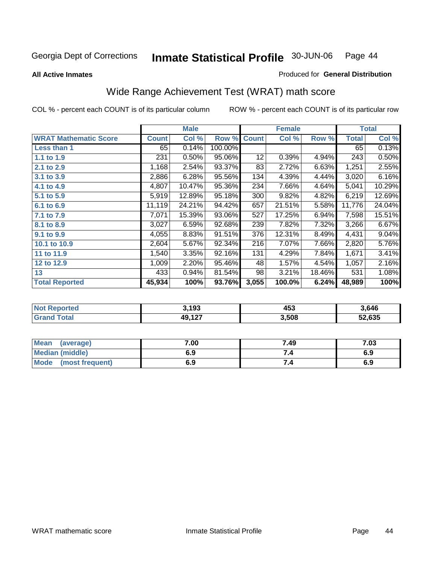**All Active Inmates**

#### Produced for **General Distribution**

# Wide Range Achievement Test (WRAT) math score

|                              |              | <b>Male</b> |         |              | <b>Female</b> |        |              | <b>Total</b> |
|------------------------------|--------------|-------------|---------|--------------|---------------|--------|--------------|--------------|
| <b>WRAT Mathematic Score</b> | <b>Count</b> | Col %       | Row %   | <b>Count</b> | Col %         | Row %  | <b>Total</b> | Col %        |
| Less than 1                  | 65           | 0.14%       | 100.00% |              |               |        | 65           | 0.13%        |
| 1.1 to 1.9                   | 231          | 0.50%       | 95.06%  | 12           | 0.39%         | 4.94%  | 243          | 0.50%        |
| 2.1 to 2.9                   | 1,168        | 2.54%       | 93.37%  | 83           | 2.72%         | 6.63%  | 1,251        | 2.55%        |
| 3.1 to 3.9                   | 2,886        | 6.28%       | 95.56%  | 134          | 4.39%         | 4.44%  | 3,020        | 6.16%        |
| 4.1 to 4.9                   | 4,807        | 10.47%      | 95.36%  | 234          | 7.66%         | 4.64%  | 5,041        | 10.29%       |
| 5.1 to 5.9                   | 5,919        | 12.89%      | 95.18%  | 300          | 9.82%         | 4.82%  | 6,219        | 12.69%       |
| 6.1 to 6.9                   | 11,119       | 24.21%      | 94.42%  | 657          | 21.51%        | 5.58%  | 11,776       | 24.04%       |
| 7.1 to 7.9                   | 7,071        | 15.39%      | 93.06%  | 527          | 17.25%        | 6.94%  | 7,598        | 15.51%       |
| 8.1 to 8.9                   | 3,027        | 6.59%       | 92.68%  | 239          | 7.82%         | 7.32%  | 3,266        | 6.67%        |
| 9.1 to 9.9                   | 4,055        | 8.83%       | 91.51%  | 376          | 12.31%        | 8.49%  | 4,431        | 9.04%        |
| 10.1 to 10.9                 | 2,604        | 5.67%       | 92.34%  | 216          | 7.07%         | 7.66%  | 2,820        | 5.76%        |
| 11 to 11.9                   | 1,540        | 3.35%       | 92.16%  | 131          | 4.29%         | 7.84%  | 1,671        | 3.41%        |
| 12 to 12.9                   | 1,009        | 2.20%       | 95.46%  | 48           | 1.57%         | 4.54%  | 1,057        | 2.16%        |
| 13                           | 433          | $0.94\%$    | 81.54%  | 98           | 3.21%         | 18.46% | 531          | 1.08%        |
| <b>Total Reported</b>        | 45,934       | 100%        | 93.76%  | 3,055        | 100.0%        | 6.24%  | 48,989       | 100%         |

| 3.193    | 453   | 3.646  |
|----------|-------|--------|
| 10 1 2 7 | 3,508 | 52.635 |

| <b>Mean</b><br>(average)       | 7.00 | 7.49 | 7.03 |
|--------------------------------|------|------|------|
| <b>Median (middle)</b>         | 6.9  |      | 6.9  |
| <b>Mode</b><br>(most frequent) | 6.9  | 7.4  | 6.9  |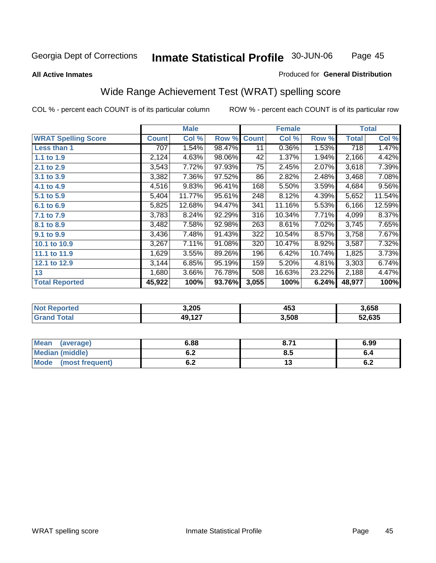Page 45

#### **All Active Inmates**

#### Produced for **General Distribution**

## Wide Range Achievement Test (WRAT) spelling score

|                            |              | <b>Male</b> |        |              | <b>Female</b> |        |                    | <b>Total</b> |
|----------------------------|--------------|-------------|--------|--------------|---------------|--------|--------------------|--------------|
| <b>WRAT Spelling Score</b> | <b>Count</b> | Col %       | Row %  | <b>Count</b> | Col %         | Row %  | <b>Total</b>       | Col %        |
| Less than 1                | 707          | 1.54%       | 98.47% | 11           | 0.36%         | 1.53%  | 718                | 1.47%        |
| 1.1 to 1.9                 | 2,124        | 4.63%       | 98.06% | 42           | 1.37%         | 1.94%  | 2,166              | 4.42%        |
| 2.1 to 2.9                 | 3,543        | 7.72%       | 97.93% | 75           | 2.45%         | 2.07%  | 3,618              | 7.39%        |
| 3.1 to 3.9                 | 3,382        | 7.36%       | 97.52% | 86           | 2.82%         | 2.48%  | 3,468              | 7.08%        |
| 4.1 to 4.9                 | 4,516        | 9.83%       | 96.41% | 168          | 5.50%         | 3.59%  | 4,684              | 9.56%        |
| 5.1 to 5.9                 | 5,404        | 11.77%      | 95.61% | 248          | 8.12%         | 4.39%  | $\overline{5,652}$ | 11.54%       |
| 6.1 to 6.9                 | 5,825        | 12.68%      | 94.47% | 341          | 11.16%        | 5.53%  | 6,166              | 12.59%       |
| 7.1 to 7.9                 | 3,783        | 8.24%       | 92.29% | 316          | 10.34%        | 7.71%  | 4,099              | 8.37%        |
| 8.1 to 8.9                 | 3,482        | 7.58%       | 92.98% | 263          | 8.61%         | 7.02%  | 3,745              | 7.65%        |
| 9.1 to 9.9                 | 3,436        | 7.48%       | 91.43% | 322          | 10.54%        | 8.57%  | 3,758              | 7.67%        |
| 10.1 to 10.9               | 3,267        | 7.11%       | 91.08% | 320          | 10.47%        | 8.92%  | 3,587              | 7.32%        |
| 11.1 to 11.9               | 1,629        | 3.55%       | 89.26% | 196          | 6.42%         | 10.74% | 1,825              | 3.73%        |
| 12.1 to 12.9               | 3,144        | 6.85%       | 95.19% | 159          | 5.20%         | 4.81%  | 3,303              | 6.74%        |
| 13                         | 1,680        | 3.66%       | 76.78% | 508          | 16.63%        | 23.22% | 2,188              | 4.47%        |
| <b>Total Reported</b>      | 45,922       | 100%        | 93.76% | 3,055        | 100%          | 6.24%  | 48,977             | 100%         |

| 3,205          | 453<br>__ | 3.658  |
|----------------|-----------|--------|
| $\overline{A}$ | 3,508     | 52.635 |

| <b>Mean</b><br>(average) | 6.88               | 8.7 <sup>4</sup> | 6.99 |
|--------------------------|--------------------|------------------|------|
| <b>Median (middle)</b>   | <u>. . </u><br>ο.Ζ | 8.5              | o.4  |
| Mode (most frequent)     | <u>. . </u><br>ο.Ζ | ט ו              | 0.2  |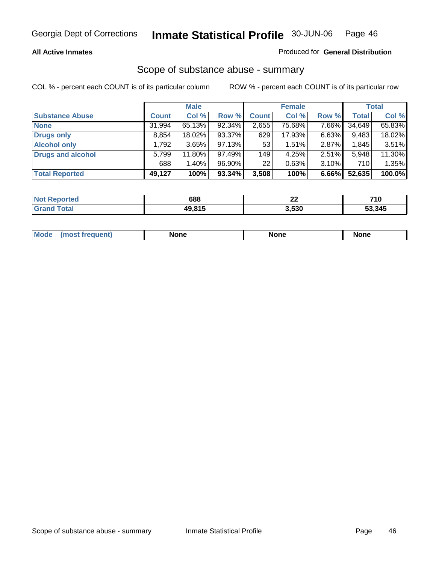#### **All Active Inmates**

#### Produced for **General Distribution**

### Scope of substance abuse - summary

|                          |              | <b>Male</b> |        |              | <b>Female</b> |       |              | <b>Total</b> |
|--------------------------|--------------|-------------|--------|--------------|---------------|-------|--------------|--------------|
| <b>Substance Abuse</b>   | <b>Count</b> | Col %       | Row %  | <b>Count</b> | Col %         | Row % | <b>Total</b> | Col %        |
| <b>None</b>              | 31,994       | 65.13%      | 92.34% | 2,655        | 75.68%        | 7.66% | 34,649       | 65.83%       |
| <b>Drugs only</b>        | 8,854        | 18.02%      | 93.37% | 629          | 17.93%        | 6.63% | 9,483        | 18.02%       |
| <b>Alcohol only</b>      | .792.        | 3.65%       | 97.13% | 53           | 1.51%         | 2.87% | 1,845        | 3.51%        |
| <b>Drugs and alcohol</b> | 5,799        | 11.80%      | 97.49% | 149          | 4.25%         | 2.51% | 5,948        | 11.30%       |
|                          | 688          | 1.40%       | 96.90% | 22           | 0.63%         | 3.10% | 710          | 1.35%        |
| <b>Total Reported</b>    | 49,127       | 100%        | 93.34% | 3,508        | 100%          | 6.66% | 52,635       | 100.0%       |

| NOT<br>ported | 688    | ^^<br>LL. | 74 N<br>טו |
|---------------|--------|-----------|------------|
| 'otal         | 40 R15 | 3,530     | 53,345     |

| ' Mr | ---<br>NO. | .<br>. | - -- |
|------|------------|--------|------|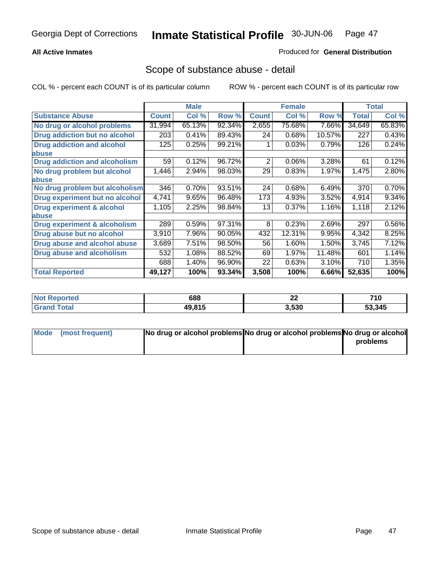#### **All Active Inmates**

#### Produced for **General Distribution**

### Scope of substance abuse - detail

|                                      |              | <b>Male</b> |        |              | <b>Female</b> |        |              | <b>Total</b> |
|--------------------------------------|--------------|-------------|--------|--------------|---------------|--------|--------------|--------------|
| <b>Substance Abuse</b>               | <b>Count</b> | Col %       | Row %  | <b>Count</b> | Col %         | Row %  | <b>Total</b> | Col %        |
| No drug or alcohol problems          | 31,994       | 65.13%      | 92.34% | 2,655        | 75.68%        | 7.66%  | 34,649       | 65.83%       |
| Drug addiction but no alcohol        | 203          | 0.41%       | 89.43% | 24           | 0.68%         | 10.57% | 227          | 0.43%        |
| <b>Drug addiction and alcohol</b>    | 125          | 0.25%       | 99.21% |              | 0.03%         | 0.79%  | 126          | 0.24%        |
| <b>labuse</b>                        |              |             |        |              |               |        |              |              |
| <b>Drug addiction and alcoholism</b> | 59           | 0.12%       | 96.72% | 2            | 0.06%         | 3.28%  | 61           | 0.12%        |
| No drug problem but alcohol          | 1,446        | 2.94%       | 98.03% | 29           | 0.83%         | 1.97%  | 1,475        | 2.80%        |
| abuse                                |              |             |        |              |               |        |              |              |
| No drug problem but alcoholism       | 346          | 0.70%       | 93.51% | 24           | 0.68%         | 6.49%  | 370          | 0.70%        |
| Drug experiment but no alcohol       | 4,741        | 9.65%       | 96.48% | 173          | 4.93%         | 3.52%  | 4,914        | 9.34%        |
| <b>Drug experiment &amp; alcohol</b> | 1,105        | 2.25%       | 98.84% | 13           | 0.37%         | 1.16%  | 1,118        | 2.12%        |
| abuse                                |              |             |        |              |               |        |              |              |
| Drug experiment & alcoholism         | 289          | 0.59%       | 97.31% | 8            | 0.23%         | 2.69%  | 297          | 0.56%        |
| Drug abuse but no alcohol            | 3,910        | 7.96%       | 90.05% | 432          | 12.31%        | 9.95%  | 4,342        | 8.25%        |
| Drug abuse and alcohol abuse         | 3,689        | 7.51%       | 98.50% | 56           | 1.60%         | 1.50%  | 3,745        | 7.12%        |
| <b>Drug abuse and alcoholism</b>     | 532          | 1.08%       | 88.52% | 69           | 1.97%         | 11.48% | 601          | 1.14%        |
|                                      | 688          | 1.40%       | 96.90% | 22           | 0.63%         | 3.10%  | 710          | 1.35%        |
| <b>Total Reported</b>                | 49,127       | 100%        | 93.34% | 3,508        | 100%          | 6.66%  | 52,635       | 100%         |

| τeα | 688    | $\sim$<br>LL | 710  |
|-----|--------|--------------|------|
|     | 10 R15 | 3,530        | .345 |

| Mode (most frequent) | No drug or alcohol problems No drug or alcohol problems No drug or alcohol |          |
|----------------------|----------------------------------------------------------------------------|----------|
|                      |                                                                            | problems |
|                      |                                                                            |          |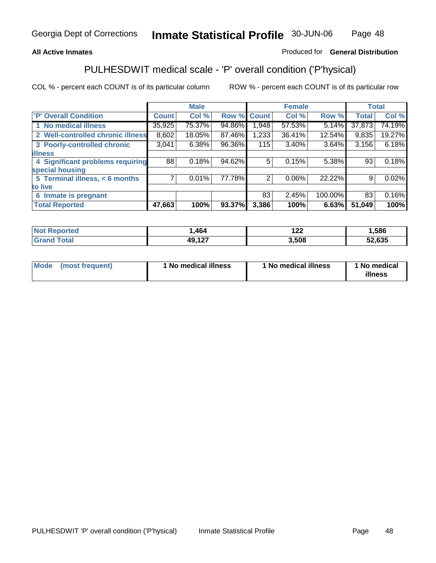### **All Active Inmates**

### Produced for **General Distribution**

# PULHESDWIT medical scale - 'P' overall condition ('P'hysical)

|                                   |              | <b>Male</b> |        |              | <b>Female</b> |         |              | <b>Total</b> |
|-----------------------------------|--------------|-------------|--------|--------------|---------------|---------|--------------|--------------|
| 'P' Overall Condition             | <b>Count</b> | Col %       | Row %  | <b>Count</b> | Col %         | Row %   | <b>Total</b> | Col %        |
| 1 No medical illness              | 35,925       | 75.37%      | 94.86% | 1.948        | 57.53%        | 5.14%   | 37,873       | 74.19%       |
| 2 Well-controlled chronic illness | 8,602        | 18.05%      | 87.46% | 1,233        | 36.41%        | 12.54%  | 9,835        | 19.27%       |
| 3 Poorly-controlled chronic       | 3,041        | 6.38%       | 96.36% | 115          | $3.40\%$      | 3.64%   | 3,156        | 6.18%        |
| <b>illness</b>                    |              |             |        |              |               |         |              |              |
| 4 Significant problems requiring  | 88           | 0.18%       | 94.62% | 5            | 0.15%         | 5.38%   | 93           | 0.18%        |
| special housing                   |              |             |        |              |               |         |              |              |
| 5 Terminal illness, < 6 months    | 71           | 0.01%       | 77.78% | 2            | $0.06\%$      | 22.22%  | 9            | 0.02%        |
| to live                           |              |             |        |              |               |         |              |              |
| 6 Inmate is pregnant              |              |             |        | 83           | 2.45%         | 100.00% | 83           | 0.16%        |
| <b>Total Reported</b>             | 47,663       | 100%        | 93.37% | 3,386        | 100%          | 6.63%   | 51,049       | 100%         |

| <b>Not</b><br>Reported       | .464   | 00<br>1 L L | ,586   |
|------------------------------|--------|-------------|--------|
| <b>Total</b><br><b>Grand</b> | 49,127 | 3,508       | 52,635 |

| Mode (most frequent) | 1 No medical illness | 1 No medical illness | 1 No medical |
|----------------------|----------------------|----------------------|--------------|
|                      |                      |                      | illness      |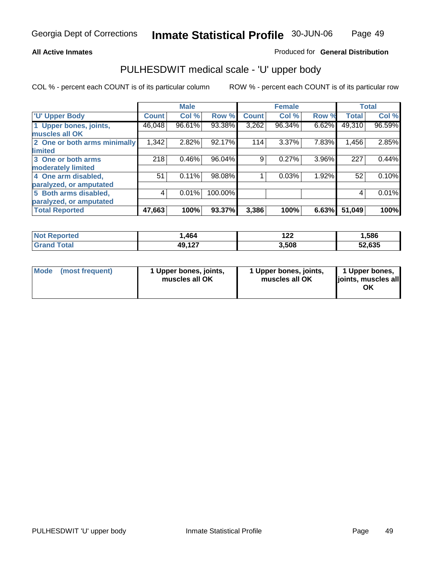#### **All Active Inmates**

#### Produced for **General Distribution**

### PULHESDWIT medical scale - 'U' upper body

|                              |              | <b>Male</b> |         |              | <b>Female</b> |       |              | <b>Total</b> |
|------------------------------|--------------|-------------|---------|--------------|---------------|-------|--------------|--------------|
| <b>U' Upper Body</b>         | <b>Count</b> | Col %       | Row %   | <b>Count</b> | Col %         | Row % | <b>Total</b> | Col %        |
| 1 Upper bones, joints,       | 46,048       | $96.61\%$   | 93.38%  | 3,262        | 96.34%        | 6.62% | 49,310       | 96.59%       |
| muscles all OK               |              |             |         |              |               |       |              |              |
| 2 One or both arms minimally | 1,342        | 2.82%       | 92.17%  | 114          | 3.37%         | 7.83% | 1,456        | 2.85%        |
| limited                      |              |             |         |              |               |       |              |              |
| 3 One or both arms           | 218          | 0.46%       | 96.04%  | 9            | 0.27%         | 3.96% | 227          | 0.44%        |
| moderately limited           |              |             |         |              |               |       |              |              |
| 4 One arm disabled,          | 51           | 0.11%       | 98.08%  |              | 0.03%         | 1.92% | 52           | 0.10%        |
| paralyzed, or amputated      |              |             |         |              |               |       |              |              |
| 5 Both arms disabled,        | 4            | 0.01%       | 100.00% |              |               |       | 4            | 0.01%        |
| paralyzed, or amputated      |              |             |         |              |               |       |              |              |
| <b>Total Reported</b>        | 47,663       | 100%        | 93.37%  | 3,386        | 100%          | 6.63% | 51,049       | 100%         |

| <b>Not Reported</b> | . 464  | 122   | .586   |
|---------------------|--------|-------|--------|
| $\tau$ otal         | 49,127 | 3,508 | 52,635 |

| <b>Mode</b> | (most frequent) | 1 Upper bones, joints,<br>muscles all OK | 1 Upper bones, joints,<br>muscles all OK | 1 Upper bones,<br>joints, muscles all<br>ΟK |
|-------------|-----------------|------------------------------------------|------------------------------------------|---------------------------------------------|
|-------------|-----------------|------------------------------------------|------------------------------------------|---------------------------------------------|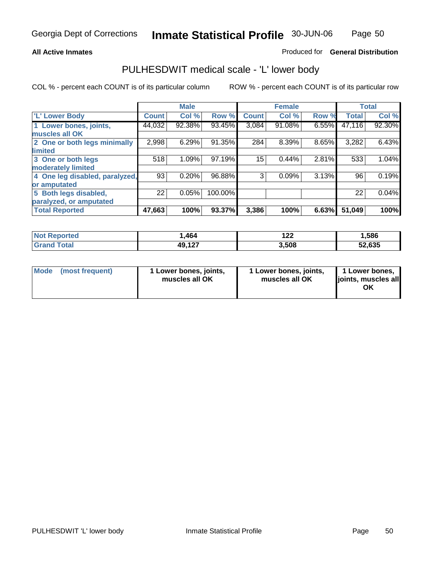#### **All Active Inmates**

#### Produced for **General Distribution**

### PULHESDWIT medical scale - 'L' lower body

|                                |              | <b>Male</b> |         |              | <b>Female</b> |       |              | <b>Total</b> |
|--------------------------------|--------------|-------------|---------|--------------|---------------|-------|--------------|--------------|
| 'L' Lower Body                 | <b>Count</b> | Col %       | Row %   | <b>Count</b> | Col %         | Row % | <b>Total</b> | Col %        |
| 1 Lower bones, joints,         | 44,032       | 92.38%      | 93.45%  | 3,084        | 91.08%        | 6.55% | 47,116       | 92.30%       |
| muscles all OK                 |              |             |         |              |               |       |              |              |
| 2 One or both legs minimally   | 2,998        | 6.29%       | 91.35%  | 284          | 8.39%         | 8.65% | 3,282        | 6.43%        |
| limited                        |              |             |         |              |               |       |              |              |
| 3 One or both legs             | 518          | 1.09%       | 97.19%  | 15           | 0.44%         | 2.81% | 533          | 1.04%        |
| moderately limited             |              |             |         |              |               |       |              |              |
| 4 One leg disabled, paralyzed, | 93           | 0.20%       | 96.88%  | 3            | 0.09%         | 3.13% | 96           | 0.19%        |
| or amputated                   |              |             |         |              |               |       |              |              |
| 5 Both legs disabled,          | 22           | 0.05%       | 100.00% |              |               |       | 22           | 0.04%        |
| paralyzed, or amputated        |              |             |         |              |               |       |              |              |
| <b>Total Reported</b>          | 47,663       | 100%        | 93.37%  | 3,386        | 100%          | 6.63% | 51,049       | 100%         |

| <b>Not Reported</b> | . 464  | ィっっ<br>1 Z Z | .586   |
|---------------------|--------|--------------|--------|
| $\mathsf{Total}$    | 49,127 | 3,508        | 52,635 |

|  | Mode (most frequent) | 1 Lower bones, joints,<br>muscles all OK | 1 Lower bones, joints,<br>muscles all OK | 1 Lower bones,<br>joints, muscles all<br>ОK |
|--|----------------------|------------------------------------------|------------------------------------------|---------------------------------------------|
|--|----------------------|------------------------------------------|------------------------------------------|---------------------------------------------|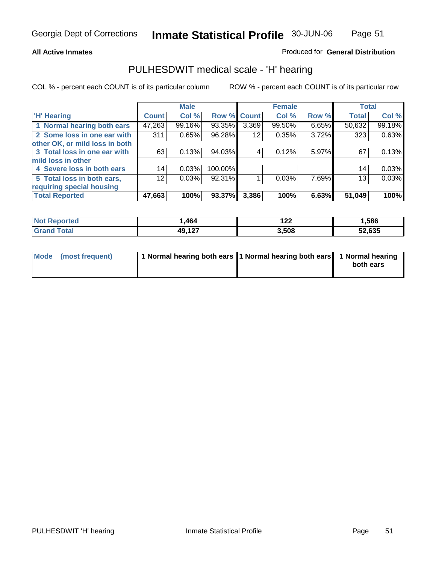#### **All Active Inmates**

#### Produced for **General Distribution**

### PULHESDWIT medical scale - 'H' hearing

|                                |                 | <b>Male</b> |             |       | <b>Female</b> |       | <b>Total</b> |        |
|--------------------------------|-----------------|-------------|-------------|-------|---------------|-------|--------------|--------|
| <b>H'</b> Hearing              | <b>Count</b>    | Col %       | Row % Count |       | Col %         | Row % | <b>Total</b> | Col %  |
| 1 Normal hearing both ears     | 47,263          | 99.16%      | 93.35%      | 3,369 | 99.50%        | 6.65% | 50,632       | 99.18% |
| 2 Some loss in one ear with    | 311             | 0.65%       | 96.28%      | 12    | 0.35%         | 3.72% | 323          | 0.63%  |
| other OK, or mild loss in both |                 |             |             |       |               |       |              |        |
| 3 Total loss in one ear with   | 63              | 0.13%       | 94.03%      | 4     | $0.12\%$      | 5.97% | 67           | 0.13%  |
| mild loss in other             |                 |             |             |       |               |       |              |        |
| 4 Severe loss in both ears     | 14              | 0.03%       | 100.00%     |       |               |       | 14           | 0.03%  |
| 5 Total loss in both ears,     | 12 <sub>1</sub> | 0.03%       | 92.31%      |       | 0.03%         | 7.69% | 13           | 0.03%  |
| requiring special housing      |                 |             |             |       |               |       |              |        |
| <b>Total Reported</b>          | 47,663          | 100%        | 93.37%      | 3,386 | 100%          | 6.63% | 51,049       | 100%   |

| orted  | ,464                              | י י<br>1 Ł Ł | ,586         |
|--------|-----------------------------------|--------------|--------------|
| $\sim$ | <b>10 127</b><br>43, I <i>l</i> i | 3,508        | 52,635<br>JŁ |

| Mode (most frequent) | 1 Normal hearing both ears 11 Normal hearing both ears 1 Normal hearing |           |
|----------------------|-------------------------------------------------------------------------|-----------|
|                      |                                                                         | both ears |
|                      |                                                                         |           |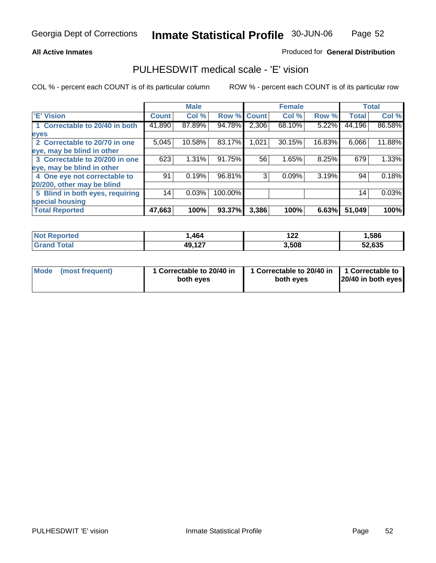#### **All Active Inmates**

#### Produced for **General Distribution**

### PULHESDWIT medical scale - 'E' vision

|                                 |              | <b>Male</b> |             |       | <b>Female</b> |        |              | <b>Total</b> |
|---------------------------------|--------------|-------------|-------------|-------|---------------|--------|--------------|--------------|
| 'E' Vision                      | <b>Count</b> | Col %       | Row % Count |       | Col %         | Row %  | <b>Total</b> | Col %        |
| 1 Correctable to 20/40 in both  | 41,890       | 87.89%      | 94.78%      | 2,306 | 68.10%        | 5.22%  | 44,196       | 86.58%       |
| eyes                            |              |             |             |       |               |        |              |              |
| 2 Correctable to 20/70 in one   | 5,045        | 10.58%      | 83.17%      | 1,021 | 30.15%        | 16.83% | 6,066        | 11.88%       |
| eye, may be blind in other      |              |             |             |       |               |        |              |              |
| 3 Correctable to 20/200 in one  | 623          | 1.31%       | 91.75%      | 56    | 1.65%         | 8.25%  | 679          | 1.33%        |
| eye, may be blind in other      |              |             |             |       |               |        |              |              |
| 4 One eye not correctable to    | 91           | 0.19%       | 96.81%      | 3     | 0.09%         | 3.19%  | 94           | 0.18%        |
| 20/200, other may be blind      |              |             |             |       |               |        |              |              |
| 5 Blind in both eyes, requiring | 14           | 0.03%       | 100.00%     |       |               |        | 14           | 0.03%        |
| special housing                 |              |             |             |       |               |        |              |              |
| <b>Total Reported</b>           | 47,663       | 100%        | 93.37%      | 3,386 | 100%          | 6.63%  | 51,049       | 100%         |

| <b>Not Reported</b> | .464   | ה הו<br>144 | <b>1,586</b> |
|---------------------|--------|-------------|--------------|
| ⊺ota                | 49,127 | 3,508       | 52,635       |

| Mode | (most frequent) | 1 Correctable to 20/40 in<br>both eves | 1 Correctable to 20/40 in   1 Correctable to<br>both eves | 20/40 in both eyes |
|------|-----------------|----------------------------------------|-----------------------------------------------------------|--------------------|
|      |                 |                                        |                                                           |                    |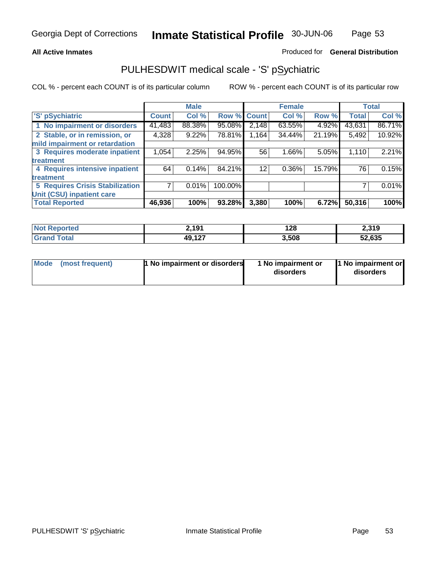#### **All Active Inmates**

#### Produced for **General Distribution**

## PULHESDWIT medical scale - 'S' pSychiatric

|                                        |              | <b>Male</b> |             |       | <b>Female</b> |        |              | <b>Total</b> |
|----------------------------------------|--------------|-------------|-------------|-------|---------------|--------|--------------|--------------|
| 'S' pSychiatric                        | <b>Count</b> | Col %       | Row % Count |       | Col %         | Row %  | <b>Total</b> | Col %        |
| 1 No impairment or disorders           | 41,483       | 88.38%      | 95.08%      | 2,148 | 63.55%        | 4.92%  | 43,631       | 86.71%       |
| 2 Stable, or in remission, or          | 4,328        | 9.22%       | 78.81%      | 1,164 | 34.44%        | 21.19% | 5,492        | 10.92%       |
| mild impairment or retardation         |              |             |             |       |               |        |              |              |
| 3 Requires moderate inpatient          | 1,054        | 2.25%       | 94.95%      | 56    | $1.66\%$      | 5.05%  | 1,110        | 2.21%        |
| treatment                              |              |             |             |       |               |        |              |              |
| 4 Requires intensive inpatient         | 64           | 0.14%       | 84.21%      | 12    | $0.36\%$      | 15.79% | 76           | 0.15%        |
| treatment                              |              |             |             |       |               |        |              |              |
| <b>5 Requires Crisis Stabilization</b> |              | 0.01%       | 100.00%     |       |               |        |              | 0.01%        |
| Unit (CSU) inpatient care              |              |             |             |       |               |        |              |              |
| <b>Total Reported</b>                  | 46,936       | 100%        | 93.28%      | 3,380 | 100%          | 6.72%  | 50,316       | 100%         |

| <b>Not Reported</b>  | 2,191  | 128   | 2,319  |
|----------------------|--------|-------|--------|
| $\tau$ otal<br>Grand | 49,127 | 3,508 | 52,635 |

| Mode (most frequent) | <b>1</b> No impairment or disorders | 1 No impairment or<br>disorders | 1 No impairment or<br>disorders |
|----------------------|-------------------------------------|---------------------------------|---------------------------------|
|                      |                                     |                                 |                                 |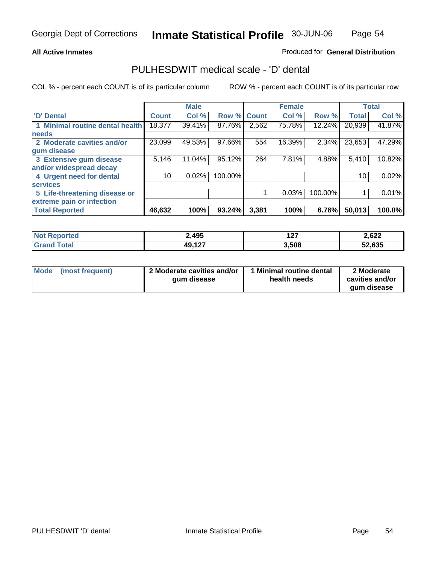#### Produced for **General Distribution**

### PULHESDWIT medical scale - 'D' dental

|                                 |              | <b>Male</b> |             |       | <b>Female</b> |         |              | <b>Total</b> |
|---------------------------------|--------------|-------------|-------------|-------|---------------|---------|--------------|--------------|
| 'D' Dental                      | <b>Count</b> | Col %       | Row % Count |       | Col %         | Row %   | <b>Total</b> | Col %        |
| 1 Minimal routine dental health | 18,377       | 39.41%      | 87.76%      | 2,562 | 75.78%        | 12.24%  | 20,939       | 41.87%       |
| <b>needs</b>                    |              |             |             |       |               |         |              |              |
| 2 Moderate cavities and/or      | 23,099       | 49.53%      | 97.66%      | 554   | 16.39%        | 2.34%   | 23,653       | 47.29%       |
| gum disease                     |              |             |             |       |               |         |              |              |
| 3 Extensive gum disease         | 5,146        | 11.04%      | 95.12%      | 264   | 7.81%         | 4.88%   | 5,410        | 10.82%       |
| and/or widespread decay         |              |             |             |       |               |         |              |              |
| 4 Urgent need for dental        | 10           | 0.02%       | 100.00%     |       |               |         | 10           | 0.02%        |
| <b>services</b>                 |              |             |             |       |               |         |              |              |
| 5 Life-threatening disease or   |              |             |             |       | 0.03%         | 100.00% |              | 0.01%        |
| extreme pain or infection       |              |             |             |       |               |         |              |              |
| <b>Total Reported</b>           | 46,632       | 100%        | 93.24%      | 3,381 | 100%          | 6.76%   | 50,013       | 100.0%       |

| <b>Not Reported</b>   | 2,495  | כ י<br>1 Z I | 2,622  |
|-----------------------|--------|--------------|--------|
| Total<br><b>Grand</b> | 49,127 | 3,508        | 52,635 |

| <b>Mode</b> | (most frequent) | 2 Moderate cavities and/or<br>qum disease | 1 Minimal routine dental<br>health needs | 2 Moderate<br>cavities and/or |
|-------------|-----------------|-------------------------------------------|------------------------------------------|-------------------------------|
|             |                 |                                           |                                          | aum disease                   |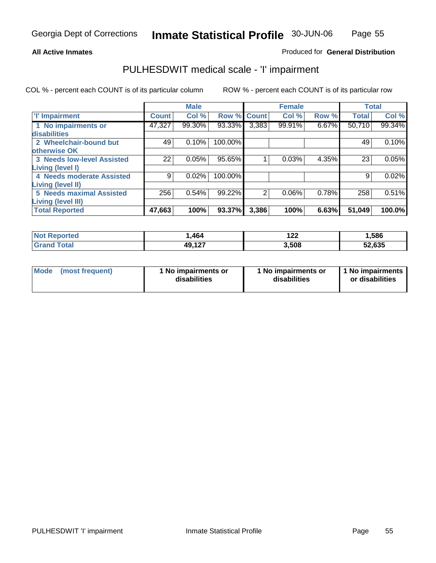Page 55

#### **All Active Inmates**

#### Produced for **General Distribution**

## PULHESDWIT medical scale - 'I' impairment

|                                   |              | <b>Male</b> |         |              | <b>Female</b> |       | <b>Total</b> |        |
|-----------------------------------|--------------|-------------|---------|--------------|---------------|-------|--------------|--------|
| <b>T' Impairment</b>              | <b>Count</b> | Col %       | Row %   | <b>Count</b> | Col %         | Row % | <b>Total</b> | Col %  |
| 1 No impairments or               | 47,327       | 99.30%      | 93.33%  | 3,383        | 99.91%        | 6.67% | 50,710       | 99.34% |
| disabilities                      |              |             |         |              |               |       |              |        |
| 2 Wheelchair-bound but            | 49           | 0.10%       | 100.00% |              |               |       | 49           | 0.10%  |
| otherwise OK                      |              |             |         |              |               |       |              |        |
| <b>3 Needs low-level Assisted</b> | 22           | 0.05%       | 95.65%  |              | 0.03%         | 4.35% | 23           | 0.05%  |
| Living (level I)                  |              |             |         |              |               |       |              |        |
| 4 Needs moderate Assisted         | 9            | 0.02%       | 100.00% |              |               |       | 9            | 0.02%  |
| Living (level II)                 |              |             |         |              |               |       |              |        |
| <b>5 Needs maximal Assisted</b>   | 256          | 0.54%       | 99.22%  | 2            | 0.06%         | 0.78% | 258          | 0.51%  |
| Living (level III)                |              |             |         |              |               |       |              |        |
| <b>Total Reported</b>             | 47,663       | 100%        | 93.37%  | 3,386        | 100%          | 6.63% | 51,049       | 100.0% |

| <b>Not</b><br>Reported | ,464   | ר ה<br>144 | 1,586  |
|------------------------|--------|------------|--------|
| ⊺otal                  | 49,127 | 3,508      | 52,635 |

| Mode | (most frequent) | 1 No impairments or<br>disabilities | 1 No impairments or<br>disabilities | 1 1 No impairments<br>or disabilities |
|------|-----------------|-------------------------------------|-------------------------------------|---------------------------------------|
|------|-----------------|-------------------------------------|-------------------------------------|---------------------------------------|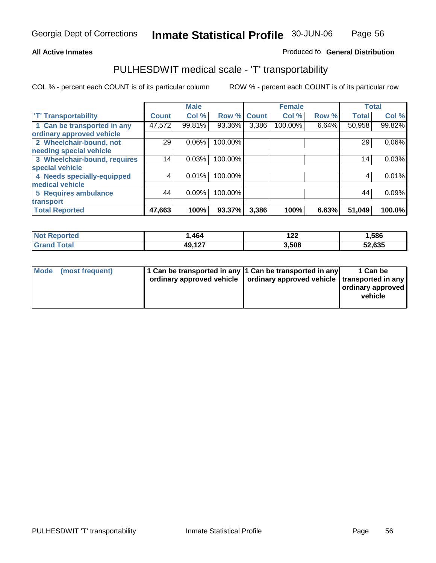#### **Inmate Statistical Profile** 30-JUN-06 Page Page 56

#### **All Active Inmates Allowski** Produced fo **General Distribution**

### PULHESDWIT medical scale - 'T' transportability

|                              |              | <b>Male</b> |         |              | <b>Female</b> |       | <b>Total</b> |        |
|------------------------------|--------------|-------------|---------|--------------|---------------|-------|--------------|--------|
| <b>T' Transportability</b>   | <b>Count</b> | Col %       | Row %   | <b>Count</b> | Col %         | Row % | <b>Total</b> | Col %  |
| 1 Can be transported in any  | 47,572       | 99.81%      | 93.36%  | 3,386        | 100.00%       | 6.64% | 50,958       | 99.82% |
| ordinary approved vehicle    |              |             |         |              |               |       |              |        |
| 2 Wheelchair-bound, not      | 29           | 0.06%       | 100.00% |              |               |       | 29           | 0.06%  |
| needing special vehicle      |              |             |         |              |               |       |              |        |
| 3 Wheelchair-bound, requires | 14           | 0.03%       | 100.00% |              |               |       | 14           | 0.03%  |
| special vehicle              |              |             |         |              |               |       |              |        |
| 4 Needs specially-equipped   | 4            | 0.01%       | 100.00% |              |               |       | 4            | 0.01%  |
| medical vehicle              |              |             |         |              |               |       |              |        |
| <b>5 Requires ambulance</b>  | 44           | 0.09%       | 100.00% |              |               |       | 44           | 0.09%  |
| transport                    |              |             |         |              |               |       |              |        |
| <b>Total Reported</b>        | 47,663       | 100%        | 93.37%  | 3,386        | 100%          | 6.63% | 51,049       | 100.0% |

| <b>Not</b><br>Reported | ,464   | י ה<br>1 Z Z | 586, ا |
|------------------------|--------|--------------|--------|
| <b>Total</b>           | 49,127 | 3,508        | 52,635 |

| Mode (most frequent) | 1 Can be transported in any 1 Can be transported in any | ordinary approved vehicle   ordinary approved vehicle   transported in any | 1 Can be<br>ordinary approved<br>vehicle |
|----------------------|---------------------------------------------------------|----------------------------------------------------------------------------|------------------------------------------|
|                      |                                                         |                                                                            |                                          |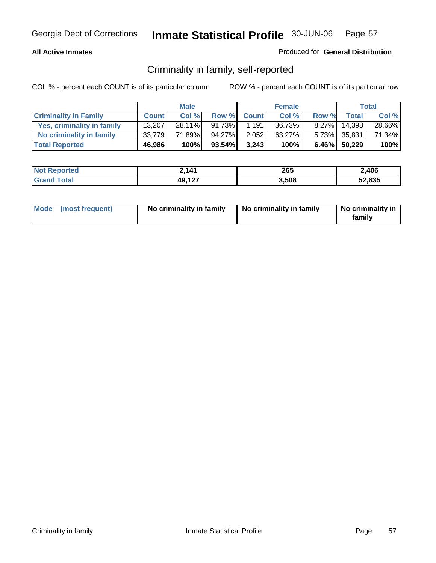### **All Active Inmates**

### Produced for **General Distribution**

## Criminality in family, self-reported

|                              |              | <b>Male</b> |           |              | <b>Female</b> |          |              | Total  |
|------------------------------|--------------|-------------|-----------|--------------|---------------|----------|--------------|--------|
| <b>Criminality In Family</b> | <b>Count</b> | Col %       | Row %     | <b>Count</b> | Col %         | Row %    | Total        | Col %  |
| Yes, criminality in family   | 13.207       | $28.11\%$   | 91.73%    | 1.191        | 36.73%        | $8.27\%$ | 14,398       | 28.66% |
| No criminality in family     | 33.779       | 71.89%      | 94.27%    | 2.052        | 63.27%        |          | 5.73% 35,831 | 71.34% |
| <b>Total Reported</b>        | 46,986       | 100%        | $93.54\%$ | 3.243        | 100%          |          | 6.46% 50,229 | 100%   |

| <b>Not Reported</b>     | 2,141  | 265   | 2,406  |
|-------------------------|--------|-------|--------|
| <b>Total</b><br>l Grand | 49,127 | 3.508 | 52,635 |

|  | Mode (most frequent) | No criminality in family | No criminality in family | No criminality in<br>family |
|--|----------------------|--------------------------|--------------------------|-----------------------------|
|--|----------------------|--------------------------|--------------------------|-----------------------------|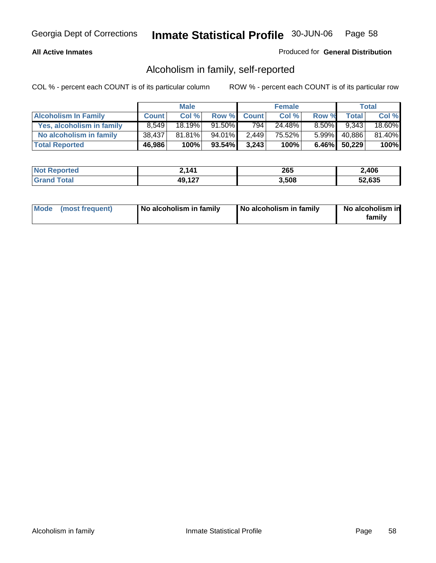#### **All Active Inmates**

#### Produced for **General Distribution**

## Alcoholism in family, self-reported

|                             |              | <b>Male</b> |        |              | <b>Female</b> |          |              | <b>Total</b> |
|-----------------------------|--------------|-------------|--------|--------------|---------------|----------|--------------|--------------|
| <b>Alcoholism In Family</b> | <b>Count</b> | Col %       | Row %  | <b>Count</b> | Col %         | Row %    | <b>Total</b> | Col %        |
| Yes, alcoholism in family   | 8.549        | 18.19%      | 91.50% | 794          | 24.48%        | $8.50\%$ | 9.343        | 18.60%       |
| No alcoholism in family     | 38,437       | $81.81\%$   | 94.01% | 2,449        | 75.52%        | $5.99\%$ | 40,886       | 81.40%       |
| <b>Total Reported</b>       | 46,986       | 100%        | 93.54% | 3,243        | 100%          |          | 6.46% 50,229 | 100%         |

| <b>Not Reported</b>     | 2,141  | 265   | 2,406  |
|-------------------------|--------|-------|--------|
| <b>Total</b><br>l Grand | 49,127 | 3.508 | 52,635 |

|  | Mode (most frequent) | No alcoholism in family | No alcoholism in family | No alcoholism in<br>family |
|--|----------------------|-------------------------|-------------------------|----------------------------|
|--|----------------------|-------------------------|-------------------------|----------------------------|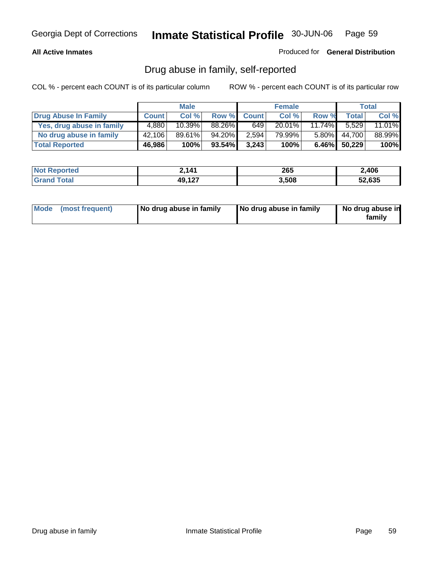#### **All Active Inmates**

Produced for **General Distribution**

## Drug abuse in family, self-reported

|                           |              | <b>Male</b>          |        |              | <b>Female</b> |           |              | <b>Total</b> |
|---------------------------|--------------|----------------------|--------|--------------|---------------|-----------|--------------|--------------|
| Drug Abuse In Family      | <b>Count</b> | Col %                | Row %  | <b>Count</b> | Col %         | Row %     | Total        | Col %        |
| Yes, drug abuse in family | 4,880        | $10.\overline{39\%}$ | 88.26% | 649          | $20.01\%$     | $11.74\%$ | 5.529        | 11.01%       |
| No drug abuse in family   | 42,106       | 89.61%               | 94.20% | 2,594        | 79.99%        | $5.80\%$  | 44,700       | 88.99%       |
| <b>Total Reported</b>     | 46,986       | 100%                 | 93.54% | 3.243        | 100%          |           | 6.46% 50,229 | 100%         |

| <b>Not Reported</b>     | 2,141  | 265   | 2,406  |
|-------------------------|--------|-------|--------|
| <b>Total</b><br>l Grand | 49,127 | 3.508 | 52,635 |

|  | Mode (most frequent) | No drug abuse in family | No drug abuse in family | No drug abuse in<br>family |
|--|----------------------|-------------------------|-------------------------|----------------------------|
|--|----------------------|-------------------------|-------------------------|----------------------------|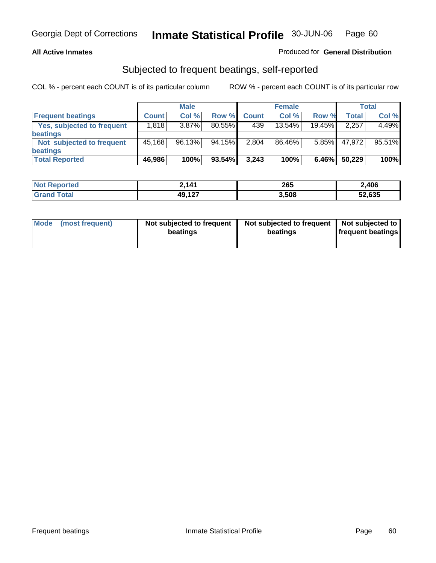### **All Active Inmates**

### Produced for **General Distribution**

# Subjected to frequent beatings, self-reported

|                                   |              | <b>Male</b> |           |              | <b>Female</b> |          |              | Total  |
|-----------------------------------|--------------|-------------|-----------|--------------|---------------|----------|--------------|--------|
| <b>Frequent beatings</b>          | <b>Count</b> | Col %       | Row %     | <b>Count</b> | Col %         | Row %    | <b>Total</b> | Col %  |
| <b>Yes, subjected to frequent</b> | 1,818        | 3.87%       | $80.55\%$ | 439          | $13.54\%$     | 19.45%   | 2,257        | 4.49%  |
| <b>beatings</b>                   |              |             |           |              |               |          |              |        |
| Not subjected to frequent         | 45,168       | 96.13%      | 94.15%    | 2,804        | 86.46%        | $5.85\%$ | 47.972       | 95.51% |
| <b>beatings</b>                   |              |             |           |              |               |          |              |        |
| <b>Total Reported</b>             | 46,986       | 100%        | 93.54%    | 3,243        | 100%          | 6.46%    | 50,229       | 100%   |

| Nt  | 141    | 265   | 2,406  |
|-----|--------|-------|--------|
| .Gr | 49,127 | 3,508 | 52,635 |

| <b>Node</b> | (most frequent) | Not subjected to frequent<br>beatings | Not subjected to frequent<br>beatings | Not subjected to<br><b>frequent beatings</b> |
|-------------|-----------------|---------------------------------------|---------------------------------------|----------------------------------------------|
|-------------|-----------------|---------------------------------------|---------------------------------------|----------------------------------------------|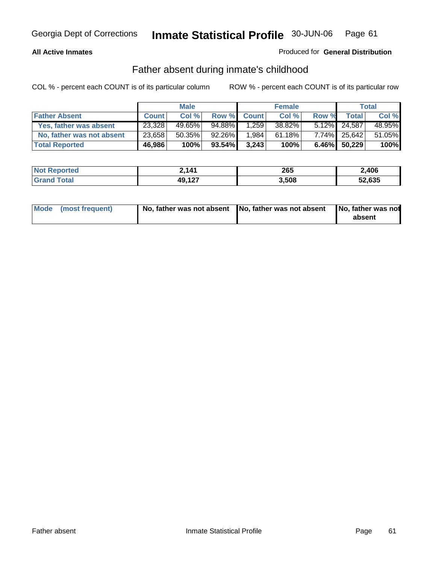#### **All Active Inmates**

#### Produced for **General Distribution**

## Father absent during inmate's childhood

|                           |              | <b>Male</b> |           |              | <b>Female</b> |       |                 | Total  |
|---------------------------|--------------|-------------|-----------|--------------|---------------|-------|-----------------|--------|
| <b>Father Absent</b>      | <b>Count</b> | Col %       | Row %     | <b>Count</b> | Col %         | Row % | Total           | Col %  |
| Yes, father was absent    | 23,328       | 49.65%      | 94.88%    | .259         | 38.82%        |       | $5.12\%$ 24,587 | 48.95% |
| No, father was not absent | 23,658       | $50.35\%$   | 92.26%    | 1,984        | 61.18%        |       | 7.74% 25,642    | 51.05% |
| <b>Total Reported</b>     | 46,986       | 100%        | $93.54\%$ | 3.243        | 100%          |       | 6.46% 50,229    | 100%   |

| <b>Not Reported</b> | 2,141  | 265   | 2,406  |
|---------------------|--------|-------|--------|
| <b>Grand Total</b>  | 49,127 | 3,508 | 52,635 |

| Mode (most frequent) |  | 「No, father was not absent ┃No, father was not absent ┃No, father was not | absent |
|----------------------|--|---------------------------------------------------------------------------|--------|
|----------------------|--|---------------------------------------------------------------------------|--------|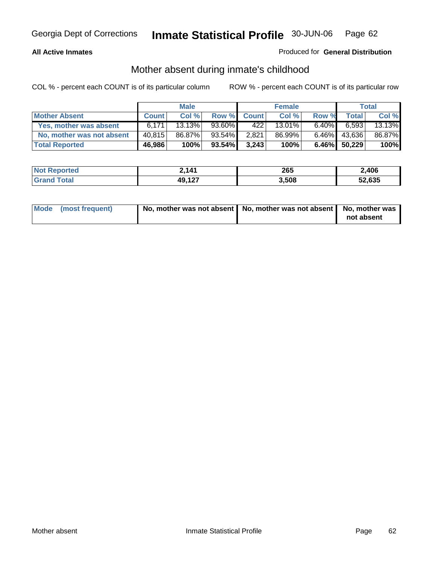#### **All Active Inmates**

#### Produced for **General Distribution**

## Mother absent during inmate's childhood

|                           |              | <b>Male</b> |           |              | <b>Female</b> |          |              | Total  |
|---------------------------|--------------|-------------|-----------|--------------|---------------|----------|--------------|--------|
| <b>Mother Absent</b>      | <b>Count</b> | Col %       | Row %     | <b>Count</b> | Col %         | Row %    | Total        | Col %  |
| Yes, mother was absent    | 6.171        | 13.13%      | 93.60%    | 422          | 13.01%        | $6.40\%$ | 6,593        | 13.13% |
| No, mother was not absent | 40.815       | 86.87%      | 93.54%    | 2,821        | 86.99%        | $6.46\%$ | 43,636       | 86.87% |
| <b>Total Reported</b>     | 46,986       | 100%        | $93.54\%$ | 3.243        | 100%          |          | 6.46% 50,229 | 100%   |

| <b>Not Reported</b>     | 2,141  | 265   | 2,406  |
|-------------------------|--------|-------|--------|
| <b>Total</b><br>l Grand | 49,127 | 3.508 | 52,635 |

| Mode (most frequent) | No, mother was not absent $\vert$ No, mother was not absent $\vert$ No, mother was | not absent |
|----------------------|------------------------------------------------------------------------------------|------------|
|                      |                                                                                    |            |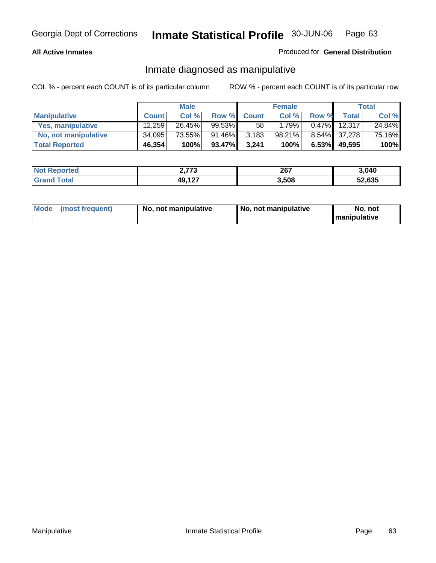#### **All Active Inmates**

#### Produced for **General Distribution**

### Inmate diagnosed as manipulative

|                       |              | <b>Male</b> |        |              | <b>Female</b> |          |              | Total  |
|-----------------------|--------------|-------------|--------|--------------|---------------|----------|--------------|--------|
| <b>Manipulative</b>   | <b>Count</b> | Col %       | Row %  | <b>Count</b> | Col %         | Row %    | <b>Total</b> | Col %  |
| Yes, manipulative     | 12.259       | 26.45%      | 99.53% | 58           | 1.79%         | $0.47\%$ | 12,317       | 24.84% |
| No, not manipulative  | 34,095       | 73.55%      | 91.46% | 3,183        | 98.21%        |          | 8.54% 37,278 | 75.16% |
| <b>Total Reported</b> | 46,354       | 100%        | 93.47% | 3,241        | 100%          | 6.53%    | 49.595       | 100%   |

| <b>Not Reported</b>          | בדד ר<br><u>_</u> ___ | 267   | 3,040  |  |
|------------------------------|-----------------------|-------|--------|--|
| <b>Total</b><br><b>Grand</b> | 49,127                | 3,508 | 52,635 |  |

| <b>Mode</b><br>No, not manipulative<br>(most frequent) | No. not manipulative | No. not<br>I manipulative |
|--------------------------------------------------------|----------------------|---------------------------|
|--------------------------------------------------------|----------------------|---------------------------|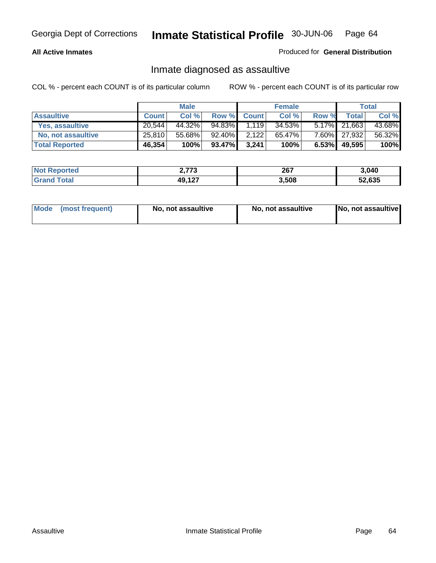#### **All Active Inmates**

#### Produced for **General Distribution**

## Inmate diagnosed as assaultive

|                       |                     | <b>Male</b> |        |              | <b>Female</b> |          |                 | <b>Total</b> |
|-----------------------|---------------------|-------------|--------|--------------|---------------|----------|-----------------|--------------|
| <b>Assaultive</b>     | <b>Count</b>        | Col %       | Row %  | <b>Count</b> | Col %         | Row %    | Total           | Col %        |
| Yes, assaultive       | 20.544              | 44.32%      | 94.83% | 1,119        | 34.53%        |          | $5.17\%$ 21,663 | 43.68%       |
| No, not assaultive    | 25,810 <sub>1</sub> | 55.68%      | 92.40% | 2,122        | 65.47%        |          | 7.60% 27,932    | 56.32%       |
| <b>Total Reported</b> | 46,354              | 100%        | 93.47% | 3.241        | 100%          | $6.53\%$ | 49,595          | 100%         |

| <b>Not Reported</b> | フフつ<br><u>zilio</u> | 267   | 3.040  |
|---------------------|---------------------|-------|--------|
| l Grand<br>\ Total  | 49,127              | 3.508 | 52,635 |

| Mode | ↑ (most frequent) | No, not assaultive | No, not assaultive | [No, not assaultive] |
|------|-------------------|--------------------|--------------------|----------------------|
|------|-------------------|--------------------|--------------------|----------------------|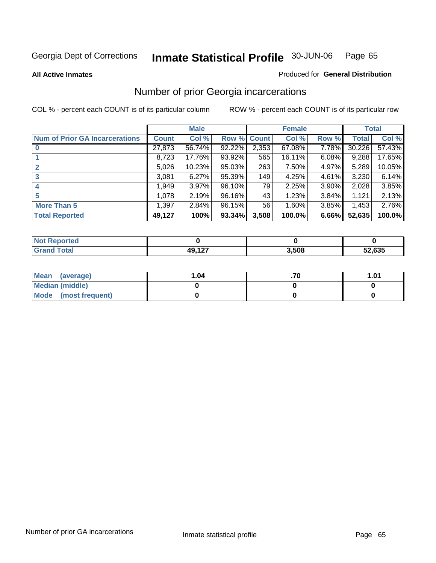#### **All Active Inmates**

#### Produced for **General Distribution**

## Number of prior Georgia incarcerations

|                                       |              | <b>Male</b> |                    |       | <b>Female</b> |          |        | <b>Total</b> |
|---------------------------------------|--------------|-------------|--------------------|-------|---------------|----------|--------|--------------|
| <b>Num of Prior GA Incarcerations</b> | <b>Count</b> | Col %       | <b>Row % Count</b> |       | Col %         | Row %    | Total  | Col %        |
| $\bf{0}$                              | 27,873       | 56.74%      | 92.22%             | 2,353 | 67.08%        | 7.78%    | 30,226 | 57.43%       |
|                                       | 8,723        | 17.76%      | 93.92%             | 565   | 16.11%        | 6.08%    | 9,288  | 17.65%       |
|                                       | 5,026        | 10.23%      | 95.03%             | 263   | 7.50%         | 4.97%    | 5,289  | 10.05%       |
| 3                                     | 3,081        | 6.27%       | 95.39%             | 149   | 4.25%         | 4.61%    | 3,230  | 6.14%        |
|                                       | 1,949        | 3.97%       | 96.10%             | 79    | 2.25%         | $3.90\%$ | 2,028  | 3.85%        |
| 5                                     | 1,078        | 2.19%       | 96.16%             | 43    | 1.23%         | 3.84%    | 1,121  | 2.13%        |
| <b>More Than 5</b>                    | 1,397        | 2.84%       | 96.15%             | 56    | 1.60%         | 3.85%    | 1,453  | 2.76%        |
| <b>Total Reported</b>                 | 49,127       | 100%        | 93.34%             | 3,508 | 100.0%        | 6.66%    | 52,635 | 100.0%       |

| N<br>тес |                   |       |        |
|----------|-------------------|-------|--------|
| $\sim$   | 10 107<br>$ \sim$ | 3,508 | 52,635 |

| Mean (average)       | 1.04 | .01 |
|----------------------|------|-----|
| Median (middle)      |      |     |
| Mode (most frequent) |      |     |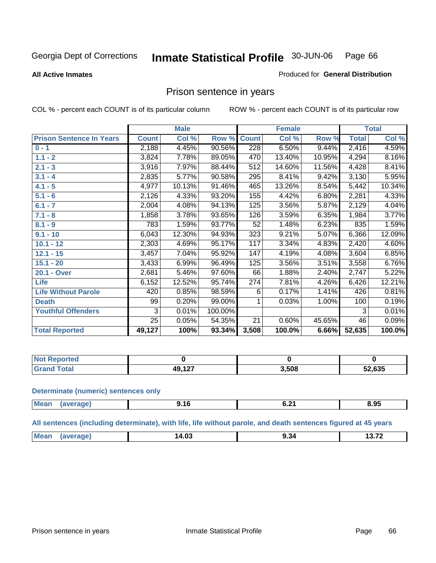#### **All Active Inmates**

### Produced for **General Distribution**

### Prison sentence in years

COL % - percent each COUNT is of its particular column ROW % - percent each COUNT is of its particular row

|                                 |              | <b>Male</b> |         |                 | <b>Female</b> |        |              | <b>Total</b> |
|---------------------------------|--------------|-------------|---------|-----------------|---------------|--------|--------------|--------------|
| <b>Prison Sentence In Years</b> | <b>Count</b> | Col %       | Row %   | <b>Count</b>    | Col %         | Row %  | <b>Total</b> | Col %        |
| $0 - 1$                         | 2,188        | 4.45%       | 90.56%  | 228             | 6.50%         | 9.44%  | 2,416        | 4.59%        |
| $1.1 - 2$                       | 3,824        | 7.78%       | 89.05%  | 470             | 13.40%        | 10.95% | 4,294        | 8.16%        |
| $2.1 - 3$                       | 3,916        | 7.97%       | 88.44%  | 512             | 14.60%        | 11.56% | 4,428        | 8.41%        |
| $3.1 - 4$                       | 2,835        | 5.77%       | 90.58%  | 295             | 8.41%         | 9.42%  | 3,130        | 5.95%        |
| $4.1 - 5$                       | 4,977        | 10.13%      | 91.46%  | 465             | 13.26%        | 8.54%  | 5,442        | 10.34%       |
| $5.1 - 6$                       | 2,126        | 4.33%       | 93.20%  | 155             | 4.42%         | 6.80%  | 2,281        | 4.33%        |
| $6.1 - 7$                       | 2,004        | 4.08%       | 94.13%  | 125             | 3.56%         | 5.87%  | 2,129        | 4.04%        |
| $7.1 - 8$                       | 1,858        | 3.78%       | 93.65%  | 126             | 3.59%         | 6.35%  | 1,984        | 3.77%        |
| $8.1 - 9$                       | 783          | 1.59%       | 93.77%  | $\overline{52}$ | 1.48%         | 6.23%  | 835          | 1.59%        |
| $9.1 - 10$                      | 6,043        | 12.30%      | 94.93%  | 323             | 9.21%         | 5.07%  | 6,366        | 12.09%       |
| $10.1 - 12$                     | 2,303        | 4.69%       | 95.17%  | 117             | 3.34%         | 4.83%  | 2,420        | 4.60%        |
| $12.1 - 15$                     | 3,457        | 7.04%       | 95.92%  | 147             | 4.19%         | 4.08%  | 3,604        | 6.85%        |
| $15.1 - 20$                     | 3,433        | 6.99%       | 96.49%  | 125             | 3.56%         | 3.51%  | 3,558        | 6.76%        |
| 20.1 - Over                     | 2,681        | 5.46%       | 97.60%  | 66              | 1.88%         | 2.40%  | 2,747        | 5.22%        |
| <b>Life</b>                     | 6,152        | 12.52%      | 95.74%  | 274             | 7.81%         | 4.26%  | 6,426        | 12.21%       |
| <b>Life Without Parole</b>      | 420          | 0.85%       | 98.59%  | 6               | 0.17%         | 1.41%  | 426          | 0.81%        |
| <b>Death</b>                    | 99           | 0.20%       | 99.00%  |                 | 0.03%         | 1.00%  | 100          | 0.19%        |
| <b>Youthful Offenders</b>       | 3            | 0.01%       | 100.00% |                 |               |        | 3            | 0.01%        |
|                                 | 25           | 0.05%       | 54.35%  | 21              | 0.60%         | 45.65% | 46           | 0.09%        |
| <b>Total Reported</b>           | 49,127       | 100%        | 93.34%  | 3,508           | 100.0%        | 6.66%  | 52,635       | 100.0%       |

| Reported     |        |       |        |
|--------------|--------|-------|--------|
| <b>Total</b> | 10 107 | 3,508 | 52,635 |

#### **Determinate (numeric) sentences only**

| Mean<br>(average) | 9.16 | V.∠ | $-$<br>8.95 |
|-------------------|------|-----|-------------|
|                   |      |     |             |

#### **All sentences (including determinate), with life, life without parole, and death sentences figured at 45 years**

| <b>Mes</b><br>^ מר<br>$\sim$<br>$\mathbf{r}$<br>4.U. |  | --- <i>--</i> --- | ___ | ___ | _____ |
|------------------------------------------------------|--|-------------------|-----|-----|-------|
|------------------------------------------------------|--|-------------------|-----|-----|-------|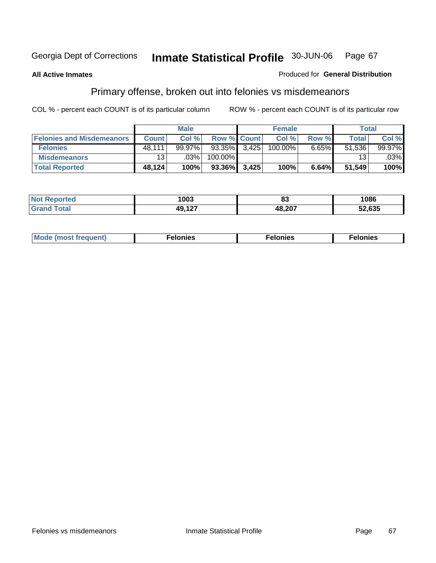#### **All Active Inmates**

#### Produced for **General Distribution**

# Primary offense, broken out into felonies vs misdemeanors

|                                  |              | <b>Male</b> |                    | <b>Female</b> |          | <b>Total</b> |                        |
|----------------------------------|--------------|-------------|--------------------|---------------|----------|--------------|------------------------|
| <b>Felonies and Misdemeanors</b> | <b>Count</b> | Col %       | <b>Row % Count</b> | Col%          | Row %    | Total        | Col%                   |
| <b>Felonies</b>                  | 48.111       | $99.97\%$   | $93.35\%$ 3,425    | 100.00%       | $6.65\%$ | 51,536       | 99.97%                 |
| <b>Misdemeanors</b>              | 13.          | $.03\%$     | 100.00%            |               |          | 13           | $.03\%$ $\blacksquare$ |
| <b>Total Reported</b>            | 48.124       | 100%        | 93.36% 3,425       | 100%          | 6.64%    | 51,549       | 100%                   |

| <b>Not</b><br>ted. | 1003       | uu     | 1086             |
|--------------------|------------|--------|------------------|
|                    | דה גם<br>. | 48,207 | חמה הם<br>כנס,∠נ |

| Mode (most frequent) | elonies | elonies | onies<br>-е к |
|----------------------|---------|---------|---------------|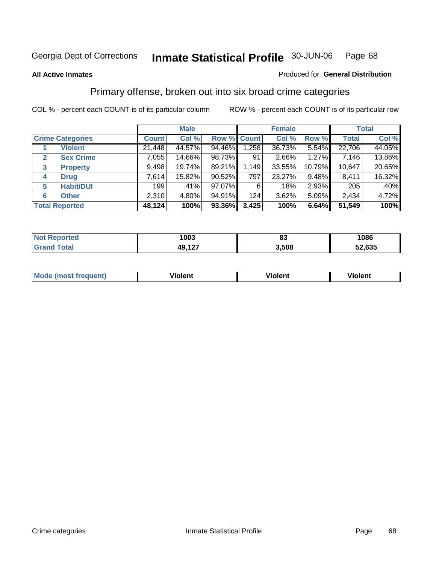#### **All Active Inmates**

#### Produced for **General Distribution**

## Primary offense, broken out into six broad crime categories

|                                  |                  | <b>Male</b> |             |       | <b>Female</b> |          |              | <b>Total</b> |
|----------------------------------|------------------|-------------|-------------|-------|---------------|----------|--------------|--------------|
| <b>Crime Categories</b>          | <b>Count</b>     | Col %       | Row % Count |       | Col %         | Row %    | <b>Total</b> | Col %        |
| <b>Violent</b>                   | 21,448           | 44.57%      | 94.46%      | 1,258 | 36.73%        | 5.54%    | 22,706       | 44.05%       |
| <b>Sex Crime</b><br>$\mathbf{2}$ | 7,055            | 14.66%      | 98.73%      | 91    | 2.66%         | 1.27%    | 7,146        | 13.86%       |
| $\mathbf{3}$<br><b>Property</b>  | 9,498            | 19.74%      | 89.21%      | 1,149 | 33.55%        | 10.79%   | 10,647       | 20.65%       |
| <b>Drug</b><br>4                 | 7,614            | 15.82%      | 90.52%      | 797   | 23.27%        | $9.48\%$ | 8,411        | 16.32%       |
| <b>Habit/DUI</b><br>5            | 199 <sup>1</sup> | .41%        | $97.07\%$   | 6     | .18%          | 2.93%    | 205          | .40%         |
| <b>Other</b><br>6                | 2,310            | 4.80%       | 94.91%      | 124   | 3.62%         | 5.09%    | 2,434        | 4.72%        |
| <b>Total Reported</b>            | 48,124           | 100%        | 93.36%      | 3,425 | 100%          | 6.64%    | 51,549       | 100%         |

| 1003   | n.<br>oJ | 1086   |
|--------|----------|--------|
| 49,127 | 3.508    | 52,635 |

|  | <b>Mou</b><br>--- | .<br>วlent | ---<br>olent | ≀lent<br>-------- |
|--|-------------------|------------|--------------|-------------------|
|--|-------------------|------------|--------------|-------------------|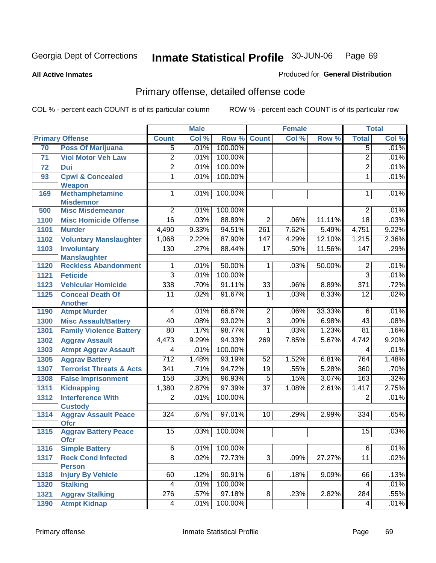**All Active Inmates**

#### Produced for **General Distribution**

# Primary offense, detailed offense code

|      |                                                    | <b>Male</b>      |       |         | <b>Female</b>   |       |        | <b>Total</b>     |       |
|------|----------------------------------------------------|------------------|-------|---------|-----------------|-------|--------|------------------|-------|
|      | <b>Primary Offense</b>                             | <b>Count</b>     | Col % | Row %   | <b>Count</b>    | Col%  | Row %  | <b>Total</b>     | Col % |
| 70   | <b>Poss Of Marijuana</b>                           | $\overline{5}$   | .01%  | 100.00% |                 |       |        | 5                | .01%  |
| 71   | <b>Viol Motor Veh Law</b>                          | $\overline{2}$   | .01%  | 100.00% |                 |       |        | $\overline{2}$   | .01%  |
| 72   | <b>Dui</b>                                         | $\overline{2}$   | .01%  | 100.00% |                 |       |        | $\overline{2}$   | .01%  |
| 93   | <b>Cpwl &amp; Concealed</b>                        | 1                | .01%  | 100.00% |                 |       |        | $\mathbf{1}$     | .01%  |
|      | <b>Weapon</b>                                      |                  |       |         |                 |       |        |                  |       |
| 169  | <b>Methamphetamine</b>                             | $\overline{1}$   | .01%  | 100.00% |                 |       |        | 1                | .01%  |
|      | <b>Misdemnor</b>                                   | $\overline{2}$   |       |         |                 |       |        |                  |       |
| 500  | <b>Misc Misdemeanor</b>                            |                  | .01%  | 100.00% |                 |       |        | $\overline{2}$   | .01%  |
| 1100 | <b>Misc Homicide Offense</b>                       | $\overline{16}$  | .03%  | 88.89%  | $\overline{2}$  | .06%  | 11.11% | $\overline{18}$  | .03%  |
| 1101 | <b>Murder</b>                                      | 4,490            | 9.33% | 94.51%  | 261             | 7.62% | 5.49%  | 4,751            | 9.22% |
| 1102 | <b>Voluntary Manslaughter</b>                      | 1,068            | 2.22% | 87.90%  | 147             | 4.29% | 12.10% | 1,215            | 2.36% |
| 1103 | <b>Involuntary</b>                                 | 130              | .27%  | 88.44%  | $\overline{17}$ | .50%  | 11.56% | 147              | .29%  |
| 1120 | <b>Manslaughter</b><br><b>Reckless Abandonment</b> | 1                | .01%  | 50.00%  | $\mathbf{1}$    | .03%  | 50.00% | $\overline{2}$   | .01%  |
| 1121 | <b>Feticide</b>                                    | $\overline{3}$   | .01%  | 100.00% |                 |       |        | $\overline{3}$   | .01%  |
| 1123 | <b>Vehicular Homicide</b>                          | 338              | .70%  | 91.11%  | $\overline{33}$ | .96%  | 8.89%  | $\overline{371}$ | .72%  |
|      | <b>Conceal Death Of</b>                            | $\overline{11}$  | .02%  | 91.67%  | $\overline{1}$  | .03%  | 8.33%  | $\overline{12}$  | .02%  |
| 1125 | <b>Another</b>                                     |                  |       |         |                 |       |        |                  |       |
| 1190 | <b>Atmpt Murder</b>                                | 4                | .01%  | 66.67%  | $\overline{2}$  | .06%  | 33.33% | 6                | .01%  |
| 1300 | <b>Misc Assault/Battery</b>                        | 40               | .08%  | 93.02%  | $\overline{3}$  | .09%  | 6.98%  | $\overline{43}$  | .08%  |
| 1301 | <b>Family Violence Battery</b>                     | $\overline{80}$  | .17%  | 98.77%  | $\overline{1}$  | .03%  | 1.23%  | $\overline{81}$  | .16%  |
| 1302 | <b>Aggrav Assault</b>                              | 4,473            | 9.29% | 94.33%  | 269             | 7.85% | 5.67%  | 4,742            | 9.20% |
| 1303 | <b>Atmpt Aggrav Assault</b>                        | 4                | .01%  | 100.00% |                 |       |        | 4                | .01%  |
| 1305 | <b>Aggrav Battery</b>                              | $\overline{712}$ | 1.48% | 93.19%  | 52              | 1.52% | 6.81%  | 764              | 1.48% |
| 1307 | <b>Terrorist Threats &amp; Acts</b>                | $\overline{341}$ | .71%  | 94.72%  | $\overline{19}$ | .55%  | 5.28%  | 360              | .70%  |
| 1308 | <b>False Imprisonment</b>                          | 158              | .33%  | 96.93%  | $\overline{5}$  | .15%  | 3.07%  | 163              | .32%  |
| 1311 | <b>Kidnapping</b>                                  | 1,380            | 2.87% | 97.39%  | $\overline{37}$ | 1.08% | 2.61%  | 1,417            | 2.75% |
| 1312 | <b>Interference With</b>                           | $\overline{2}$   | .01%  | 100.00% |                 |       |        | $\overline{2}$   | .01%  |
|      | <b>Custody</b>                                     |                  |       |         |                 |       |        |                  |       |
| 1314 | <b>Aggrav Assault Peace</b>                        | $\overline{324}$ | .67%  | 97.01%  | 10              | .29%  | 2.99%  | 334              | .65%  |
|      | <b>Ofcr</b>                                        |                  |       |         |                 |       |        |                  |       |
| 1315 | <b>Aggrav Battery Peace</b>                        | 15               | .03%  | 100.00% |                 |       |        | 15               | .03%  |
|      | <b>Ofcr</b>                                        |                  |       |         |                 |       |        |                  |       |
| 1316 | <b>Simple Battery</b>                              | $\overline{6}$   | .01%  | 100.00% |                 |       |        | 6                | .01%  |
| 1317 | <b>Reck Cond Infected</b>                          | $\overline{8}$   | .02%  | 72.73%  | $\overline{3}$  | .09%  | 27.27% | $\overline{11}$  | .02%  |
|      | <b>Person</b>                                      |                  |       |         |                 |       |        |                  |       |
| 1318 | <b>Injury By Vehicle</b>                           | 60               | .12%  | 90.91%  | $\overline{6}$  | .18%  | 9.09%  | 66               | .13%  |
| 1320 | <b>Stalking</b>                                    | $\overline{4}$   | .01%  | 100.00% |                 |       |        | 4                | .01%  |
| 1321 | <b>Aggrav Stalking</b>                             | $\overline{276}$ | .57%  | 97.18%  | $\overline{8}$  | .23%  | 2.82%  | 284              | .55%  |
| 1390 | <b>Atmpt Kidnap</b>                                | 4                | .01%  | 100.00% |                 |       |        | 4                | .01%  |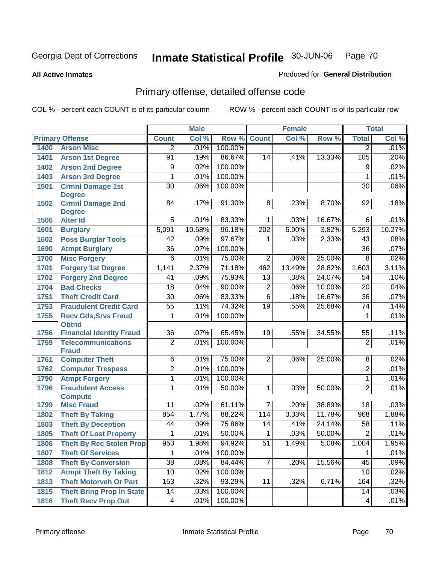**All Active Inmates**

#### Produced for **General Distribution**

# Primary offense, detailed offense code

|      |                                  | <b>Male</b>     |        |         |                 | <b>Female</b> | <b>Total</b> |                 |        |
|------|----------------------------------|-----------------|--------|---------|-----------------|---------------|--------------|-----------------|--------|
|      | <b>Primary Offense</b>           | <b>Count</b>    | Col %  | Row %   | <b>Count</b>    | Col %         | Row %        | <b>Total</b>    | Col %  |
| 1400 | <b>Arson Misc</b>                | $\overline{2}$  | .01%   | 100.00% |                 |               |              | $\overline{2}$  | .01%   |
| 1401 | <b>Arson 1st Degree</b>          | $\overline{91}$ | .19%   | 86.67%  | 14              | .41%          | 13.33%       | 105             | .20%   |
| 1402 | <b>Arson 2nd Degree</b>          | 9               | .02%   | 100.00% |                 |               |              | 9               | .02%   |
| 1403 | <b>Arson 3rd Degree</b>          | 1               | .01%   | 100.00% |                 |               |              | 1               | .01%   |
| 1501 | <b>Crmnl Damage 1st</b>          | $\overline{30}$ | .06%   | 100.00% |                 |               |              | $\overline{30}$ | .06%   |
|      | <b>Degree</b>                    |                 |        |         |                 |               |              |                 |        |
| 1502 | <b>Crmnl Damage 2nd</b>          | 84              | .17%   | 91.30%  | $\overline{8}$  | .23%          | 8.70%        | 92              | .18%   |
| 1506 | <b>Degree</b><br><b>Alter Id</b> | $\overline{5}$  | .01%   | 83.33%  | $\mathbf{1}$    | .03%          | 16.67%       | $6\overline{6}$ | .01%   |
| 1601 | <b>Burglary</b>                  | 5,091           | 10.58% | 96.18%  | 202             | 5.90%         | 3.82%        | 5,293           | 10.27% |
| 1602 | <b>Poss Burglar Tools</b>        | 42              | .09%   | 97.67%  | 1               | .03%          | 2.33%        | 43              | .08%   |
| 1690 | <b>Atmpt Burglary</b>            | $\overline{36}$ | .07%   | 100.00% |                 |               |              | 36              | .07%   |
| 1700 | <b>Misc Forgery</b>              | $\overline{6}$  | .01%   | 75.00%  | $\overline{2}$  | .06%          | 25.00%       | $\overline{8}$  | .02%   |
| 1701 | <b>Forgery 1st Degree</b>        | 1,141           | 2.37%  | 71.18%  | 462             | 13.49%        | 28.82%       | 1,603           | 3.11%  |
| 1702 | <b>Forgery 2nd Degree</b>        | 41              | .09%   | 75.93%  | $\overline{13}$ | .38%          | 24.07%       | 54              | .10%   |
| 1704 | <b>Bad Checks</b>                | $\overline{18}$ | .04%   | 90.00%  | $\overline{2}$  | .06%          | 10.00%       | $\overline{20}$ | .04%   |
| 1751 | <b>Theft Credit Card</b>         | $\overline{30}$ | .06%   | 83.33%  | $\overline{6}$  | .18%          | 16.67%       | $\overline{36}$ | .07%   |
| 1753 | <b>Fraudulent Credit Card</b>    | $\overline{55}$ | .11%   | 74.32%  | 19              | .55%          | 25.68%       | $\overline{74}$ | .14%   |
| 1755 | <b>Recv Gds, Srvs Fraud</b>      | 1               | .01%   | 100.00% |                 |               |              | 1               | .01%   |
|      | <b>Obtnd</b>                     |                 |        |         |                 |               |              |                 |        |
| 1756 | <b>Financial Identity Fraud</b>  | $\overline{36}$ | .07%   | 65.45%  | 19              | .55%          | 34.55%       | $\overline{55}$ | .11%   |
| 1759 | <b>Telecommunications</b>        | $\overline{2}$  | .01%   | 100.00% |                 |               |              | $\overline{2}$  | .01%   |
|      | <b>Fraud</b>                     |                 |        |         |                 |               |              |                 |        |
| 1761 | <b>Computer Theft</b>            | 6               | .01%   | 75.00%  | $\overline{2}$  | .06%          | 25.00%       | 8               | .02%   |
| 1762 | <b>Computer Trespass</b>         | $\overline{2}$  | .01%   | 100.00% |                 |               |              | $\overline{2}$  | .01%   |
| 1790 | <b>Atmpt Forgery</b>             | 1               | .01%   | 100.00% |                 |               |              | 1               | .01%   |
| 1796 | <b>Fraudulent Access</b>         | 1               | .01%   | 50.00%  | 1               | .03%          | 50.00%       | $\overline{2}$  | .01%   |
|      | <b>Compute</b>                   |                 |        |         |                 |               |              |                 |        |
| 1799 | <b>Misc Fraud</b>                | 11              | .02%   | 61.11%  | 7               | .20%          | 38.89%       | 18              | .03%   |
| 1802 | <b>Theft By Taking</b>           | 854             | 1.77%  | 88.22%  | 114             | 3.33%         | 11.78%       | 968             | 1.88%  |
| 1803 | <b>Theft By Deception</b>        | 44              | .09%   | 75.86%  | 14              | .41%          | 24.14%       | 58              | .11%   |
| 1805 | <b>Theft Of Lost Property</b>    | 1               | .01%   | 50.00%  | 1               | .03%          | 50.00%       | $\overline{2}$  | .01%   |
| 1806 | <b>Theft By Rec Stolen Prop</b>  | 953             | 1.98%  | 94.92%  | $\overline{51}$ | 1.49%         | 5.08%        | 1,004           | 1.95%  |
| 1807 | <b>Theft Of Services</b>         | 1               | .01%   | 100.00% |                 |               |              | 1               | .01%   |
| 1808 | <b>Theft By Conversion</b>       | $\overline{38}$ | .08%   | 84.44%  | $\overline{7}$  | .20%          | 15.56%       | 45              | .09%   |
| 1812 | <b>Atmpt Theft By Taking</b>     | 10              | .02%   | 100.00% |                 |               |              | 10              | .02%   |
| 1813 | <b>Theft Motorveh Or Part</b>    | 153             | .32%   | 93.29%  | $\overline{11}$ | .32%          | 6.71%        | 164             | .32%   |
| 1815 | <b>Theft Bring Prop In State</b> | 14              | .03%   | 100.00% |                 |               |              | 14              | .03%   |
| 1816 | <b>Theft Recv Prop Out</b>       | 4               | .01%   | 100.00% |                 |               |              | $\overline{4}$  | .01%   |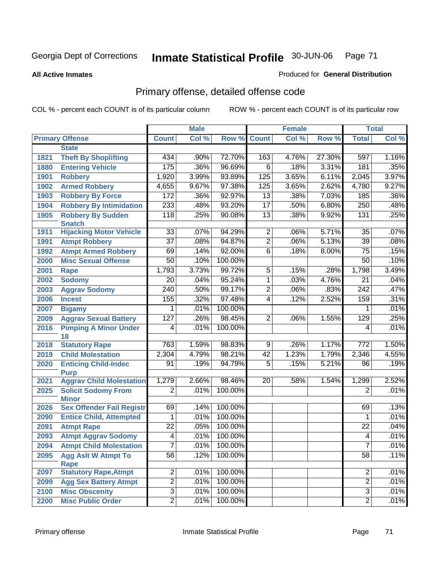**All Active Inmates**

#### Produced for **General Distribution**

# Primary offense, detailed offense code

|      |                                                  | <b>Male</b>      |       |         | <b>Female</b>   | <b>Total</b> |        |                  |         |
|------|--------------------------------------------------|------------------|-------|---------|-----------------|--------------|--------|------------------|---------|
|      | <b>Primary Offense</b>                           | <b>Count</b>     | Col % | Row %   | <b>Count</b>    | Col %        | Row %  | <b>Total</b>     | Col %   |
|      | <b>State</b>                                     |                  |       |         |                 |              |        |                  |         |
| 1821 | <b>Theft By Shoplifting</b>                      | 434              | .90%  | 72.70%  | 163             | 4.76%        | 27.30% | 597              | 1.16%   |
| 1880 | <b>Entering Vehicle</b>                          | 175              | .36%  | 96.69%  | $\overline{6}$  | .18%         | 3.31%  | 181              | .35%    |
| 1901 | <b>Robbery</b>                                   | 1,920            | 3.99% | 93.89%  | 125             | 3.65%        | 6.11%  | 2,045            | 3.97%   |
| 1902 | <b>Armed Robbery</b>                             | 4,655            | 9.67% | 97.38%  | 125             | 3.65%        | 2.62%  | 4,780            | 9.27%   |
| 1903 | <b>Robbery By Force</b>                          | 172              | .36%  | 92.97%  | $\overline{13}$ | .38%         | 7.03%  | 185              | $.36\%$ |
| 1904 | <b>Robbery By Intimidation</b>                   | 233              | .48%  | 93.20%  | $\overline{17}$ | .50%         | 6.80%  | $\overline{250}$ | .48%    |
| 1905 | <b>Robbery By Sudden</b>                         | $\overline{118}$ | .25%  | 90.08%  | $\overline{13}$ | .38%         | 9.92%  | 131              | .25%    |
| 1911 | <b>Snatch</b>                                    | 33               | .07%  | 94.29%  | $\overline{2}$  | .06%         | 5.71%  | 35               | .07%    |
|      | <b>Hijacking Motor Vehicle</b>                   | $\overline{37}$  | .08%  | 94.87%  | $\overline{2}$  | .06%         | 5.13%  |                  | .08%    |
| 1991 | <b>Atmpt Robbery</b>                             |                  |       |         |                 |              |        | 39               |         |
| 1992 | <b>Atmpt Armed Robbery</b>                       | 69               | .14%  | 92.00%  | $\overline{6}$  | .18%         | 8.00%  | $\overline{75}$  | .15%    |
| 2000 | <b>Misc Sexual Offense</b>                       | 50               | .10%  | 100.00% |                 |              |        | 50               | .10%    |
| 2001 | <b>Rape</b>                                      | 1,793            | 3.73% | 99.72%  | $\overline{5}$  | .15%         | .28%   | 1,798            | 3.49%   |
| 2002 | <b>Sodomy</b>                                    | $\overline{20}$  | .04%  | 95.24%  | 1               | .03%         | 4.76%  | 21               | .04%    |
| 2003 | <b>Aggrav Sodomy</b>                             | 240              | .50%  | 99.17%  | $\overline{2}$  | .06%         | .83%   | $\overline{242}$ | .47%    |
| 2006 | <b>Incest</b>                                    | 155              | .32%  | 97.48%  | 4               | .12%         | 2.52%  | 159              | .31%    |
| 2007 | <b>Bigamy</b>                                    | 1                | .01%  | 100.00% |                 |              |        | 1                | .01%    |
| 2009 | <b>Aggrav Sexual Battery</b>                     | 127              | .26%  | 98.45%  | $\overline{2}$  | .06%         | 1.55%  | 129              | .25%    |
| 2016 | <b>Pimping A Minor Under</b>                     | 4                | .01%  | 100.00% |                 |              |        | 4                | .01%    |
| 2018 | 18<br><b>Statutory Rape</b>                      | 763              | 1.59% | 98.83%  | $\overline{9}$  | .26%         | 1.17%  | 772              | 1.50%   |
| 2019 | <b>Child Molestation</b>                         | 2,304            | 4.79% | 98.21%  | 42              | 1.23%        | 1.79%  | 2,346            | 4.55%   |
| 2020 | <b>Enticing Child-Indec</b>                      | 91               | .19%  | 94.79%  | $\overline{5}$  | .15%         | 5.21%  | 96               | .19%    |
|      | <b>Purp</b>                                      |                  |       |         |                 |              |        |                  |         |
| 2021 | <b>Aggrav Child Molestation</b>                  | 1,279            | 2.66% | 98.46%  | 20              | .58%         | 1.54%  | 1,299            | 2.52%   |
| 2025 | <b>Solicit Sodomy From</b>                       | $\overline{2}$   | .01%  | 100.00% |                 |              |        | 2                | .01%    |
| 2026 | <b>Minor</b><br><b>Sex Offender Fail Registr</b> | 69               | .14%  | 100.00% |                 |              |        | 69               | .13%    |
| 2090 | <b>Entice Child, Attempted</b>                   | 1                | .01%  | 100.00% |                 |              |        | 1                | .01%    |
| 2091 | <b>Atmpt Rape</b>                                | $\overline{22}$  | .05%  | 100.00% |                 |              |        | $\overline{22}$  | .04%    |
| 2093 | <b>Atmpt Aggrav Sodomy</b>                       | 4                | .01%  | 100.00% |                 |              |        | 4                | .01%    |
| 2094 | <b>Atmpt Child Molestation</b>                   | 7                | .01%  | 100.00% |                 |              |        | ſ.               | .01%    |
| 2095 | <b>Agg Aslt W Atmpt To</b>                       | $\overline{58}$  | .12%  | 100.00% |                 |              |        | $\overline{58}$  | .11%    |
| 2097 | Rape<br><b>Statutory Rape, Atmpt</b>             | $\overline{2}$   | .01%  | 100.00% |                 |              |        | $\overline{2}$   | .01%    |
| 2099 | <b>Agg Sex Battery Atmpt</b>                     | $\overline{2}$   | .01%  | 100.00% |                 |              |        | $\overline{2}$   | .01%    |
| 2100 | <b>Misc Obscenity</b>                            | $\overline{3}$   | .01%  | 100.00% |                 |              |        | $\overline{3}$   | .01%    |
| 2200 | <b>Misc Public Order</b>                         | $\overline{2}$   | .01%  | 100.00% |                 |              |        | $\overline{2}$   | .01%    |
|      |                                                  |                  |       |         |                 |              |        |                  |         |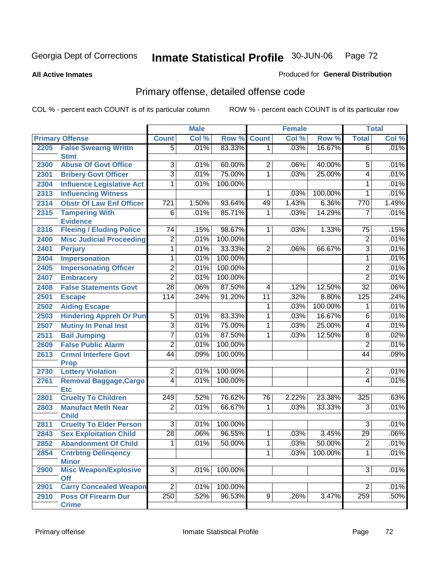#### **All Active Inmates**

#### Produced for **General Distribution**

# Primary offense, detailed offense code

|      |                                           | <b>Male</b>             |         |         | <b>Female</b>  |       |         | <b>Total</b>    |       |
|------|-------------------------------------------|-------------------------|---------|---------|----------------|-------|---------|-----------------|-------|
|      | <b>Primary Offense</b>                    | <b>Count</b>            | Col %   | Row %   | <b>Count</b>   | Col % | Row %   | <b>Total</b>    | Col % |
| 2205 | <b>False Swearng Writtn</b>               | $\overline{5}$          | .01%    | 83.33%  | 1 <sup>1</sup> | .03%  | 16.67%  | $\overline{6}$  | .01%  |
|      | <b>Stmt</b>                               |                         |         |         |                |       |         |                 |       |
| 2300 | <b>Abuse Of Govt Office</b>               | $\overline{3}$          | .01%    | 60.00%  | $\overline{2}$ | .06%  | 40.00%  | 5               | .01%  |
| 2301 | <b>Bribery Govt Officer</b>               | $\overline{3}$          | .01%    | 75.00%  | $\overline{1}$ | .03%  | 25.00%  | 4               | .01%  |
| 2304 | <b>Influence Legislative Act</b>          | $\overline{1}$          | .01%    | 100.00% |                |       |         | 1               | .01%  |
| 2313 | <b>Influencing Witness</b>                |                         |         |         | 1              | .03%  | 100.00% | 1               | .01%  |
| 2314 | <b>Obstr Of Law Enf Officer</b>           | 721                     | 1.50%   | 93.64%  | 49             | 1.43% | 6.36%   | 770             | 1.49% |
| 2315 | <b>Tampering With</b>                     | $\overline{6}$          | .01%    | 85.71%  | 1              | .03%  | 14.29%  | $\overline{7}$  | .01%  |
|      | <b>Evidence</b>                           |                         |         |         |                |       |         |                 |       |
| 2316 | <b>Fleeing / Eluding Police</b>           | $\overline{74}$         | .15%    | 98.67%  | $\mathbf{1}$   | .03%  | 1.33%   | $\overline{75}$ | .15%  |
| 2400 | <b>Misc Judicial Proceeding</b>           | $\overline{2}$          | .01%    | 100.00% |                |       |         | $\overline{2}$  | .01%  |
| 2401 | <b>Perjury</b>                            | 1                       | .01%    | 33.33%  | $\overline{2}$ | .06%  | 66.67%  | $\overline{3}$  | .01%  |
| 2404 | <b>Impersonation</b>                      | 1                       | .01%    | 100.00% |                |       |         | 1               | .01%  |
| 2405 | <b>Impersonating Officer</b>              | $\overline{2}$          | .01%    | 100.00% |                |       |         | $\overline{2}$  | .01%  |
| 2407 | <b>Embracery</b>                          | $\overline{2}$          | .01%    | 100.00% |                |       |         | $\overline{2}$  | .01%  |
| 2408 | <b>False Statements Govt</b>              | $\overline{28}$         | .06%    | 87.50%  | $\overline{4}$ | .12%  | 12.50%  | $\overline{32}$ | .06%  |
| 2501 | <b>Escape</b>                             | 114                     | .24%    | 91.20%  | 11             | .32%  | 8.80%   | 125             | .24%  |
| 2502 | <b>Aiding Escape</b>                      |                         |         |         | 1              | .03%  | 100.00% | 1               | .01%  |
| 2503 | <b>Hindering Appreh Or Pun</b>            | $\overline{5}$          | .01%    | 83.33%  | 1              | .03%  | 16.67%  | 6               | .01%  |
| 2507 | <b>Mutiny In Penal Inst</b>               | $\overline{\mathbf{3}}$ | .01%    | 75.00%  | 1              | .03%  | 25.00%  | 4               | .01%  |
| 2511 | <b>Bail Jumping</b>                       | 7                       | .01%    | 87.50%  | 1              | .03%  | 12.50%  | $\overline{8}$  | .02%  |
| 2609 | <b>False Public Alarm</b>                 | $\overline{2}$          | .01%    | 100.00% |                |       |         | $\overline{2}$  | .01%  |
| 2613 | <b>Crmnl Interfere Govt</b>               | 44                      | .09%    | 100.00% |                |       |         | 44              | .09%  |
|      | <b>Prop</b>                               |                         |         |         |                |       |         |                 |       |
| 2730 | <b>Lottery Violation</b>                  | $\overline{2}$          | .01%    | 100.00% |                |       |         | $\overline{2}$  | .01%  |
| 2761 | <b>Removal Baggage, Cargo</b>             | $\overline{4}$          | .01%    | 100.00% |                |       |         | 4               | .01%  |
|      | <b>Etc</b>                                |                         |         |         |                |       |         |                 |       |
| 2801 | <b>Cruelty To Children</b>                | 249                     | .52%    | 76.62%  | 76             | 2.22% | 23.38%  | 325             | .63%  |
| 2803 | <b>Manufact Meth Near</b><br><b>Child</b> | $\overline{2}$          | .01%    | 66.67%  | 1              | .03%  | 33.33%  | $\overline{3}$  | .01%  |
| 2811 | <b>Cruelty To Elder Person</b>            | $\overline{3}$          | .01%    | 100.00% |                |       |         | 3               | .01%  |
| 2843 | <b>Sex Exploitation Child</b>             | $\overline{28}$         | .06%    | 96.55%  | 1              | .03%  | 3.45%   | 29              | .06%  |
| 2852 | <b>Abandonment Of Child</b>               | $\overline{1}$          | .01%    | 50.00%  | $\overline{1}$ | .03%  | 50.00%  | $\overline{2}$  | .01%  |
| 2854 | <b>Cntrbtng Delingency</b>                |                         |         |         | 1              | .03%  | 100.00% | 1               | .01%  |
|      | <b>Minor</b>                              |                         |         |         |                |       |         |                 |       |
| 2900 | <b>Misc Weapon/Explosive</b>              | $\overline{3}$          | $.01\%$ | 100.00% |                |       |         | $\overline{3}$  | .01%  |
|      | Off                                       |                         |         |         |                |       |         |                 |       |
| 2901 | <b>Carry Concealed Weapon</b>             | $\overline{2}$          | .01%    | 100.00% |                |       |         | $\overline{2}$  | .01%  |
| 2910 | <b>Poss Of Firearm Dur</b>                | $\overline{250}$        | .52%    | 96.53%  | 9 <sup>°</sup> | .26%  | 3.47%   | 259             | .50%  |
|      | <b>Crime</b>                              |                         |         |         |                |       |         |                 |       |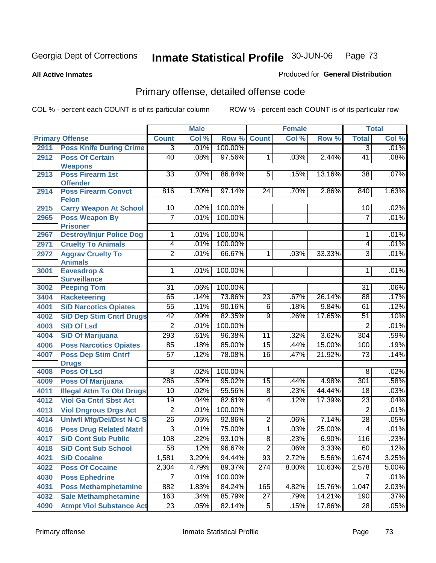**All Active Inmates**

## Produced for **General Distribution**

# Primary offense, detailed offense code

|      |                                               |                 | <b>Male</b> |         |                  | <b>Female</b> |          |                  | <b>Total</b> |
|------|-----------------------------------------------|-----------------|-------------|---------|------------------|---------------|----------|------------------|--------------|
|      | <b>Primary Offense</b>                        | <b>Count</b>    | Col %       | Row %   | <b>Count</b>     | Col %         | Row %    | <b>Total</b>     | Col %        |
| 2911 | <b>Poss Knife During Crime</b>                | $\overline{3}$  | .01%        | 100.00% |                  |               |          | $\overline{3}$   | .01%         |
| 2912 | <b>Poss Of Certain</b>                        | $\overline{40}$ | .08%        | 97.56%  | 1                | .03%          | 2.44%    | $\overline{41}$  | .08%         |
|      | <b>Weapons</b>                                |                 |             |         |                  |               |          |                  |              |
| 2913 | <b>Poss Firearm 1st</b>                       | 33              | .07%        | 86.84%  | 5                | .15%          | 13.16%   | 38               | .07%         |
| 2914 | <b>Offender</b><br><b>Poss Firearm Convct</b> | 816             | 1.70%       | 97.14%  | 24               | .70%          | 2.86%    | 840              | 1.63%        |
|      | <b>Felon</b>                                  |                 |             |         |                  |               |          |                  |              |
| 2915 | <b>Carry Weapon At School</b>                 | 10 <sup>1</sup> | .02%        | 100.00% |                  |               |          | 10               | .02%         |
| 2965 | <b>Poss Weapon By</b>                         | 7               | .01%        | 100.00% |                  |               |          | 7                | .01%         |
|      | <b>Prisoner</b>                               |                 |             |         |                  |               |          |                  |              |
| 2967 | <b>Destroy/Injur Police Dog</b>               | 1               | .01%        | 100.00% |                  |               |          | 1                | .01%         |
| 2971 | <b>Cruelty To Animals</b>                     | 4               | .01%        | 100.00% |                  |               |          | 4                | .01%         |
| 2972 | <b>Aggrav Cruelty To</b>                      | $\overline{2}$  | .01%        | 66.67%  | 1                | .03%          | 33.33%   | $\overline{3}$   | .01%         |
|      | <b>Animals</b>                                |                 |             |         |                  |               |          |                  |              |
| 3001 | Eavesdrop &                                   | 1               | .01%        | 100.00% |                  |               |          | 1                | .01%         |
| 3002 | <b>Surveillance</b><br><b>Peeping Tom</b>     | $\overline{31}$ | .06%        | 100.00% |                  |               |          | $\overline{31}$  | .06%         |
| 3404 | Racketeering                                  | 65              | .14%        | 73.86%  | $\overline{23}$  | .67%          | 26.14%   | $\overline{88}$  | .17%         |
| 4001 | <b>S/D Narcotics Opiates</b>                  | $\overline{55}$ | .11%        | 90.16%  | $\overline{6}$   | .18%          | 9.84%    | 61               | .12%         |
| 4002 | <b>S/D Dep Stim Cntrf Drugs</b>               | $\overline{42}$ | .09%        | 82.35%  | $\overline{9}$   | .26%          | 17.65%   | $\overline{51}$  | .10%         |
| 4003 | <b>S/D Of Lsd</b>                             | $\overline{2}$  | .01%        | 100.00% |                  |               |          | $\overline{2}$   | .01%         |
| 4004 | <b>S/D Of Marijuana</b>                       | 293             | .61%        | 96.38%  | 11               | .32%          | 3.62%    | 304              | .59%         |
| 4006 | <b>Poss Narcotics Opiates</b>                 | 85              | .18%        | 85.00%  | $\overline{15}$  | .44%          | 15.00%   | 100              | .19%         |
| 4007 | <b>Poss Dep Stim Cntrf</b>                    | $\overline{57}$ | .12%        | 78.08%  | $\overline{16}$  | .47%          | 21.92%   | $\overline{73}$  | .14%         |
|      | <b>Drugs</b>                                  |                 |             |         |                  |               |          |                  |              |
| 4008 | <b>Poss Of Lsd</b>                            | $\overline{8}$  | .02%        | 100.00% |                  |               |          | 8                | .02%         |
| 4009 | <b>Poss Of Marijuana</b>                      | 286             | .59%        | 95.02%  | $\overline{15}$  | .44%          | 4.98%    | $\overline{301}$ | .58%         |
| 4011 | <b>Illegal Attm To Obt Drugs</b>              | $\overline{10}$ | .02%        | 55.56%  | $\overline{8}$   | .23%          | 44.44%   | 18               | .03%         |
| 4012 | <b>Viol Ga Cntrl Sbst Act</b>                 | $\overline{19}$ | .04%        | 82.61%  | $\overline{4}$   | .12%          | 17.39%   | $\overline{23}$  | .04%         |
| 4013 | <b>Viol Dngrous Drgs Act</b>                  | $\overline{2}$  | .01%        | 100.00% |                  |               |          | $\overline{2}$   | .01%         |
| 4014 | <b>Uniwfl Mfg/Del/Dist N-C S</b>              | $\overline{26}$ | .05%        | 92.86%  | $\overline{2}$   | .06%          | 7.14%    | $\overline{28}$  | .05%         |
| 4016 | <b>Poss Drug Related Matri</b>                | $\overline{3}$  | .01%        | 75.00%  | 1                | .03%          | 25.00%   | 4                | .01%         |
| 4017 | <b>S/D Cont Sub Public</b>                    | 108             | .22%        | 93.10%  | $\overline{8}$   | .23%          | $6.90\%$ | 116              | .23%         |
| 4018 | <b>S/D Cont Sub School</b>                    | $\overline{58}$ | .12%        | 96.67%  | $\overline{2}$   | .06%          | 3.33%    | 60               | .12%         |
| 4021 | <b>S/D Cocaine</b>                            | 1,581           | 3.29%       | 94.44%  | $\overline{93}$  | 2.72%         | 5.56%    | 1,674            | 3.25%        |
| 4022 | <b>Poss Of Cocaine</b>                        | 2,304           | 4.79%       | 89.37%  | $\overline{274}$ | 8.00%         | 10.63%   | 2,578            | 5.00%        |
| 4030 | <b>Poss Ephedrine</b>                         | $\overline{7}$  | .01%        | 100.00% |                  |               |          | 7                | .01%         |
| 4031 | <b>Poss Methamphetamine</b>                   | 882             | 1.83%       | 84.24%  | 165              | 4.82%         | 15.76%   | 1,047            | 2.03%        |
| 4032 | <b>Sale Methamphetamine</b>                   | 163             | .34%        | 85.79%  | $\overline{27}$  | .79%          | 14.21%   | 190              | .37%         |
| 4090 | <b>Atmpt Viol Substance Act</b>               | $\overline{23}$ | .05%        | 82.14%  | $\overline{5}$   | .15%          | 17.86%   | $\overline{28}$  | .05%         |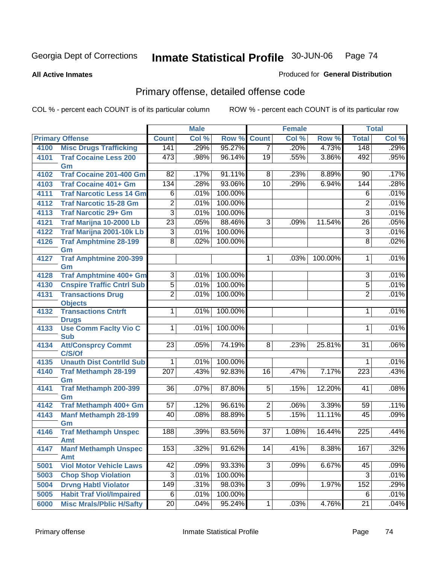**All Active Inmates**

## Produced for **General Distribution**

# Primary offense, detailed offense code

|      |                                            |                  | <b>Male</b> |         |                 | <b>Female</b> |         |                  | <b>Total</b> |
|------|--------------------------------------------|------------------|-------------|---------|-----------------|---------------|---------|------------------|--------------|
|      | <b>Primary Offense</b>                     | <b>Count</b>     | Col %       | Row %   | <b>Count</b>    | Col %         | Row %   | <b>Total</b>     | Col %        |
| 4100 | <b>Misc Drugs Trafficking</b>              | 141              | .29%        | 95.27%  | $\overline{7}$  | .20%          | 4.73%   | 148              | .29%         |
| 4101 | <b>Traf Cocaine Less 200</b><br>Gm         | 473              | .98%        | 96.14%  | 19              | .55%          | 3.86%   | 492              | .95%         |
| 4102 | <b>Traf Cocaine 201-400 Gm</b>             | $\overline{82}$  | .17%        | 91.11%  | 8               | .23%          | 8.89%   | 90               | .17%         |
| 4103 | <b>Traf Cocaine 401+ Gm</b>                | 134              | .28%        | 93.06%  | 10              | .29%          | 6.94%   | $\overline{144}$ | .28%         |
| 4111 | <b>Traf Narcotic Less 14 Gm</b>            | 6                | .01%        | 100.00% |                 |               |         | 6                | .01%         |
| 4112 | <b>Traf Narcotic 15-28 Gm</b>              | $\overline{2}$   | .01%        | 100.00% |                 |               |         | $\overline{2}$   | .01%         |
| 4113 | <b>Traf Narcotic 29+ Gm</b>                | $\overline{3}$   | .01%        | 100.00% |                 |               |         | $\overline{3}$   | .01%         |
| 4121 | Traf Marijna 10-2000 Lb                    | $\overline{23}$  | .05%        | 88.46%  | $\overline{3}$  | .09%          | 11.54%  | $\overline{26}$  | .05%         |
| 4122 | Traf Marijna 2001-10k Lb                   | 3                | .01%        | 100.00% |                 |               |         | $\overline{3}$   | .01%         |
| 4126 | <b>Traf Amphtmine 28-199</b><br>Gm         | $\overline{8}$   | .02%        | 100.00% |                 |               |         | $\overline{8}$   | .02%         |
| 4127 | <b>Traf Amphtmine 200-399</b><br>Gm        |                  |             |         | $\mathbf 1$     | .03%          | 100.00% | 1                | .01%         |
| 4128 | Traf Amphtmine 400+ Gm                     | $\overline{3}$   | .01%        | 100.00% |                 |               |         | $\overline{3}$   | .01%         |
| 4130 | <b>Cnspire Traffic Cntrl Sub</b>           | $\overline{5}$   | .01%        | 100.00% |                 |               |         | $\overline{5}$   | .01%         |
| 4131 | <b>Transactions Drug</b>                   | $\overline{2}$   | .01%        | 100.00% |                 |               |         | $\overline{2}$   | .01%         |
|      | <b>Objects</b>                             |                  |             |         |                 |               |         |                  |              |
| 4132 | <b>Transactions Cntrft</b><br><b>Drugs</b> | $\mathbf{1}$     | .01%        | 100.00% |                 |               |         | 1                | .01%         |
| 4133 | <b>Use Comm Facity Vio C</b><br><b>Sub</b> | $\mathbf{1}$     | .01%        | 100.00% |                 |               |         | 1                | .01%         |
| 4134 | <b>Att/Consprcy Commt</b><br>C/S/Of        | 23               | .05%        | 74.19%  | $\overline{8}$  | .23%          | 25.81%  | $\overline{31}$  | .06%         |
| 4135 | <b>Unauth Dist Contrild Sub</b>            | 1                | .01%        | 100.00% |                 |               |         | 1                | .01%         |
| 4140 | <b>Traf Methamph 28-199</b><br>Gm          | $\overline{207}$ | .43%        | 92.83%  | 16              | .47%          | 7.17%   | $\overline{223}$ | .43%         |
| 4141 | <b>Traf Methamph 200-399</b><br>Gm         | $\overline{36}$  | .07%        | 87.80%  | $\overline{5}$  | .15%          | 12.20%  | 41               | .08%         |
| 4142 | Traf Methamph 400+ Gm                      | 57               | .12%        | 96.61%  | $\overline{2}$  | .06%          | 3.39%   | 59               | .11%         |
| 4143 | <b>Manf Methamph 28-199</b>                | 40               | .08%        | 88.89%  | $\overline{5}$  | .15%          | 11.11%  | 45               | .09%         |
|      | Gm                                         |                  |             |         |                 |               |         |                  |              |
| 4146 | <b>Traf Methamph Unspec</b><br><b>Amt</b>  | 188              | .39%        | 83.56%  | $\overline{37}$ | 1.08%         | 16.44%  | 225              | .44%         |
| 4147 | <b>Manf Methamph Unspec</b><br><b>Amt</b>  | 153              | $.32\%$     | 91.62%  | 14              | .41%          | 8.38%   | 167              | .32%         |
| 5001 | <b>Viol Motor Vehicle Laws</b>             | 42               | .09%        | 93.33%  | $\overline{3}$  | .09%          | 6.67%   | 45               | .09%         |
| 5003 | <b>Chop Shop Violation</b>                 | 3                | .01%        | 100.00% |                 |               |         | 3                | .01%         |
| 5004 | <b>Drvng Habtl Violator</b>                | 149              | .31%        | 98.03%  | $\overline{3}$  | .09%          | 1.97%   | 152              | .29%         |
| 5005 | <b>Habit Traf Viol/Impaired</b>            | 6                | .01%        | 100.00% |                 |               |         | 6                | .01%         |
| 6000 | <b>Misc Mrals/Pblic H/Safty</b>            | $\overline{20}$  | .04%        | 95.24%  | 1               | .03%          | 4.76%   | $\overline{21}$  | .04%         |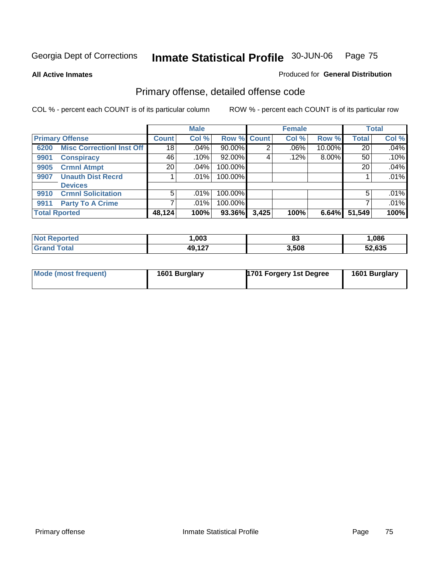**All Active Inmates**

#### Produced for **General Distribution**

# Primary offense, detailed offense code

|                      |                                  |              | <b>Male</b> |         |             | <b>Female</b> |          |              | <b>Total</b> |
|----------------------|----------------------------------|--------------|-------------|---------|-------------|---------------|----------|--------------|--------------|
|                      | <b>Primary Offense</b>           | <b>Count</b> | Col %       |         | Row % Count | Col %         | Row %    | <b>Total</b> | Col %        |
| 6200                 | <b>Misc CorrectionI Inst Off</b> | 18           | $.04\%$     | 90.00%  |             | $.06\%$       | 10.00%   | 20           | .04%         |
| 9901                 | <b>Conspiracy</b>                | 46           | .10%        | 92.00%  |             | .12%          | $8.00\%$ | 50           | .10%         |
| 9905                 | <b>Crmnl Atmpt</b>               | 20           | $.04\%$     | 100.00% |             |               |          | 20           | .04%         |
| 9907                 | <b>Unauth Dist Recrd</b>         |              | $.01\%$     | 100.00% |             |               |          |              | .01%         |
|                      | <b>Devices</b>                   |              |             |         |             |               |          |              |              |
| 9910                 | <b>Crmnl Solicitation</b>        | 5            | $.01\%$     | 100.00% |             |               |          | 5            | .01%         |
| 9911                 | <b>Party To A Crime</b>          |              | $.01\%$     | 100.00% |             |               |          |              | .01%         |
| <b>Total Rported</b> |                                  | 48,124       | 100%        | 93.36%  | 3,425       | 100%          | 6.64%    | 51,549       | 100%         |

| rteo | ,003                       | o.<br>οJ | ,086   |
|------|----------------------------|----------|--------|
|      | 80 807<br>79. I <i>l</i> i | 3,508    | 52,635 |

| Mode (most frequent) | 1601 Burglary | 1701 Forgery 1st Degree | 1601 Burglary |
|----------------------|---------------|-------------------------|---------------|
|----------------------|---------------|-------------------------|---------------|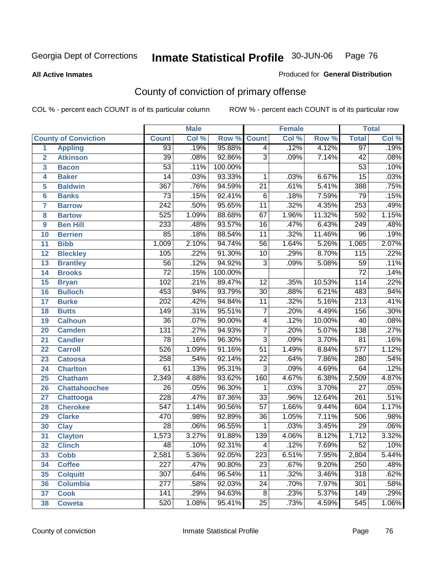**All Active Inmates**

## Produced for **General Distribution**

# County of conviction of primary offense

|                 |                             |                  | <b>Male</b> |         |                  | <b>Female</b> |        |                  | <b>Total</b> |
|-----------------|-----------------------------|------------------|-------------|---------|------------------|---------------|--------|------------------|--------------|
|                 | <b>County of Conviction</b> | <b>Count</b>     | Col %       | Row %   | <b>Count</b>     | Col %         | Row %  | <b>Total</b>     | Col %        |
| 1               | <b>Appling</b>              | 93               | .19%        | 95.88%  | $\overline{4}$   | .12%          | 4.12%  | 97               | .19%         |
| $\overline{2}$  | <b>Atkinson</b>             | $\overline{39}$  | .08%        | 92.86%  | $\overline{3}$   | .09%          | 7.14%  | 42               | .08%         |
| 3               | <b>Bacon</b>                | $\overline{53}$  | .11%        | 100.00% |                  |               |        | $\overline{53}$  | .10%         |
| 4               | <b>Baker</b>                | 14               | .03%        | 93.33%  | 1                | .03%          | 6.67%  | $\overline{15}$  | .03%         |
| 5               | <b>Baldwin</b>              | $\overline{367}$ | .76%        | 94.59%  | $\overline{21}$  | .61%          | 5.41%  | 388              | .75%         |
| 6               | <b>Banks</b>                | $\overline{73}$  | .15%        | 92.41%  | $\overline{6}$   | .18%          | 7.59%  | 79               | .15%         |
| 7               | <b>Barrow</b>               | $\overline{242}$ | .50%        | 95.65%  | $\overline{11}$  | .32%          | 4.35%  | 253              | .49%         |
| 8               | <b>Bartow</b>               | 525              | 1.09%       | 88.68%  | 67               | 1.96%         | 11.32% | 592              | 1.15%        |
| 9               | <b>Ben Hill</b>             | 233              | .48%        | 93.57%  | $\overline{16}$  | .47%          | 6.43%  | 249              | .48%         |
| 10              | <b>Berrien</b>              | 85               | .18%        | 88.54%  | $\overline{11}$  | .32%          | 11.46% | $\overline{96}$  | .19%         |
| 11              | <b>Bibb</b>                 | 1,009            | 2.10%       | 94.74%  | $\overline{56}$  | 1.64%         | 5.26%  | 1,065            | 2.07%        |
| 12              | <b>Bleckley</b>             | 105              | .22%        | 91.30%  | 10               | .29%          | 8.70%  | $\overline{115}$ | .22%         |
| $\overline{13}$ | <b>Brantley</b>             | $\overline{56}$  | .12%        | 94.92%  | $\overline{3}$   | .09%          | 5.08%  | $\overline{59}$  | .11%         |
| 14              | <b>Brooks</b>               | $\overline{72}$  | .15%        | 100.00% |                  |               |        | $\overline{72}$  | .14%         |
| 15              | <b>Bryan</b>                | 102              | .21%        | 89.47%  | $\overline{12}$  | .35%          | 10.53% | 114              | .22%         |
| 16              | <b>Bulloch</b>              | 453              | .94%        | 93.79%  | 30               | .88%          | 6.21%  | 483              | .94%         |
| $\overline{17}$ | <b>Burke</b>                | $\overline{202}$ | .42%        | 94.84%  | $\overline{11}$  | .32%          | 5.16%  | $\overline{213}$ | .41%         |
| 18              | <b>Butts</b>                | 149              | .31%        | 95.51%  | $\overline{7}$   | .20%          | 4.49%  | 156              | .30%         |
| 19              | <b>Calhoun</b>              | $\overline{36}$  | .07%        | 90.00%  | 4                | .12%          | 10.00% | 40               | .08%         |
| 20              | <b>Camden</b>               | 131              | .27%        | 94.93%  | $\overline{7}$   | .20%          | 5.07%  | 138              | .27%         |
| 21              | <b>Candler</b>              | $\overline{78}$  | .16%        | 96.30%  | $\overline{3}$   | .09%          | 3.70%  | $\overline{81}$  | .16%         |
| 22              | <b>Carroll</b>              | 526              | 1.09%       | 91.16%  | $\overline{51}$  | 1.49%         | 8.84%  | $\overline{577}$ | 1.12%        |
| 23              | <b>Catoosa</b>              | 258              | .54%        | 92.14%  | $\overline{22}$  | .64%          | 7.86%  | 280              | .54%         |
| 24              | <b>Charlton</b>             | 61               | .13%        | 95.31%  | $\overline{3}$   | .09%          | 4.69%  | 64               | .12%         |
| 25              | <b>Chatham</b>              | 2,349            | 4.88%       | 93.62%  | 160              | 4.67%         | 6.38%  | 2,509            | 4.87%        |
| 26              | <b>Chattahoochee</b>        | 26               | .05%        | 96.30%  | 1                | .03%          | 3.70%  | $\overline{27}$  | .05%         |
| 27              | Chattooga                   | 228              | .47%        | 87.36%  | $\overline{33}$  | .96%          | 12.64% | 261              | .51%         |
| 28              | <b>Cherokee</b>             | $\overline{547}$ | 1.14%       | 90.56%  | $\overline{57}$  | 1.66%         | 9.44%  | 604              | 1.17%        |
| 29              | <b>Clarke</b>               | 470              | .98%        | 92.89%  | $\overline{36}$  | 1.05%         | 7.11%  | 506              | .98%         |
| 30              | <b>Clay</b>                 | $\overline{28}$  | .06%        | 96.55%  | 1                | .03%          | 3.45%  | 29               | .06%         |
| $\overline{31}$ | <b>Clayton</b>              | 1,573            | 3.27%       | 91.88%  | 139              | 4.06%         | 8.12%  | 1,712            | 3.32%        |
| 32              | <b>Clinch</b>               | 48               | .10%        | 92.31%  | 4                | .12%          | 7.69%  | 52               | .10%         |
| 33              | <b>Cobb</b>                 | 2,581            | 5.36%       | 92.05%  | $\overline{223}$ | 6.51%         | 7.95%  | 2,804            | 5.44%        |
| 34              | <b>Coffee</b>               | 227              | .47%        | 90.80%  | 23               | .67%          | 9.20%  | 250              | .48%         |
| 35              | <b>Colquitt</b>             | $\overline{307}$ | .64%        | 96.54%  | 11               | .32%          | 3.46%  | 318              | .62%         |
| 36              | <b>Columbia</b>             | $\overline{277}$ | .58%        | 92.03%  | 24               | .70%          | 7.97%  | 301              | .58%         |
| 37              | <b>Cook</b>                 | 141              | .29%        | 94.63%  | $\overline{8}$   | .23%          | 5.37%  | 149              | .29%         |
| 38              | <b>Coweta</b>               | 520              | 1.08%       | 95.41%  | 25               | .73%          | 4.59%  | 545              | 1.06%        |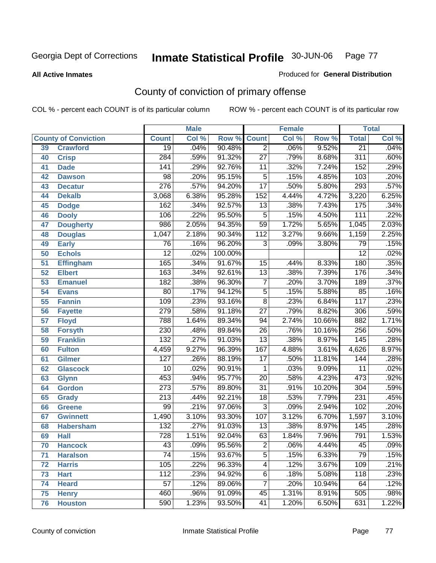**All Active Inmates**

#### Produced for **General Distribution**

# County of conviction of primary offense

|    |                             |                  | <b>Male</b> |         |                 | <b>Female</b> |        |                  | <b>Total</b> |
|----|-----------------------------|------------------|-------------|---------|-----------------|---------------|--------|------------------|--------------|
|    | <b>County of Conviction</b> | <b>Count</b>     | Col %       | Row %   | <b>Count</b>    | Col %         | Row %  | <b>Total</b>     | Col %        |
| 39 | <b>Crawford</b>             | $\overline{19}$  | .04%        | 90.48%  | $\overline{2}$  | .06%          | 9.52%  | $\overline{21}$  | .04%         |
| 40 | <b>Crisp</b>                | 284              | .59%        | 91.32%  | $\overline{27}$ | .79%          | 8.68%  | $\overline{311}$ | .60%         |
| 41 | <b>Dade</b>                 | 141              | .29%        | 92.76%  | 11              | .32%          | 7.24%  | 152              | .29%         |
| 42 | <b>Dawson</b>               | 98               | .20%        | 95.15%  | 5               | .15%          | 4.85%  | 103              | .20%         |
| 43 | <b>Decatur</b>              | $\overline{276}$ | .57%        | 94.20%  | $\overline{17}$ | .50%          | 5.80%  | 293              | .57%         |
| 44 | <b>Dekalb</b>               | 3,068            | 6.38%       | 95.28%  | 152             | 4.44%         | 4.72%  | 3,220            | 6.25%        |
| 45 | <b>Dodge</b>                | 162              | .34%        | 92.57%  | 13              | .38%          | 7.43%  | 175              | .34%         |
| 46 | <b>Dooly</b>                | 106              | .22%        | 95.50%  | 5               | .15%          | 4.50%  | 111              | .22%         |
| 47 | <b>Dougherty</b>            | 986              | 2.05%       | 94.35%  | $\overline{59}$ | 1.72%         | 5.65%  | 1,045            | 2.03%        |
| 48 | <b>Douglas</b>              | 1,047            | 2.18%       | 90.34%  | 112             | 3.27%         | 9.66%  | 1,159            | 2.25%        |
| 49 | <b>Early</b>                | $\overline{76}$  | .16%        | 96.20%  | 3               | .09%          | 3.80%  | 79               | .15%         |
| 50 | <b>Echols</b>               | $\overline{12}$  | .02%        | 100.00% |                 |               |        | $\overline{12}$  | .02%         |
| 51 | <b>Effingham</b>            | 165              | .34%        | 91.67%  | 15              | .44%          | 8.33%  | 180              | .35%         |
| 52 | <b>Elbert</b>               | 163              | .34%        | 92.61%  | $\overline{13}$ | .38%          | 7.39%  | 176              | .34%         |
| 53 | <b>Emanuel</b>              | 182              | .38%        | 96.30%  | $\overline{7}$  | .20%          | 3.70%  | 189              | .37%         |
| 54 | <b>Evans</b>                | $\overline{80}$  | .17%        | 94.12%  | $\overline{5}$  | .15%          | 5.88%  | 85               | .16%         |
| 55 | <b>Fannin</b>               | 109              | .23%        | 93.16%  | $\overline{8}$  | .23%          | 6.84%  | $\overline{117}$ | .23%         |
| 56 | <b>Fayette</b>              | 279              | .58%        | 91.18%  | $\overline{27}$ | .79%          | 8.82%  | 306              | .59%         |
| 57 | <b>Floyd</b>                | 788              | 1.64%       | 89.34%  | 94              | 2.74%         | 10.66% | 882              | 1.71%        |
| 58 | <b>Forsyth</b>              | 230              | .48%        | 89.84%  | 26              | .76%          | 10.16% | 256              | .50%         |
| 59 | <b>Franklin</b>             | $\overline{132}$ | .27%        | 91.03%  | $\overline{13}$ | .38%          | 8.97%  | 145              | .28%         |
| 60 | <b>Fulton</b>               | 4,459            | 9.27%       | 96.39%  | 167             | 4.88%         | 3.61%  | 4,626            | 8.97%        |
| 61 | Gilmer                      | 127              | .26%        | 88.19%  | $\overline{17}$ | .50%          | 11.81% | 144              | .28%         |
| 62 | <b>Glascock</b>             | $\overline{10}$  | .02%        | 90.91%  | $\mathbf{1}$    | .03%          | 9.09%  | $\overline{11}$  | .02%         |
| 63 | <b>Glynn</b>                | 453              | .94%        | 95.77%  | $\overline{20}$ | .58%          | 4.23%  | 473              | .92%         |
| 64 | <b>Gordon</b>               | $\overline{273}$ | .57%        | 89.80%  | $\overline{31}$ | .91%          | 10.20% | 304              | .59%         |
| 65 | <b>Grady</b>                | $\overline{213}$ | .44%        | 92.21%  | 18              | .53%          | 7.79%  | $\overline{231}$ | .45%         |
| 66 | <b>Greene</b>               | 99               | .21%        | 97.06%  | $\overline{3}$  | .09%          | 2.94%  | 102              | .20%         |
| 67 | <b>Gwinnett</b>             | 1,490            | 3.10%       | 93.30%  | 107             | 3.12%         | 6.70%  | 1,597            | 3.10%        |
| 68 | <b>Habersham</b>            | $\overline{132}$ | .27%        | 91.03%  | 13              | .38%          | 8.97%  | 145              | .28%         |
| 69 | <b>Hall</b>                 | 728              | 1.51%       | 92.04%  | 63              | 1.84%         | 7.96%  | 791              | 1.53%        |
| 70 | <b>Hancock</b>              | 43               | .09%        | 95.56%  | 2               | .06%          | 4.44%  | 45               | $.09\%$      |
| 71 | <b>Haralson</b>             | $\overline{74}$  | .15%        | 93.67%  | $\overline{5}$  | .15%          | 6.33%  | 79               | .15%         |
| 72 | <b>Harris</b>               | 105              | .22%        | 96.33%  | 4               | .12%          | 3.67%  | 109              | .21%         |
| 73 | <b>Hart</b>                 | 112              | .23%        | 94.92%  | $\overline{6}$  | .18%          | 5.08%  | 118              | .23%         |
| 74 | <b>Heard</b>                | 57               | .12%        | 89.06%  | 7               | .20%          | 10.94% | 64               | .12%         |
| 75 | <b>Henry</b>                | 460              | .96%        | 91.09%  | 45              | 1.31%         | 8.91%  | 505              | .98%         |
| 76 | <b>Houston</b>              | 590              | 1.23%       | 93.50%  | 41              | 1.20%         | 6.50%  | 631              | 1.22%        |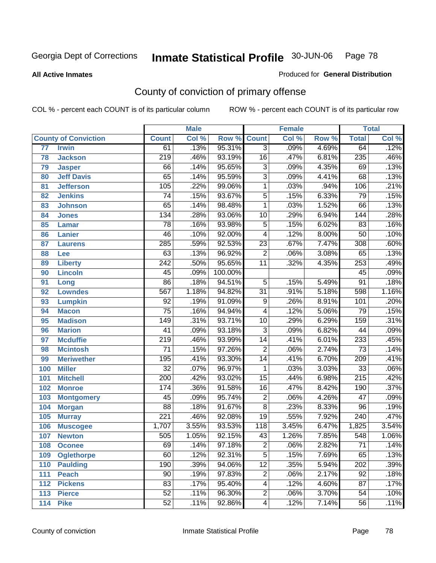#### **All Active Inmates**

### Produced for **General Distribution**

# County of conviction of primary offense

|                 |                             |                  | <b>Male</b> |         |                 | <b>Female</b> |       |                  | <b>Total</b> |
|-----------------|-----------------------------|------------------|-------------|---------|-----------------|---------------|-------|------------------|--------------|
|                 | <b>County of Conviction</b> | <b>Count</b>     | Col %       | Row %   | <b>Count</b>    | Col %         | Row % | <b>Total</b>     | Col %        |
| $\overline{77}$ | <b>Irwin</b>                | 61               | .13%        | 95.31%  | $\overline{3}$  | .09%          | 4.69% | 64               | .12%         |
| 78              | <b>Jackson</b>              | $\overline{219}$ | .46%        | 93.19%  | 16              | .47%          | 6.81% | 235              | .46%         |
| 79              | <b>Jasper</b>               | 66               | .14%        | 95.65%  | $\overline{3}$  | .09%          | 4.35% | 69               | .13%         |
| 80              | <b>Jeff Davis</b>           | 65               | .14%        | 95.59%  | $\overline{3}$  | .09%          | 4.41% | 68               | .13%         |
| 81              | <b>Jefferson</b>            | 105              | .22%        | 99.06%  | $\mathbf{1}$    | .03%          | .94%  | 106              | .21%         |
| 82              | <b>Jenkins</b>              | $\overline{74}$  | .15%        | 93.67%  | $\overline{5}$  | .15%          | 6.33% | 79               | .15%         |
| 83              | <b>Johnson</b>              | 65               | .14%        | 98.48%  | 1               | .03%          | 1.52% | 66               | .13%         |
| 84              | <b>Jones</b>                | 134              | .28%        | 93.06%  | 10              | .29%          | 6.94% | 144              | .28%         |
| 85              | <b>Lamar</b>                | $\overline{78}$  | .16%        | 93.98%  | $\overline{5}$  | .15%          | 6.02% | 83               | .16%         |
| 86              | <b>Lanier</b>               | 46               | .10%        | 92.00%  | 4               | .12%          | 8.00% | 50               | .10%         |
| 87              | <b>Laurens</b>              | 285              | .59%        | 92.53%  | $\overline{23}$ | .67%          | 7.47% | 308              | .60%         |
| 88              | Lee                         | 63               | .13%        | 96.92%  | $\overline{2}$  | .06%          | 3.08% | 65               | .13%         |
| 89              | <b>Liberty</b>              | $\overline{242}$ | .50%        | 95.65%  | $\overline{11}$ | .32%          | 4.35% | 253              | .49%         |
| 90              | <b>Lincoln</b>              | 45               | .09%        | 100.00% |                 |               |       | 45               | .09%         |
| 91              | Long                        | $\overline{86}$  | .18%        | 94.51%  | $\overline{5}$  | .15%          | 5.49% | $\overline{91}$  | .18%         |
| 92              | <b>Lowndes</b>              | 567              | 1.18%       | 94.82%  | $\overline{31}$ | .91%          | 5.18% | 598              | 1.16%        |
| 93              | <b>Lumpkin</b>              | $\overline{92}$  | .19%        | 91.09%  | $\overline{9}$  | .26%          | 8.91% | 101              | .20%         |
| 94              | <b>Macon</b>                | $\overline{75}$  | .16%        | 94.94%  | 4               | .12%          | 5.06% | 79               | .15%         |
| 95              | <b>Madison</b>              | $\overline{149}$ | .31%        | 93.71%  | 10              | .29%          | 6.29% | 159              | .31%         |
| 96              | <b>Marion</b>               | $\overline{41}$  | .09%        | 93.18%  | $\overline{3}$  | .09%          | 6.82% | 44               | .09%         |
| 97              | <b>Mcduffie</b>             | $\overline{219}$ | .46%        | 93.99%  | $\overline{14}$ | .41%          | 6.01% | 233              | .45%         |
| 98              | <b>Mcintosh</b>             | $\overline{71}$  | .15%        | 97.26%  | $\overline{2}$  | .06%          | 2.74% | $\overline{73}$  | .14%         |
| 99              | <b>Meriwether</b>           | 195              | .41%        | 93.30%  | $\overline{14}$ | .41%          | 6.70% | $\overline{209}$ | .41%         |
| 100             | <b>Miller</b>               | $\overline{32}$  | .07%        | 96.97%  | 1               | .03%          | 3.03% | $\overline{33}$  | .06%         |
| 101             | <b>Mitchell</b>             | $\overline{200}$ | .42%        | 93.02%  | $\overline{15}$ | .44%          | 6.98% | $\overline{215}$ | .42%         |
| 102             | <b>Monroe</b>               | 174              | .36%        | 91.58%  | 16              | .47%          | 8.42% | 190              | .37%         |
| 103             | <b>Montgomery</b>           | 45               | .09%        | 95.74%  | $\overline{2}$  | .06%          | 4.26% | $\overline{47}$  | .09%         |
| 104             | <b>Morgan</b>               | $\overline{88}$  | .18%        | 91.67%  | $\overline{8}$  | .23%          | 8.33% | 96               | .19%         |
| 105             | <b>Murray</b>               | 221              | .46%        | 92.08%  | $\overline{19}$ | .55%          | 7.92% | $\overline{240}$ | .47%         |
| 106             | <b>Muscogee</b>             | 1,707            | 3.55%       | 93.53%  | 118             | 3.45%         | 6.47% | 1,825            | 3.54%        |
| 107             | <b>Newton</b>               | 505              | 1.05%       | 92.15%  | 43              | 1.26%         | 7.85% | 548              | 1.06%        |
| 108             | <b>Oconee</b>               | 69               | .14%        | 97.18%  | 2               | .06%          | 2.82% | 71               | .14%         |
| 109             | <b>Oglethorpe</b>           | 60               | .12%        | 92.31%  | $\overline{5}$  | .15%          | 7.69% | 65               | .13%         |
| 110             | <b>Paulding</b>             | 190              | .39%        | 94.06%  | $\overline{12}$ | .35%          | 5.94% | 202              | .39%         |
| 111             | <b>Peach</b>                | $\overline{90}$  | .19%        | 97.83%  | $\overline{c}$  | .06%          | 2.17% | 92               | .18%         |
| 112             | <b>Pickens</b>              | 83               | .17%        | 95.40%  | 4               | .12%          | 4.60% | 87               | .17%         |
| 113             | <b>Pierce</b>               | 52               | .11%        | 96.30%  | $\overline{2}$  | .06%          | 3.70% | $\overline{54}$  | .10%         |
| 114             | <b>Pike</b>                 | 52               | .11%        | 92.86%  | 4               | .12%          | 7.14% | 56               | .11%         |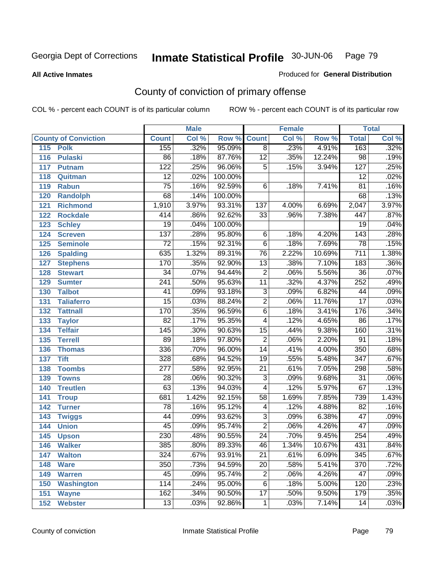**All Active Inmates**

## Produced for **General Distribution**

# County of conviction of primary offense

|     |                             |                  | <b>Male</b> |                    |                          | <b>Female</b> |        |                  | <b>Total</b> |
|-----|-----------------------------|------------------|-------------|--------------------|--------------------------|---------------|--------|------------------|--------------|
|     | <b>County of Conviction</b> | <b>Count</b>     | Col %       | <b>Row % Count</b> |                          | Col %         | Row %  | <b>Total</b>     | Col %        |
| 115 | <b>Polk</b>                 | 155              | .32%        | 95.09%             | $\overline{8}$           | .23%          | 4.91%  | 163              | .32%         |
| 116 | <b>Pulaski</b>              | 86               | .18%        | 87.76%             | $\overline{12}$          | .35%          | 12.24% | $\overline{98}$  | .19%         |
| 117 | <b>Putnam</b>               | $\overline{122}$ | .25%        | 96.06%             | $\overline{5}$           | .15%          | 3.94%  | 127              | .25%         |
| 118 | Quitman                     | $\overline{12}$  | .02%        | 100.00%            |                          |               |        | $\overline{12}$  | .02%         |
| 119 | <b>Rabun</b>                | $\overline{75}$  | .16%        | 92.59%             | $\overline{6}$           | .18%          | 7.41%  | $\overline{81}$  | .16%         |
| 120 | <b>Randolph</b>             | 68               | .14%        | 100.00%            |                          |               |        | 68               | .13%         |
| 121 | <b>Richmond</b>             | 1,910            | 3.97%       | 93.31%             | 137                      | 4.00%         | 6.69%  | 2,047            | 3.97%        |
| 122 | <b>Rockdale</b>             | 414              | .86%        | 92.62%             | 33                       | .96%          | 7.38%  | 447              | .87%         |
| 123 | <b>Schley</b>               | $\overline{19}$  | .04%        | 100.00%            |                          |               |        | $\overline{19}$  | .04%         |
| 124 | <b>Screven</b>              | 137              | .28%        | 95.80%             | 6                        | .18%          | 4.20%  | $\overline{143}$ | .28%         |
| 125 | <b>Seminole</b>             | $\overline{72}$  | .15%        | 92.31%             | $\overline{6}$           | .18%          | 7.69%  | 78               | .15%         |
| 126 | <b>Spalding</b>             | 635              | 1.32%       | 89.31%             | 76                       | 2.22%         | 10.69% | 711              | 1.38%        |
| 127 | <b>Stephens</b>             | 170              | .35%        | 92.90%             | $\overline{13}$          | .38%          | 7.10%  | 183              | .36%         |
| 128 | <b>Stewart</b>              | $\overline{34}$  | .07%        | 94.44%             | $\overline{2}$           | .06%          | 5.56%  | $\overline{36}$  | .07%         |
| 129 | <b>Sumter</b>               | $\overline{241}$ | .50%        | 95.63%             | $\overline{11}$          | .32%          | 4.37%  | 252              | .49%         |
| 130 | <b>Talbot</b>               | 41               | .09%        | 93.18%             | 3                        | .09%          | 6.82%  | 44               | .09%         |
| 131 | <b>Taliaferro</b>           | $\overline{15}$  | .03%        | 88.24%             | $\overline{2}$           | .06%          | 11.76% | $\overline{17}$  | .03%         |
| 132 | <b>Tattnall</b>             | 170              | .35%        | 96.59%             | $\overline{6}$           | .18%          | 3.41%  | 176              | .34%         |
| 133 | <b>Taylor</b>               | 82               | .17%        | 95.35%             | $\overline{\mathcal{A}}$ | .12%          | 4.65%  | 86               | .17%         |
| 134 | <b>Telfair</b>              | $\overline{145}$ | .30%        | 90.63%             | 15                       | .44%          | 9.38%  | 160              | .31%         |
| 135 | <b>Terrell</b>              | 89               | .18%        | 97.80%             | $\overline{2}$           | .06%          | 2.20%  | $\overline{91}$  | .18%         |
| 136 | <b>Thomas</b>               | 336              | .70%        | 96.00%             | $\overline{14}$          | .41%          | 4.00%  | 350              | .68%         |
| 137 | <b>Tift</b>                 | 328              | .68%        | 94.52%             | $\overline{19}$          | .55%          | 5.48%  | $\overline{347}$ | .67%         |
| 138 | <b>Toombs</b>               | $\overline{277}$ | .58%        | 92.95%             | 21                       | .61%          | 7.05%  | 298              | .58%         |
| 139 | <b>Towns</b>                | $\overline{28}$  | .06%        | 90.32%             | $\overline{3}$           | .09%          | 9.68%  | $\overline{31}$  | .06%         |
| 140 | <b>Treutlen</b>             | 63               | .13%        | 94.03%             | $\overline{\mathcal{A}}$ | .12%          | 5.97%  | 67               | .13%         |
| 141 | <b>Troup</b>                | 681              | 1.42%       | 92.15%             | 58                       | 1.69%         | 7.85%  | 739              | 1.43%        |
| 142 | <b>Turner</b>               | $\overline{78}$  | .16%        | 95.12%             | 4                        | .12%          | 4.88%  | 82               | .16%         |
| 143 | <b>Twiggs</b>               | 44               | .09%        | 93.62%             | $\overline{3}$           | .09%          | 6.38%  | $\overline{47}$  | .09%         |
| 144 | <b>Union</b>                | 45               | .09%        | 95.74%             | $\overline{2}$           | .06%          | 4.26%  | $\overline{47}$  | .09%         |
| 145 | <b>Upson</b>                | 230              | .48%        | 90.55%             | $\overline{24}$          | .70%          | 9.45%  | 254              | .49%         |
| 146 | <b>Walker</b>               | 385              | .80%        | 89.33%             | 46                       | 1.34%         | 10.67% | 431              | $.84\%$      |
| 147 | <b>Walton</b>               | 324              | .67%        | 93.91%             | $\overline{21}$          | .61%          | 6.09%  | $\overline{345}$ | .67%         |
| 148 | <b>Ware</b>                 | 350              | .73%        | 94.59%             | 20                       | .58%          | 5.41%  | 370              | .72%         |
| 149 | <b>Warren</b>               | 45               | .09%        | 95.74%             | $\overline{\mathbf{c}}$  | .06%          | 4.26%  | 47               | .09%         |
| 150 | <b>Washington</b>           | 114              | .24%        | 95.00%             | 6                        | .18%          | 5.00%  | 120              | .23%         |
| 151 | <b>Wayne</b>                | 162              | .34%        | 90.50%             | $\overline{17}$          | .50%          | 9.50%  | 179              | .35%         |
| 152 | <b>Webster</b>              | 13               | .03%        | 92.86%             | $\mathbf{1}$             | .03%          | 7.14%  | 14               | .03%         |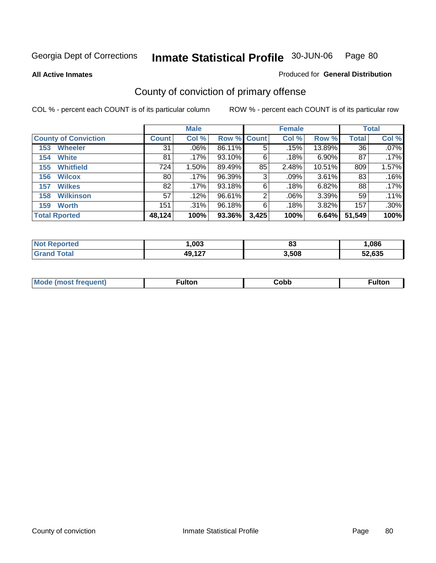**All Active Inmates**

#### Produced for **General Distribution**

# County of conviction of primary offense

|                             |              | <b>Male</b> |             |       | <b>Female</b> |          |              | <b>Total</b> |
|-----------------------------|--------------|-------------|-------------|-------|---------------|----------|--------------|--------------|
| <b>County of Conviction</b> | <b>Count</b> | Col %       | Row % Count |       | Col %         | Row %    | <b>Total</b> | Col %        |
| <b>Wheeler</b><br>153       | 31           | $.06\%$     | 86.11%      | 5     | .15%          | 13.89%   | 36           | $.07\%$      |
| <b>White</b><br>154         | 81           | .17%        | 93.10%      | 6     | .18%          | $6.90\%$ | 87           | .17%         |
| <b>Whitfield</b><br>155     | 724          | 1.50%       | 89.49%      | 85    | 2.48%         | 10.51%   | 809          | 1.57%        |
| <b>Wilcox</b><br>156        | 80           | .17%        | 96.39%      | 3     | .09%          | 3.61%    | 83           | .16%         |
| <b>Wilkes</b><br>157        | 82           | .17%        | 93.18%      | 6     | .18%          | 6.82%    | 88           | .17%         |
| <b>Wilkinson</b><br>158     | 57           | .12%        | 96.61%      | 2     | .06%          | 3.39%    | 59           | .11%         |
| <b>Worth</b><br>159         | 151          | .31%        | 96.18%      | 6     | .18%          | 3.82%    | 157          | .30%         |
| <b>Total Rported</b>        | 48,124       | 100%        | 93.36%      | 3,425 | 100%          | 6.64%    | 51,549       | 100%         |

| Reported<br>NO. | ,003   | n.<br>oc | ,086   |
|-----------------|--------|----------|--------|
| 'ota.           | 49,127 | 3,508    | 52.635 |

| Mc | ™ulton | Cobb |  |
|----|--------|------|--|
|    |        |      |  |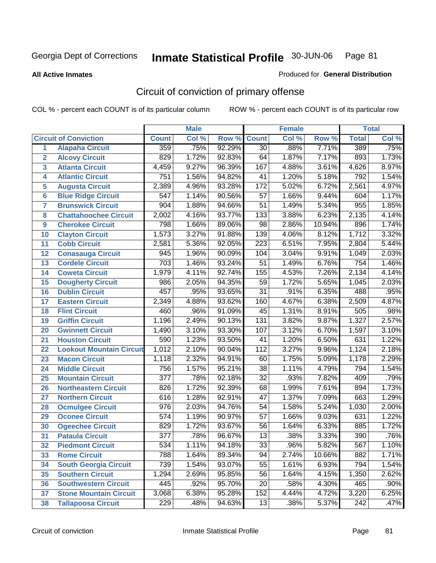**All Active Inmates**

#### Produced for **General Distribution**

# Circuit of conviction of primary offense

|                         |                                 |                  | <b>Male</b> |        |                  | <b>Female</b> |        |                  | <b>Total</b> |
|-------------------------|---------------------------------|------------------|-------------|--------|------------------|---------------|--------|------------------|--------------|
|                         | <b>Circuit of Conviction</b>    | <b>Count</b>     | Col %       | Row %  | <b>Count</b>     | Col %         | Row %  | <b>Total</b>     | Col %        |
| 1                       | <b>Alapaha Circuit</b>          | 359              | .75%        | 92.29% | $\overline{30}$  | .88%          | 7.71%  | 389              | .75%         |
| $\overline{2}$          | <b>Alcovy Circuit</b>           | 829              | 1.72%       | 92.83% | 64               | 1.87%         | 7.17%  | 893              | 1.73%        |
| $\overline{\mathbf{3}}$ | <b>Atlanta Circuit</b>          | 4,459            | 9.27%       | 96.39% | 167              | 4.88%         | 3.61%  | 4,626            | 8.97%        |
| 4                       | <b>Atlantic Circuit</b>         | $\overline{751}$ | 1.56%       | 94.82% | 41               | 1.20%         | 5.18%  | 792              | 1.54%        |
| 5                       | <b>Augusta Circuit</b>          | 2,389            | 4.96%       | 93.28% | 172              | 5.02%         | 6.72%  | 2,561            | 4.97%        |
| $6\phantom{a}$          | <b>Blue Ridge Circuit</b>       | $\overline{547}$ | 1.14%       | 90.56% | $\overline{57}$  | 1.66%         | 9.44%  | 604              | 1.17%        |
| $\overline{\mathbf{7}}$ | <b>Brunswick Circuit</b>        | 904              | 1.88%       | 94.66% | $\overline{51}$  | 1.49%         | 5.34%  | 955              | 1.85%        |
| 8                       | <b>Chattahoochee Circuit</b>    | 2,002            | 4.16%       | 93.77% | $\overline{133}$ | 3.88%         | 6.23%  | 2,135            | 4.14%        |
| 9                       | <b>Cherokee Circuit</b>         | 798              | 1.66%       | 89.06% | $\overline{98}$  | 2.86%         | 10.94% | 896              | 1.74%        |
| 10                      | <b>Clayton Circuit</b>          | 1,573            | 3.27%       | 91.88% | 139              | 4.06%         | 8.12%  | 1,712            | 3.32%        |
| 11                      | <b>Cobb Circuit</b>             | 2,581            | 5.36%       | 92.05% | $\overline{223}$ | 6.51%         | 7.95%  | 2,804            | 5.44%        |
| 12                      | <b>Conasauga Circuit</b>        | 945              | 1.96%       | 90.09% | 104              | 3.04%         | 9.91%  | 1,049            | 2.03%        |
| 13                      | <b>Cordele Circuit</b>          | $\overline{703}$ | 1.46%       | 93.24% | $\overline{51}$  | 1.49%         | 6.76%  | $\overline{754}$ | 1.46%        |
| 14                      | <b>Coweta Circuit</b>           | 1,979            | 4.11%       | 92.74% | 155              | 4.53%         | 7.26%  | 2,134            | 4.14%        |
| 15                      | <b>Dougherty Circuit</b>        | 986              | 2.05%       | 94.35% | 59               | 1.72%         | 5.65%  | 1,045            | 2.03%        |
| 16                      | <b>Dublin Circuit</b>           | 457              | .95%        | 93.65% | $\overline{31}$  | .91%          | 6.35%  | 488              | .95%         |
| 17                      | <b>Eastern Circuit</b>          | 2,349            | 4.88%       | 93.62% | 160              | 4.67%         | 6.38%  | 2,509            | 4.87%        |
| 18                      | <b>Flint Circuit</b>            | 460              | .96%        | 91.09% | 45               | 1.31%         | 8.91%  | 505              | .98%         |
| 19                      | <b>Griffin Circuit</b>          | 1,196            | 2.49%       | 90.13% | $\overline{131}$ | 3.82%         | 9.87%  | 1,327            | 2.57%        |
| 20                      | <b>Gwinnett Circuit</b>         | 1,490            | 3.10%       | 93.30% | 107              | 3.12%         | 6.70%  | 1,597            | 3.10%        |
| 21                      | <b>Houston Circuit</b>          | 590              | 1.23%       | 93.50% | $\overline{41}$  | 1.20%         | 6.50%  | 631              | 1.22%        |
| $\overline{22}$         | <b>Lookout Mountain Circuit</b> | 1,012            | 2.10%       | 90.04% | $\overline{112}$ | 3.27%         | 9.96%  | 1,124            | 2.18%        |
| 23                      | <b>Macon Circuit</b>            | 1,118            | 2.32%       | 94.91% | 60               | 1.75%         | 5.09%  | 1,178            | 2.29%        |
| 24                      | <b>Middle Circuit</b>           | 756              | 1.57%       | 95.21% | 38               | 1.11%         | 4.79%  | 794              | 1.54%        |
| 25                      | <b>Mountain Circuit</b>         | $\overline{377}$ | .78%        | 92.18% | $\overline{32}$  | .93%          | 7.82%  | 409              | .79%         |
| 26                      | <b>Northeastern Circuit</b>     | 826              | 1.72%       | 92.39% | 68               | 1.99%         | 7.61%  | 894              | 1.73%        |
| 27                      | <b>Northern Circuit</b>         | 616              | 1.28%       | 92.91% | $\overline{47}$  | 1.37%         | 7.09%  | 663              | 1.29%        |
| 28                      | <b>Ocmulgee Circuit</b>         | $\overline{976}$ | 2.03%       | 94.76% | 54               | 1.58%         | 5.24%  | 1,030            | 2.00%        |
| 29                      | <b>Oconee Circuit</b>           | $\overline{574}$ | 1.19%       | 90.97% | $\overline{57}$  | 1.66%         | 9.03%  | 631              | 1.22%        |
| 30                      | <b>Ogeechee Circuit</b>         | 829              | 1.72%       | 93.67% | $\overline{56}$  | 1.64%         | 6.33%  | 885              | 1.72%        |
| $\overline{31}$         | <b>Pataula Circuit</b>          | $\overline{377}$ | .78%        | 96.67% | $\overline{13}$  | .38%          | 3.33%  | $\overline{390}$ | .76%         |
| 32                      | <b>Piedmont Circuit</b>         | 534              | 1.11%       | 94.18% | 33               | .96%          | 5.82%  | 567              | $1.10\%$     |
| 33                      | <b>Rome Circuit</b>             | 788              | 1.64%       | 89.34% | 94               | 2.74%         | 10.66% | 882              | 1.71%        |
| 34                      | <b>South Georgia Circuit</b>    | 739              | 1.54%       | 93.07% | $\overline{55}$  | 1.61%         | 6.93%  | 794              | 1.54%        |
| 35                      | <b>Southern Circuit</b>         | 1,294            | 2.69%       | 95.85% | 56               | 1.64%         | 4.15%  | 1,350            | 2.62%        |
| 36                      | <b>Southwestern Circuit</b>     | 445              | .92%        | 95.70% | 20               | .58%          | 4.30%  | 465              | .90%         |
| 37                      | <b>Stone Mountain Circuit</b>   | 3,068            | 6.38%       | 95.28% | 152              | 4.44%         | 4.72%  | 3,220            | 6.25%        |
| 38                      | <b>Tallapoosa Circuit</b>       | 229              | .48%        | 94.63% | $\overline{13}$  | .38%          | 5.37%  | 242              | .47%         |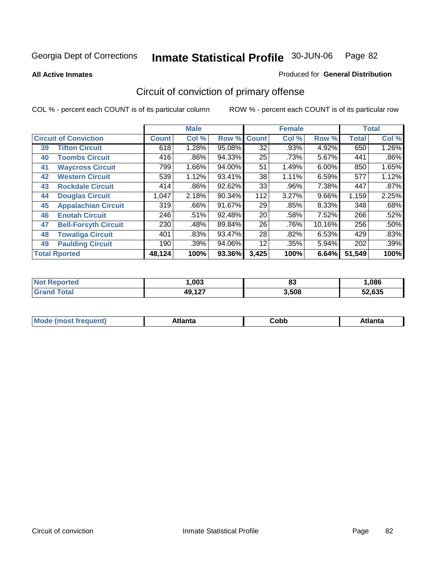**All Active Inmates**

#### Produced for **General Distribution**

# Circuit of conviction of primary offense

|    |                              |              | <b>Male</b> |        |              | <b>Female</b> |          |              | <b>Total</b> |
|----|------------------------------|--------------|-------------|--------|--------------|---------------|----------|--------------|--------------|
|    | <b>Circuit of Conviction</b> | <b>Count</b> | Col %       | Row %  | <b>Count</b> | Col %         | Row %    | <b>Total</b> | Col %        |
| 39 | <b>Tifton Circuit</b>        | 618          | 1.28%       | 95.08% | 32           | .93%          | 4.92%    | 650          | 1.26%        |
| 40 | <b>Toombs Circuit</b>        | 416          | .86%        | 94.33% | 25           | .73%          | 5.67%    | 441          | $.86\%$      |
| 41 | <b>Waycross Circuit</b>      | 799          | 1.66%       | 94.00% | 51           | 1.49%         | $6.00\%$ | 850          | 1.65%        |
| 42 | <b>Western Circuit</b>       | 539          | 1.12%       | 93.41% | 38           | 1.11%         | 6.59%    | 577          | 1.12%        |
| 43 | <b>Rockdale Circuit</b>      | 414          | .86%        | 92.62% | 33           | .96%          | 7.38%    | 447          | .87%         |
| 44 | <b>Douglas Circuit</b>       | 1,047        | 2.18%       | 90.34% | 112          | 3.27%         | $9.66\%$ | 1,159        | 2.25%        |
| 45 | <b>Appalachian Circuit</b>   | 319          | .66%        | 91.67% | 29           | .85%          | 8.33%    | 348          | .68%         |
| 46 | <b>Enotah Circuit</b>        | 246          | .51%        | 92.48% | 20           | .58%          | 7.52%    | 266          | .52%         |
| 47 | <b>Bell-Forsyth Circuit</b>  | 230          | .48%        | 89.84% | 26           | .76%          | 10.16%   | 256          | .50%         |
| 48 | <b>Towaliga Circuit</b>      | 401          | .83%        | 93.47% | 28           | .82%          | 6.53%    | 429          | .83%         |
| 49 | <b>Paulding Circuit</b>      | 190          | .39%        | 94.06% | 12           | .35%          | 5.94%    | 202          | .39%         |
|    | <b>Total Rported</b>         | 48,124       | 100%        | 93.36% | 3,425        | 100%          | 6.64%    | 51,549       | 100%         |

| τeα | .003       | n.<br>oJ | ,086       |
|-----|------------|----------|------------|
|     | 127<br>49. | 3,508    | .635<br>-- |

| M<br>.<br>.<br>---<br>ור<br>нс<br><b>OUNN</b> |  |  |  |  |  |
|-----------------------------------------------|--|--|--|--|--|
|-----------------------------------------------|--|--|--|--|--|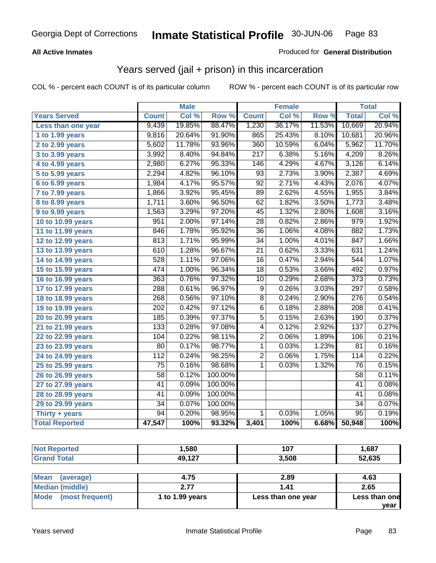## **All Active Inmates**

## Produced for **General Distribution**

## Years served (jail + prison) in this incarceration

|                              |                  | <b>Male</b> |         |                  | <b>Female</b> |        |                  | <b>Total</b> |
|------------------------------|------------------|-------------|---------|------------------|---------------|--------|------------------|--------------|
| <b>Years Served</b>          | <b>Count</b>     | Col %       | Row %   | <b>Count</b>     | Col %         | Row %  | <b>Total</b>     | Col %        |
| Less than one year           | 9,439            | 19.85%      | 88.47%  | 1,230            | 36.17%        | 11.53% | 10,669           | 20.94%       |
| 1 to 1.99 years              | 9,816            | 20.64%      | 91.90%  | 865              | 25.43%        | 8.10%  | 10,681           | 20.96%       |
| 2 to 2.99 years              | 5,602            | 11.78%      | 93.96%  | 360              | 10.59%        | 6.04%  | 5,962            | 11.70%       |
| 3 to 3.99 years              | 3,992            | 8.40%       | 94.84%  | $\overline{217}$ | 6.38%         | 5.16%  | 4,209            | 8.26%        |
| 4 to 4.99 years              | 2,980            | 6.27%       | 95.33%  | 146              | 4.29%         | 4.67%  | 3,126            | 6.14%        |
| 5 to 5.99 years              | 2,294            | 4.82%       | 96.10%  | $\overline{93}$  | 2.73%         | 3.90%  | 2,387            | 4.69%        |
| 6 to 6.99 years              | 1,984            | 4.17%       | 95.57%  | $\overline{92}$  | 2.71%         | 4.43%  | 2,076            | 4.07%        |
| $\overline{7}$ to 7.99 years | 1,866            | 3.92%       | 95.45%  | 89               | 2.62%         | 4.55%  | 1,955            | 3.84%        |
| <b>8 to 8.99 years</b>       | 1,711            | 3.60%       | 96.50%  | $\overline{62}$  | 1.82%         | 3.50%  | 1,773            | 3.48%        |
| 9 to 9.99 years              | 1,563            | 3.29%       | 97.20%  | $\overline{45}$  | 1.32%         | 2.80%  | 1,608            | 3.16%        |
| 10 to 10.99 years            | $\overline{951}$ | 2.00%       | 97.14%  | 28               | 0.82%         | 2.86%  | $\overline{979}$ | 1.92%        |
| 11 to 11.99 years            | 846              | 1.78%       | 95.92%  | 36               | 1.06%         | 4.08%  | 882              | 1.73%        |
| 12 to 12.99 years            | 813              | 1.71%       | 95.99%  | $\overline{34}$  | 1.00%         | 4.01%  | 847              | 1.66%        |
| 13 to 13.99 years            | 610              | 1.28%       | 96.67%  | $\overline{21}$  | 0.62%         | 3.33%  | 631              | 1.24%        |
| 14 to 14.99 years            | 528              | 1.11%       | 97.06%  | 16               | 0.47%         | 2.94%  | 544              | 1.07%        |
| 15 to 15.99 years            | 474              | 1.00%       | 96.34%  | $\overline{18}$  | 0.53%         | 3.66%  | 492              | 0.97%        |
| 16 to 16.99 years            | 363              | 0.76%       | 97.32%  | $\overline{10}$  | 0.29%         | 2.68%  | $\overline{373}$ | 0.73%        |
| 17 to 17.99 years            | 288              | 0.61%       | 96.97%  | $\overline{9}$   | 0.26%         | 3.03%  | $\overline{297}$ | 0.58%        |
| 18 to 18.99 years            | 268              | 0.56%       | 97.10%  | $\overline{8}$   | 0.24%         | 2.90%  | $\overline{276}$ | 0.54%        |
| 19 to 19.99 years            | 202              | 0.42%       | 97.12%  | $\overline{6}$   | 0.18%         | 2.88%  | $\overline{208}$ | 0.41%        |
| 20 to 20.99 years            | 185              | 0.39%       | 97.37%  | $\overline{5}$   | 0.15%         | 2.63%  | 190              | 0.37%        |
| 21 to 21.99 years            | 133              | 0.28%       | 97.08%  | 4                | 0.12%         | 2.92%  | 137              | 0.27%        |
| 22 to 22.99 years            | 104              | 0.22%       | 98.11%  | $\overline{2}$   | 0.06%         | 1.89%  | 106              | 0.21%        |
| 23 to 23.99 years            | $\overline{80}$  | 0.17%       | 98.77%  | $\mathbf{1}$     | 0.03%         | 1.23%  | $\overline{81}$  | 0.16%        |
| 24 to 24.99 years            | 112              | 0.24%       | 98.25%  | $\overline{2}$   | 0.06%         | 1.75%  | 114              | 0.22%        |
| 25 to 25.99 years            | $\overline{75}$  | 0.16%       | 98.68%  | $\mathbf{1}$     | 0.03%         | 1.32%  | $\overline{76}$  | 0.15%        |
| 26 to 26.99 years            | $\overline{58}$  | 0.12%       | 100.00% |                  |               |        | $\overline{58}$  | 0.11%        |
| 27 to 27.99 years            | 41               | 0.09%       | 100.00% |                  |               |        | 41               | 0.08%        |
| 28 to 28.99 years            | $\overline{41}$  | 0.09%       | 100.00% |                  |               |        | 41               | 0.08%        |
| 29 to 29.99 years            | $\overline{34}$  | 0.07%       | 100.00% |                  |               |        | $\overline{34}$  | 0.07%        |
| Thirty + years               | $\overline{94}$  | 0.20%       | 98.95%  | $\overline{1}$   | 0.03%         | 1.05%  | $\overline{95}$  | 0.19%        |
| <b>Total Reported</b>        | 47,547           | 100%        | 93.32%  | 3,401            | 100%          | 6.68%  | 50,948           | 100%         |

| <b>Not Reported</b>      | 1,580           | 107                | 1,687         |
|--------------------------|-----------------|--------------------|---------------|
| <b>Grand Total</b>       | 49,127          | 3,508              | 52,635        |
|                          |                 |                    |               |
| <b>Mean</b><br>(average) | 4.75            | 2.89               | 4.63          |
| <b>Median (middle)</b>   | 2.77            | 1.41               | 2.65          |
| Mode (most frequent)     | 1 to 1.99 years | Less than one year | Less than one |
|                          |                 |                    | year          |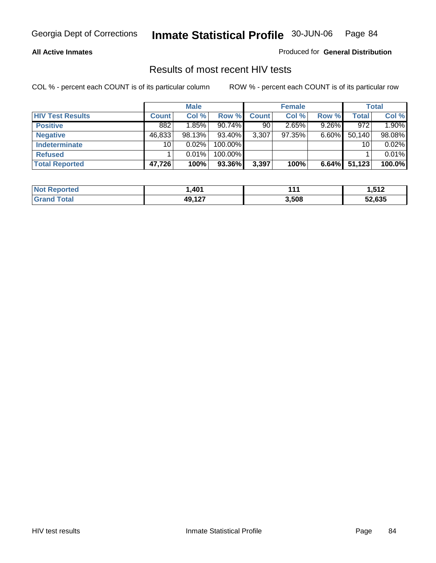### **All Active Inmates**

Produced for **General Distribution**

## Results of most recent HIV tests

|                         |                 | <b>Male</b> |         |              | <b>Female</b> |          |        | <b>Total</b> |
|-------------------------|-----------------|-------------|---------|--------------|---------------|----------|--------|--------------|
| <b>HIV Test Results</b> | <b>Count</b>    | Col %       | Row %   | <b>Count</b> | Col %         | Row %    | Total  | Col %        |
| <b>Positive</b>         | 882             | 1.85%       | 90.74%  | 90           | 2.65%         | $9.26\%$ | 972    | 1.90%        |
| <b>Negative</b>         | 46,833          | 98.13%      | 93.40%  | 3,307        | 97.35%        | $6.60\%$ | 50,140 | 98.08%       |
| Indeterminate           | 10 <sub>1</sub> | 0.02%       | 100.00% |              |               |          | 10     | 0.02%        |
| <b>Refused</b>          |                 | 0.01%       | 100.00% |              |               |          |        | 0.01%        |
| <b>Total Reported</b>   | 47,726          | 100%        | 93.36%  | 3,397        | 100%          | 6.64%    | 51,123 | 100.0%       |

| <b>Not Reported</b> | 401. ا       | 444   | 512. ا |
|---------------------|--------------|-------|--------|
| Total<br>Grand      | <b>49127</b> | 3,508 | 52,635 |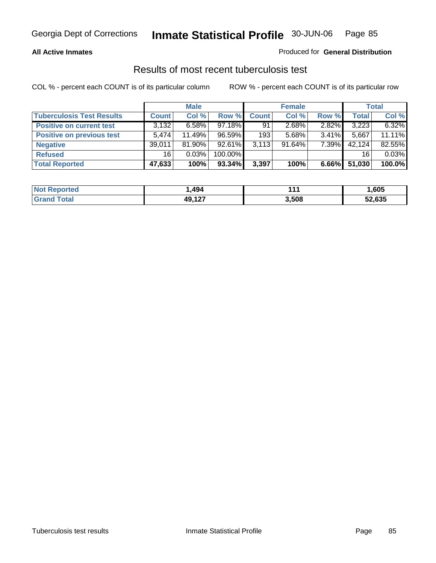### **All Active Inmates**

## Produced for **General Distribution**

## Results of most recent tuberculosis test

|                                  |              | <b>Male</b> |         |              | <b>Female</b> |          |              | Total  |
|----------------------------------|--------------|-------------|---------|--------------|---------------|----------|--------------|--------|
| <b>Tuberculosis Test Results</b> | <b>Count</b> | Col %       | Row %   | <b>Count</b> | Col %         | Row %    | <b>Total</b> | Col %  |
| <b>Positive on current test</b>  | 3,132        | $6.58\%$    | 97.18%  | 91           | 2.68%         | 2.82%    | 3,223        | 6.32%  |
| <b>Positive on previous test</b> | 5.474        | 11.49%      | 96.59%  | 193          | 5.68%         | $3.41\%$ | 5.667        | 11.11% |
| <b>Negative</b>                  | 39,011       | 81.90%      | 92.61%  | 3.113        | 91.64%        | 7.39%    | 42,124       | 82.55% |
| <b>Refused</b>                   | 16           | 0.03%       | 100.00% |              |               |          | 16           | 0.03%  |
| <b>Total Reported</b>            | 47,633       | 100%        | 93.34%  | 3,397        | 100%          | 6.66%    | 51,030       | 100.0% |

| <b>Not Reported</b> | ,494          | 444   | ,605   |
|---------------------|---------------|-------|--------|
| <b>Grand Total</b>  | <b>49 127</b> | 3,508 | 52,635 |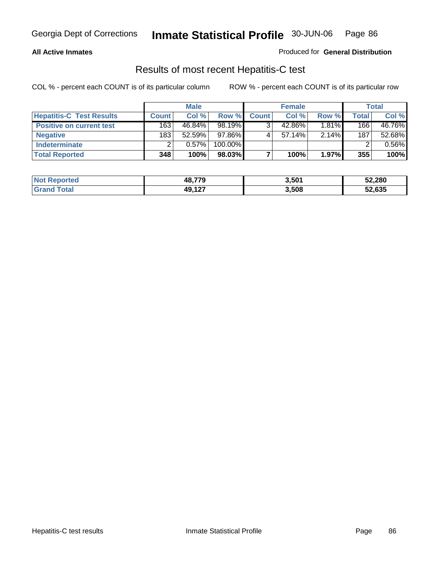### **All Active Inmates**

### Produced for **General Distribution**

## Results of most recent Hepatitis-C test

|                                 |              | <b>Male</b> |         |              | <b>Female</b> |          |              | Total  |
|---------------------------------|--------------|-------------|---------|--------------|---------------|----------|--------------|--------|
| <b>Hepatitis-C Test Results</b> | <b>Count</b> | Col%        | Row %   | <b>Count</b> | Col %         | Row %    | <b>Total</b> | Col %  |
| <b>Positive on current test</b> | 163          | 46.84%      | 98.19%  |              | 42.86%        | 1.81%    | 166          | 46.76% |
| <b>Negative</b>                 | 183          | $52.59\%$   | 97.86%  |              | $57.14\%$     | 2.14%    | 187          | 52.68% |
| <b>Indeterminate</b>            |              | 0.57%       | 100.00% |              |               |          |              | 0.56%  |
| <b>Total Reported</b>           | 348          | 100%        | 98.03%  |              | 100%          | $1.97\%$ | 355          | 100%   |

| <b>Not Reported</b> | 48.779        | 3,501 | 52,280 |
|---------------------|---------------|-------|--------|
| <b>Grand Total</b>  | <b>49 127</b> | 3,508 | 52,635 |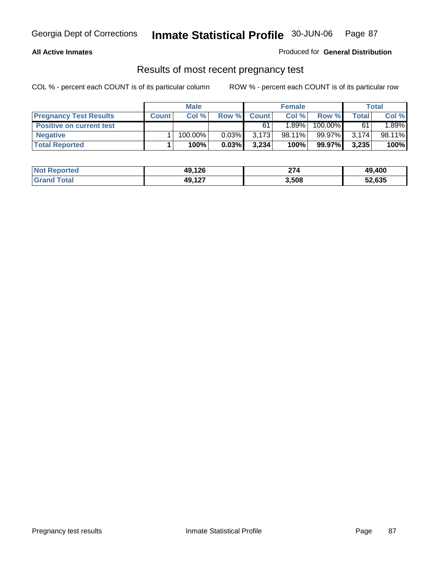## **All Active Inmates**

### Produced for **General Distribution**

## Results of most recent pregnancy test

|                                 | <b>Male</b>  |         |          | <b>Female</b> |        |         | Total |        |
|---------------------------------|--------------|---------|----------|---------------|--------|---------|-------|--------|
| <b>Pregnancy Test Results</b>   | <b>Count</b> | Col %   | Row %    | <b>Count</b>  | Col %  | Row %   | Total | Col %  |
| <b>Positive on current test</b> |              |         |          | 61            | 1.89%  | 100.00% | 61    | 1.89%  |
| <b>Negative</b>                 |              | 100.00% | $0.03\%$ | 3,173         | 98.11% | 99.97%  | 3,174 | 98.11% |
| <b>Total Reported</b>           |              | 100%    | 0.03%    | 3.234         | 100%   | 99.97%  | 3,235 | 100%   |

| <b>Not Reported</b> | 49,126 | 274   | 49,400 |
|---------------------|--------|-------|--------|
| <b>Grand Total</b>  | 49,127 | 3,508 | 52,635 |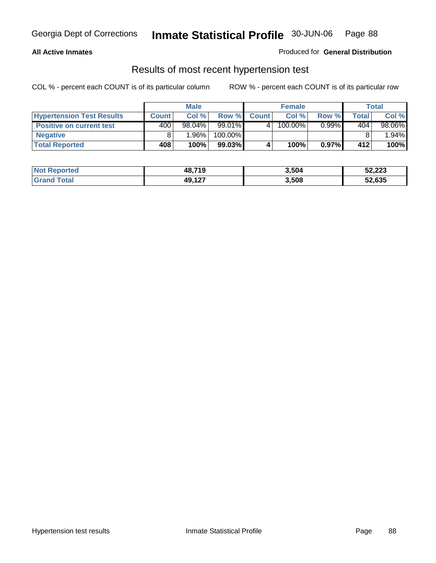### **All Active Inmates**

## Produced for **General Distribution**

## Results of most recent hypertension test

|                                  | <b>Male</b>  |        |         | <b>Female</b> |         |          | Total |        |
|----------------------------------|--------------|--------|---------|---------------|---------|----------|-------|--------|
| <b>Hypertension Test Results</b> | <b>Count</b> | Col %  | Row %   | <b>Count</b>  | Col%    | Row %    | Total | Col %  |
| <b>Positive on current test</b>  | 400'         | 98.04% | 99.01%  |               | 100.00% | $0.99\%$ | 404   | 98.06% |
| <b>Negative</b>                  |              | 1.96%  | 100.00% |               |         |          |       | 1.94%  |
| <b>Total Reported</b>            | 408          | 100%   | 99.03%  |               | 100%    | 0.97%    | 412   | 100%   |

| <b>Not Reported</b> | 48,719 | 3,504 | 52,223 |
|---------------------|--------|-------|--------|
| <b>Grand Total</b>  | 49,127 | 3,508 | 52,635 |